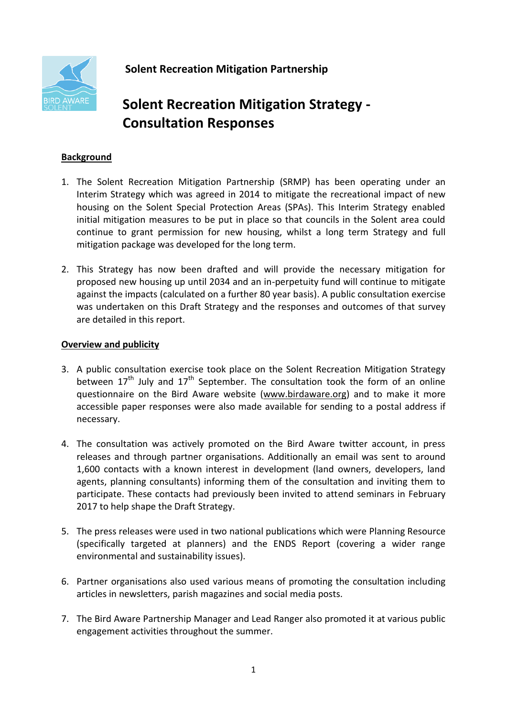

**Solent Recreation Mitigation Partnership** 

# **Solent Recreation Mitigation Strategy - Consultation Responses**

### **Background**

- 1. The Solent Recreation Mitigation Partnership (SRMP) has been operating under an Interim Strategy which was agreed in 2014 to mitigate the recreational impact of new housing on the Solent Special Protection Areas (SPAs). This Interim Strategy enabled initial mitigation measures to be put in place so that councils in the Solent area could continue to grant permission for new housing, whilst a long term Strategy and full mitigation package was developed for the long term.
- 2. This Strategy has now been drafted and will provide the necessary mitigation for proposed new housing up until 2034 and an in-perpetuity fund will continue to mitigate against the impacts (calculated on a further 80 year basis). A public consultation exercise was undertaken on this Draft Strategy and the responses and outcomes of that survey are detailed in this report.

### **Overview and publicity**

- 3. A public consultation exercise took place on the Solent Recreation Mitigation Strategy between  $17<sup>th</sup>$  July and  $17<sup>th</sup>$  September. The consultation took the form of an online questionnaire on the Bird Aware website [\(www.birdaware.org\)](http://www.birdaware.org/) and to make it more accessible paper responses were also made available for sending to a postal address if necessary.
- 4. The consultation was actively promoted on the Bird Aware twitter account, in press releases and through partner organisations. Additionally an email was sent to around 1,600 contacts with a known interest in development (land owners, developers, land agents, planning consultants) informing them of the consultation and inviting them to participate. These contacts had previously been invited to attend seminars in February 2017 to help shape the Draft Strategy.
- 5. The press releases were used in two national publications which were Planning Resource (specifically targeted at planners) and the ENDS Report (covering a wider range environmental and sustainability issues).
- 6. Partner organisations also used various means of promoting the consultation including articles in newsletters, parish magazines and social media posts.
- 7. The Bird Aware Partnership Manager and Lead Ranger also promoted it at various public engagement activities throughout the summer.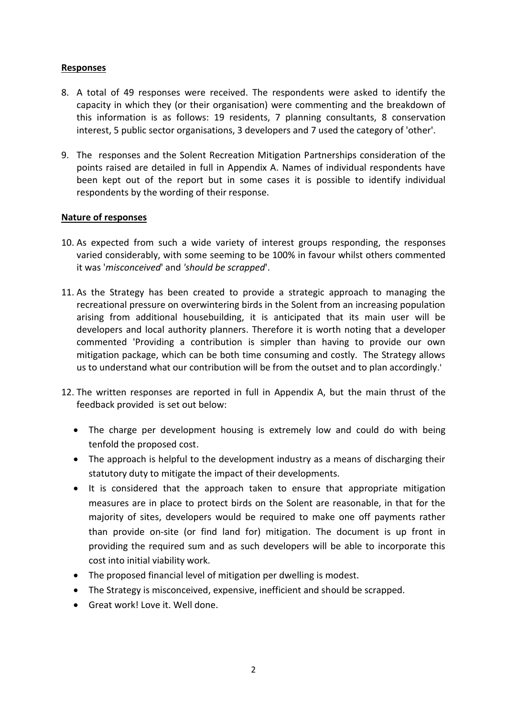### **Responses**

- 8. A total of 49 responses were received. The respondents were asked to identify the capacity in which they (or their organisation) were commenting and the breakdown of this information is as follows: 19 residents, 7 planning consultants, 8 conservation interest, 5 public sector organisations, 3 developers and 7 used the category of 'other'.
- 9. The responses and the Solent Recreation Mitigation Partnerships consideration of the points raised are detailed in full in Appendix A. Names of individual respondents have been kept out of the report but in some cases it is possible to identify individual respondents by the wording of their response.

### **Nature of responses**

- 10. As expected from such a wide variety of interest groups responding, the responses varied considerably, with some seeming to be 100% in favour whilst others commented it was '*misconceived*' and *'should be scrapped*'.
- 11. As the Strategy has been created to provide a strategic approach to managing the recreational pressure on overwintering birds in the Solent from an increasing population arising from additional housebuilding, it is anticipated that its main user will be developers and local authority planners. Therefore it is worth noting that a developer commented 'Providing a contribution is simpler than having to provide our own mitigation package, which can be both time consuming and costly. The Strategy allows us to understand what our contribution will be from the outset and to plan accordingly.'
- 12. The written responses are reported in full in Appendix A, but the main thrust of the feedback provided is set out below:
	- The charge per development housing is extremely low and could do with being tenfold the proposed cost.
	- The approach is helpful to the development industry as a means of discharging their statutory duty to mitigate the impact of their developments.
	- It is considered that the approach taken to ensure that appropriate mitigation measures are in place to protect birds on the Solent are reasonable, in that for the majority of sites, developers would be required to make one off payments rather than provide on-site (or find land for) mitigation. The document is up front in providing the required sum and as such developers will be able to incorporate this cost into initial viability work.
	- The proposed financial level of mitigation per dwelling is modest.
	- The Strategy is misconceived, expensive, inefficient and should be scrapped.
	- Great work! Love it. Well done.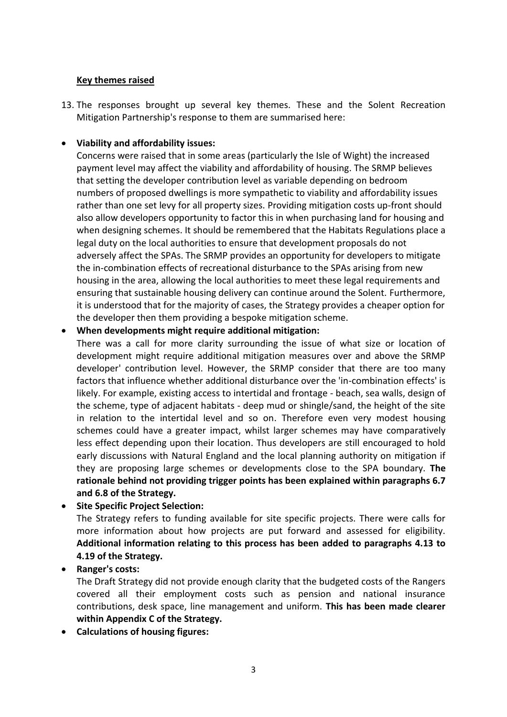### **Key themes raised**

13. The responses brought up several key themes. These and the Solent Recreation Mitigation Partnership's response to them are summarised here:

### **Viability and affordability issues:**

Concerns were raised that in some areas (particularly the Isle of Wight) the increased payment level may affect the viability and affordability of housing. The SRMP believes that setting the developer contribution level as variable depending on bedroom numbers of proposed dwellings is more sympathetic to viability and affordability issues rather than one set levy for all property sizes. Providing mitigation costs up-front should also allow developers opportunity to factor this in when purchasing land for housing and when designing schemes. It should be remembered that the Habitats Regulations place a legal duty on the local authorities to ensure that development proposals do not adversely affect the SPAs. The SRMP provides an opportunity for developers to mitigate the in-combination effects of recreational disturbance to the SPAs arising from new housing in the area, allowing the local authorities to meet these legal requirements and ensuring that sustainable housing delivery can continue around the Solent. Furthermore, it is understood that for the majority of cases, the Strategy provides a cheaper option for the developer then them providing a bespoke mitigation scheme.

### **When developments might require additional mitigation:**

There was a call for more clarity surrounding the issue of what size or location of development might require additional mitigation measures over and above the SRMP developer' contribution level. However, the SRMP consider that there are too many factors that influence whether additional disturbance over the 'in-combination effects' is likely. For example, existing access to intertidal and frontage - beach, sea walls, design of the scheme, type of adjacent habitats - deep mud or shingle/sand, the height of the site in relation to the intertidal level and so on. Therefore even very modest housing schemes could have a greater impact, whilst larger schemes may have comparatively less effect depending upon their location. Thus developers are still encouraged to hold early discussions with Natural England and the local planning authority on mitigation if they are proposing large schemes or developments close to the SPA boundary. **The rationale behind not providing trigger points has been explained within paragraphs 6.7 and 6.8 of the Strategy.**

### **Site Specific Project Selection:**

The Strategy refers to funding available for site specific projects. There were calls for more information about how projects are put forward and assessed for eligibility. **Additional information relating to this process has been added to paragraphs 4.13 to 4.19 of the Strategy.**

### **Ranger's costs:**

The Draft Strategy did not provide enough clarity that the budgeted costs of the Rangers covered all their employment costs such as pension and national insurance contributions, desk space, line management and uniform. **This has been made clearer within Appendix C of the Strategy.**

**Calculations of housing figures:**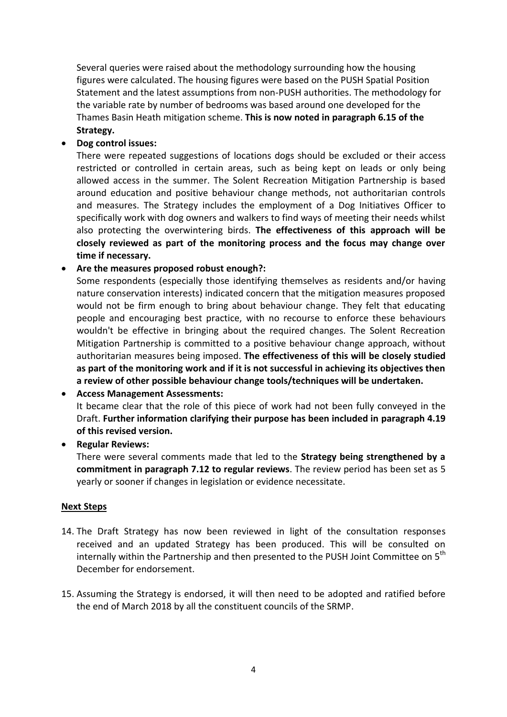Several queries were raised about the methodology surrounding how the housing figures were calculated. The housing figures were based on the PUSH Spatial Position Statement and the latest assumptions from non-PUSH authorities. The methodology for the variable rate by number of bedrooms was based around one developed for the Thames Basin Heath mitigation scheme. **This is now noted in paragraph 6.15 of the Strategy.**

### **Dog control issues:**

There were repeated suggestions of locations dogs should be excluded or their access restricted or controlled in certain areas, such as being kept on leads or only being allowed access in the summer. The Solent Recreation Mitigation Partnership is based around education and positive behaviour change methods, not authoritarian controls and measures. The Strategy includes the employment of a Dog Initiatives Officer to specifically work with dog owners and walkers to find ways of meeting their needs whilst also protecting the overwintering birds. **The effectiveness of this approach will be closely reviewed as part of the monitoring process and the focus may change over time if necessary.**

### **Are the measures proposed robust enough?:**

Some respondents (especially those identifying themselves as residents and/or having nature conservation interests) indicated concern that the mitigation measures proposed would not be firm enough to bring about behaviour change. They felt that educating people and encouraging best practice, with no recourse to enforce these behaviours wouldn't be effective in bringing about the required changes. The Solent Recreation Mitigation Partnership is committed to a positive behaviour change approach, without authoritarian measures being imposed. **The effectiveness of this will be closely studied as part of the monitoring work and if it is not successful in achieving its objectives then a review of other possible behaviour change tools/techniques will be undertaken.**

### **Access Management Assessments:** It became clear that the role of this piece of work had not been fully conveyed in the Draft. **Further information clarifying their purpose has been included in paragraph 4.19 of this revised version.**

**Regular Reviews:**

There were several comments made that led to the **Strategy being strengthened by a commitment in paragraph 7.12 to regular reviews**. The review period has been set as 5 yearly or sooner if changes in legislation or evidence necessitate.

### **Next Steps**

- 14. The Draft Strategy has now been reviewed in light of the consultation responses received and an updated Strategy has been produced. This will be consulted on internally within the Partnership and then presented to the PUSH Joint Committee on 5<sup>th</sup> December for endorsement.
- 15. Assuming the Strategy is endorsed, it will then need to be adopted and ratified before the end of March 2018 by all the constituent councils of the SRMP.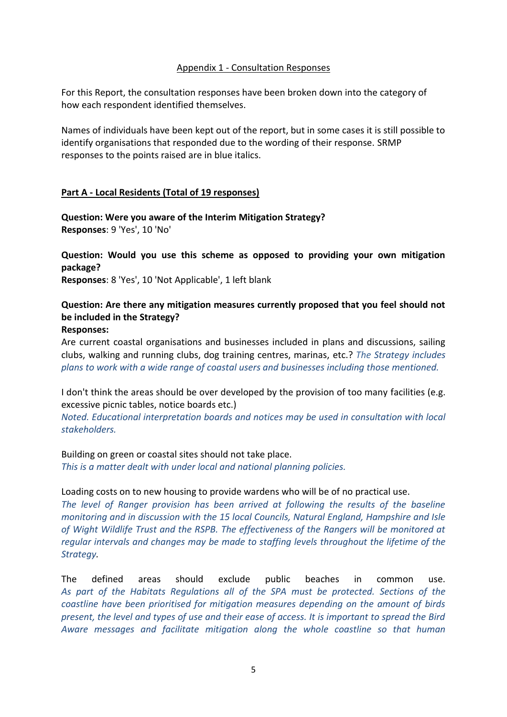### Appendix 1 - Consultation Responses

For this Report, the consultation responses have been broken down into the category of how each respondent identified themselves.

Names of individuals have been kept out of the report, but in some cases it is still possible to identify organisations that responded due to the wording of their response. SRMP responses to the points raised are in blue italics.

### **Part A - Local Residents (Total of 19 responses)**

**Question: Were you aware of the Interim Mitigation Strategy? Responses**: 9 'Yes', 10 'No'

**Question: Would you use this scheme as opposed to providing your own mitigation package?**

**Responses**: 8 'Yes', 10 'Not Applicable', 1 left blank

### **Question: Are there any mitigation measures currently proposed that you feel should not be included in the Strategy?**

### **Responses:**

Are current coastal organisations and businesses included in plans and discussions, sailing clubs, walking and running clubs, dog training centres, marinas, etc.? *The Strategy includes plans to work with a wide range of coastal users and businesses including those mentioned.*

I don't think the areas should be over developed by the provision of too many facilities (e.g. excessive picnic tables, notice boards etc.)

*Noted. Educational interpretation boards and notices may be used in consultation with local stakeholders.*

Building on green or coastal sites should not take place.

*This is a matter dealt with under local and national planning policies.*

### Loading costs on to new housing to provide wardens who will be of no practical use.

*The level of Ranger provision has been arrived at following the results of the baseline monitoring and in discussion with the 15 local Councils, Natural England, Hampshire and Isle of Wight Wildlife Trust and the RSPB. The effectiveness of the Rangers will be monitored at regular intervals and changes may be made to staffing levels throughout the lifetime of the Strategy.*

The defined areas should exclude public beaches in common use. *As part of the Habitats Regulations all of the SPA must be protected. Sections of the coastline have been prioritised for mitigation measures depending on the amount of birds present, the level and types of use and their ease of access. It is important to spread the Bird Aware messages and facilitate mitigation along the whole coastline so that human*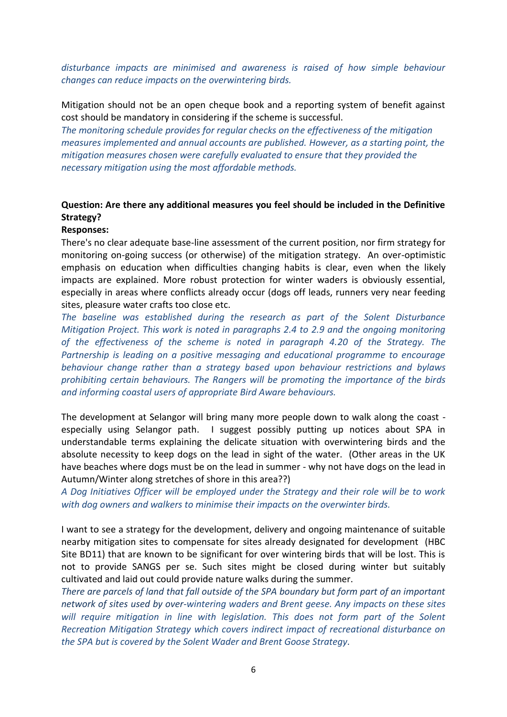*disturbance impacts are minimised and awareness is raised of how simple behaviour changes can reduce impacts on the overwintering birds.*

Mitigation should not be an open cheque book and a reporting system of benefit against cost should be mandatory in considering if the scheme is successful.

*The monitoring schedule provides for regular checks on the effectiveness of the mitigation measures implemented and annual accounts are published. However, as a starting point, the mitigation measures chosen were carefully evaluated to ensure that they provided the necessary mitigation using the most affordable methods.*

### **Question: Are there any additional measures you feel should be included in the Definitive Strategy?**

#### **Responses:**

There's no clear adequate base-line assessment of the current position, nor firm strategy for monitoring on-going success (or otherwise) of the mitigation strategy. An over-optimistic emphasis on education when difficulties changing habits is clear, even when the likely impacts are explained. More robust protection for winter waders is obviously essential, especially in areas where conflicts already occur (dogs off leads, runners very near feeding sites, pleasure water crafts too close etc.

*The baseline was established during the research as part of the Solent Disturbance Mitigation Project. This work is noted in paragraphs 2.4 to 2.9 and the ongoing monitoring of the effectiveness of the scheme is noted in paragraph 4.20 of the Strategy. The Partnership is leading on a positive messaging and educational programme to encourage behaviour change rather than a strategy based upon behaviour restrictions and bylaws prohibiting certain behaviours. The Rangers will be promoting the importance of the birds and informing coastal users of appropriate Bird Aware behaviours.*

The development at Selangor will bring many more people down to walk along the coast especially using Selangor path. I suggest possibly putting up notices about SPA in understandable terms explaining the delicate situation with overwintering birds and the absolute necessity to keep dogs on the lead in sight of the water. (Other areas in the UK have beaches where dogs must be on the lead in summer - why not have dogs on the lead in Autumn/Winter along stretches of shore in this area??)

*A Dog Initiatives Officer will be employed under the Strategy and their role will be to work with dog owners and walkers to minimise their impacts on the overwinter birds.*

I want to see a strategy for the development, delivery and ongoing maintenance of suitable nearby mitigation sites to compensate for sites already designated for development (HBC Site BD11) that are known to be significant for over wintering birds that will be lost. This is not to provide SANGS per se. Such sites might be closed during winter but suitably cultivated and laid out could provide nature walks during the summer.

*There are parcels of land that fall outside of the SPA boundary but form part of an important network of sites used by over-wintering waders and Brent geese. Any impacts on these sites*  will require mitigation in line with legislation. This does not form part of the Solent *Recreation Mitigation Strategy which covers indirect impact of recreational disturbance on the SPA but is covered by the Solent Wader and Brent Goose Strategy.*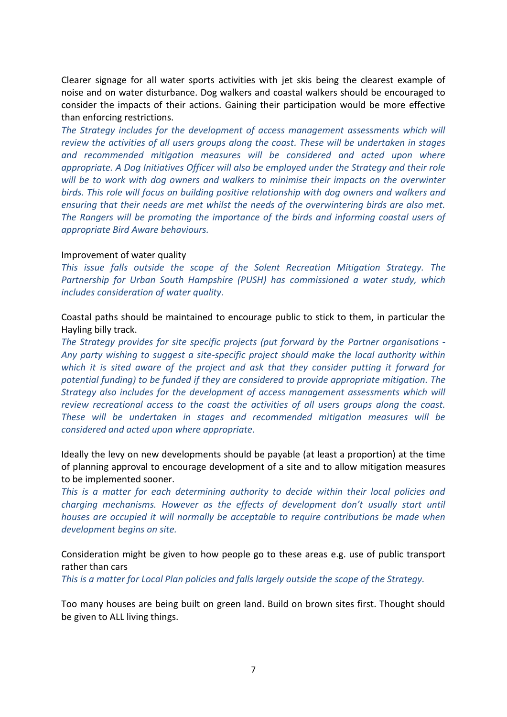Clearer signage for all water sports activities with jet skis being the clearest example of noise and on water disturbance. Dog walkers and coastal walkers should be encouraged to consider the impacts of their actions. Gaining their participation would be more effective than enforcing restrictions.

The Strategy includes for the development of access management assessments which will *review the activities of all users groups along the coast. These will be undertaken in stages and recommended mitigation measures will be considered and acted upon where appropriate. A Dog Initiatives Officer will also be employed under the Strategy and their role will be to work with dog owners and walkers to minimise their impacts on the overwinter birds. This role will focus on building positive relationship with dog owners and walkers and ensuring that their needs are met whilst the needs of the overwintering birds are also met. The Rangers will be promoting the importance of the birds and informing coastal users of appropriate Bird Aware behaviours.*

#### Improvement of water quality

*This issue falls outside the scope of the Solent Recreation Mitigation Strategy. The Partnership for Urban South Hampshire (PUSH) has commissioned a water study, which includes consideration of water quality.*

Coastal paths should be maintained to encourage public to stick to them, in particular the Hayling billy track.

*The Strategy provides for site specific projects (put forward by the Partner organisations - Any party wishing to suggest a site-specific project should make the local authority within which it is sited aware of the project and ask that they consider putting it forward for potential funding) to be funded if they are considered to provide appropriate mitigation. The Strategy also includes for the development of access management assessments which will review recreational access to the coast the activities of all users groups along the coast. These will be undertaken in stages and recommended mitigation measures will be considered and acted upon where appropriate.* 

Ideally the levy on new developments should be payable (at least a proportion) at the time of planning approval to encourage development of a site and to allow mitigation measures to be implemented sooner.

*This is a matter for each determining authority to decide within their local policies and charging mechanisms. However as the effects of development don't usually start until houses are occupied it will normally be acceptable to require contributions be made when development begins on site.*

Consideration might be given to how people go to these areas e.g. use of public transport rather than cars

*This is a matter for Local Plan policies and falls largely outside the scope of the Strategy.* 

Too many houses are being built on green land. Build on brown sites first. Thought should be given to ALL living things.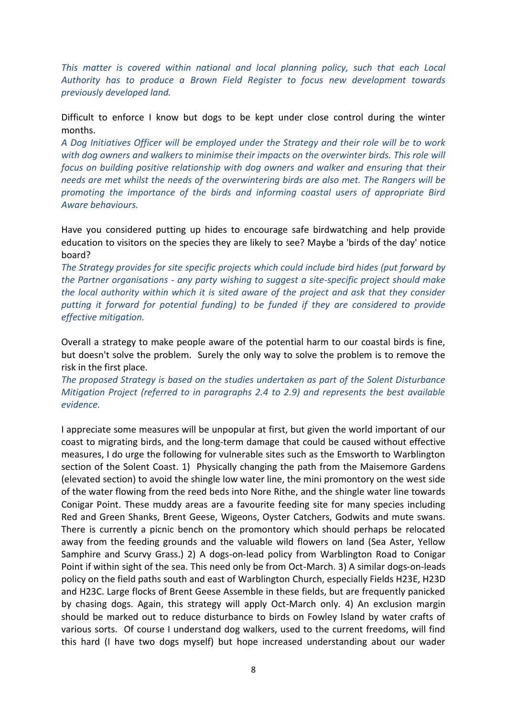*This matter is covered within national and local planning policy, such that each Local Authority has to produce a Brown Field Register to focus new development towards previously developed land.*

Difficult to enforce I know but dogs to be kept under close control during the winter months.

*A Dog Initiatives Officer will be employed under the Strategy and their role will be to work with dog owners and walkers to minimise their impacts on the overwinter birds. This role will focus on building positive relationship with dog owners and walker and ensuring that their needs are met whilst the needs of the overwintering birds are also met. The Rangers will be promoting the importance of the birds and informing coastal users of appropriate Bird Aware behaviours.*

Have you considered putting up hides to encourage safe birdwatching and help provide education to visitors on the species they are likely to see? Maybe a 'birds of the day' notice board?

*The Strategy provides for site specific projects which could include bird hides (put forward by the Partner organisations - any party wishing to suggest a site-specific project should make the local authority within which it is sited aware of the project and ask that they consider putting it forward for potential funding) to be funded if they are considered to provide effective mitigation.* 

Overall a strategy to make people aware of the potential harm to our coastal birds is fine, but doesn't solve the problem. Surely the only way to solve the problem is to remove the risk in the first place.

*The proposed Strategy is based on the studies undertaken as part of the Solent Disturbance Mitigation Project (referred to in paragraphs 2.4 to 2.9) and represents the best available evidence.* 

I appreciate some measures will be unpopular at first, but given the world important of our coast to migrating birds, and the long-term damage that could be caused without effective measures, I do urge the following for vulnerable sites such as the Emsworth to Warblington section of the Solent Coast. 1) Physically changing the path from the Maisemore Gardens (elevated section) to avoid the shingle low water line, the mini promontory on the west side of the water flowing from the reed beds into Nore Rithe, and the shingle water line towards Conigar Point. These muddy areas are a favourite feeding site for many species including Red and Green Shanks, Brent Geese, Wigeons, Oyster Catchers, Godwits and mute swans. There is currently a picnic bench on the promontory which should perhaps be relocated away from the feeding grounds and the valuable wild flowers on land (Sea Aster, Yellow Samphire and Scurvy Grass.) 2) A dogs-on-lead policy from Warblington Road to Conigar Point if within sight of the sea. This need only be from Oct-March. 3) A similar dogs-on-leads policy on the field paths south and east of Warblington Church, especially Fields H23E, H23D and H23C. Large flocks of Brent Geese Assemble in these fields, but are frequently panicked by chasing dogs. Again, this strategy will apply Oct-March only. 4) An exclusion margin should be marked out to reduce disturbance to birds on Fowley Island by water crafts of various sorts. Of course I understand dog walkers, used to the current freedoms, will find this hard (I have two dogs myself) but hope increased understanding about our wader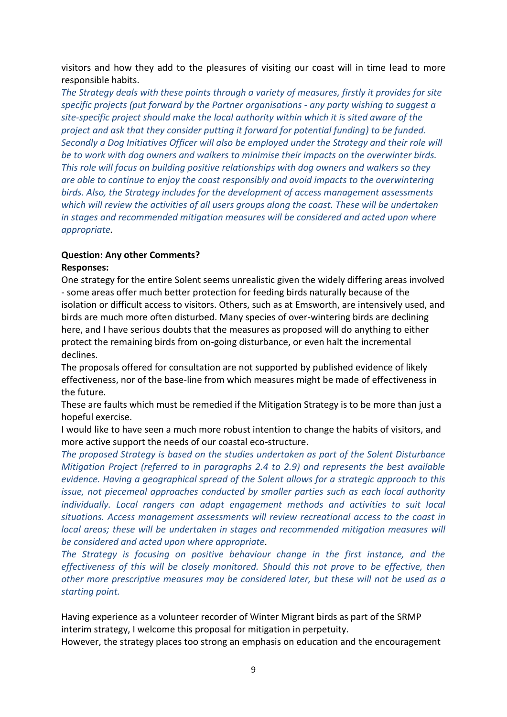visitors and how they add to the pleasures of visiting our coast will in time lead to more responsible habits.

*The Strategy deals with these points through a variety of measures, firstly it provides for site specific projects (put forward by the Partner organisations - any party wishing to suggest a site-specific project should make the local authority within which it is sited aware of the project and ask that they consider putting it forward for potential funding) to be funded. Secondly a Dog Initiatives Officer will also be employed under the Strategy and their role will be to work with dog owners and walkers to minimise their impacts on the overwinter birds. This role will focus on building positive relationships with dog owners and walkers so they are able to continue to enjoy the coast responsibly and avoid impacts to the overwintering birds. Also, the Strategy includes for the development of access management assessments which will review the activities of all users groups along the coast. These will be undertaken in stages and recommended mitigation measures will be considered and acted upon where appropriate.*

### **Question: Any other Comments?**

### **Responses:**

One strategy for the entire Solent seems unrealistic given the widely differing areas involved - some areas offer much better protection for feeding birds naturally because of the isolation or difficult access to visitors. Others, such as at Emsworth, are intensively used, and birds are much more often disturbed. Many species of over-wintering birds are declining here, and I have serious doubts that the measures as proposed will do anything to either protect the remaining birds from on-going disturbance, or even halt the incremental declines.

The proposals offered for consultation are not supported by published evidence of likely effectiveness, nor of the base-line from which measures might be made of effectiveness in the future.

These are faults which must be remedied if the Mitigation Strategy is to be more than just a hopeful exercise.

I would like to have seen a much more robust intention to change the habits of visitors, and more active support the needs of our coastal eco-structure.

*The proposed Strategy is based on the studies undertaken as part of the Solent Disturbance Mitigation Project (referred to in paragraphs 2.4 to 2.9) and represents the best available evidence. Having a geographical spread of the Solent allows for a strategic approach to this issue, not piecemeal approaches conducted by smaller parties such as each local authority*  individually. Local rangers can adapt engagement methods and activities to suit local *situations. Access management assessments will review recreational access to the coast in local areas; these will be undertaken in stages and recommended mitigation measures will be considered and acted upon where appropriate.*

*The Strategy is focusing on positive behaviour change in the first instance, and the effectiveness of this will be closely monitored. Should this not prove to be effective, then other more prescriptive measures may be considered later, but these will not be used as a starting point.*

Having experience as a volunteer recorder of Winter Migrant birds as part of the SRMP interim strategy, I welcome this proposal for mitigation in perpetuity.

However, the strategy places too strong an emphasis on education and the encouragement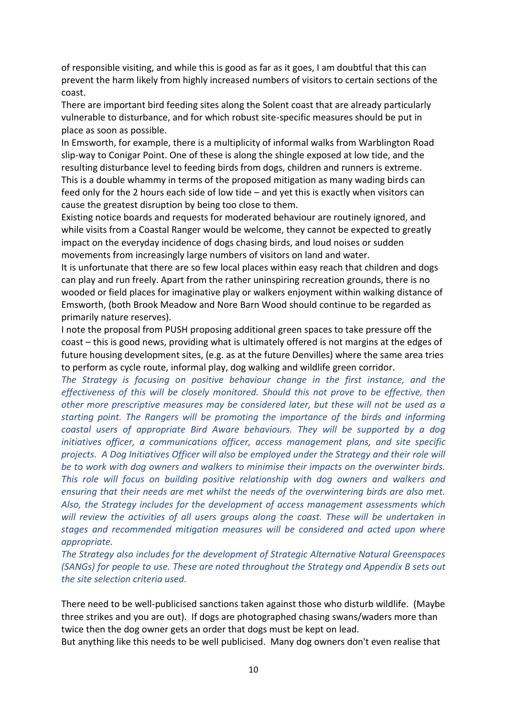of responsible visiting, and while this is good as far as it goes, I am doubtful that this can prevent the harm likely from highly increased numbers of visitors to certain sections of the coast.

There are important bird feeding sites along the Solent coast that are already particularly vulnerable to disturbance, and for which robust site-specific measures should be put in place as soon as possible.

In Emsworth, for example, there is a multiplicity of informal walks from Warblington Road slip-way to Conigar Point. One of these is along the shingle exposed at low tide, and the resulting disturbance level to feeding birds from dogs, children and runners is extreme. This is a double whammy in terms of the proposed mitigation as many wading birds can feed only for the 2 hours each side of low tide – and yet this is exactly when visitors can cause the greatest disruption by being too close to them.

Existing notice boards and requests for moderated behaviour are routinely ignored, and while visits from a Coastal Ranger would be welcome, they cannot be expected to greatly impact on the everyday incidence of dogs chasing birds, and loud noises or sudden movements from increasingly large numbers of visitors on land and water.

It is unfortunate that there are so few local places within easy reach that children and dogs can play and run freely. Apart from the rather uninspiring recreation grounds, there is no wooded or field places for imaginative play or walkers enjoyment within walking distance of Emsworth, (both Brook Meadow and Nore Barn Wood should continue to be regarded as primarily nature reserves).

I note the proposal from PUSH proposing additional green spaces to take pressure off the coast – this is good news, providing what is ultimately offered is not margins at the edges of future housing development sites, (e.g. as at the future Denvilles) where the same area tries to perform as cycle route, informal play, dog walking and wildlife green corridor.

*The Strategy is focusing on positive behaviour change in the first instance, and the effectiveness of this will be closely monitored. Should this not prove to be effective, then other more prescriptive measures may be considered later, but these will not be used as a starting point. The Rangers will be promoting the importance of the birds and informing coastal users of appropriate Bird Aware behaviours. They will be supported by a dog initiatives officer, a communications officer, access management plans, and site specific projects. A Dog Initiatives Officer will also be employed under the Strategy and their role will be to work with dog owners and walkers to minimise their impacts on the overwinter birds. This role will focus on building positive relationship with dog owners and walkers and ensuring that their needs are met whilst the needs of the overwintering birds are also met. Also, the Strategy includes for the development of access management assessments which will review the activities of all users groups along the coast. These will be undertaken in stages and recommended mitigation measures will be considered and acted upon where appropriate.*

*The Strategy also includes for the development of Strategic Alternative Natural Greenspaces (SANGs) for people to use. These are noted throughout the Strategy and Appendix B sets out the site selection criteria used.*

There need to be well-publicised sanctions taken against those who disturb wildlife. (Maybe three strikes and you are out). If dogs are photographed chasing swans/waders more than twice then the dog owner gets an order that dogs must be kept on lead.

But anything like this needs to be well publicised. Many dog owners don't even realise that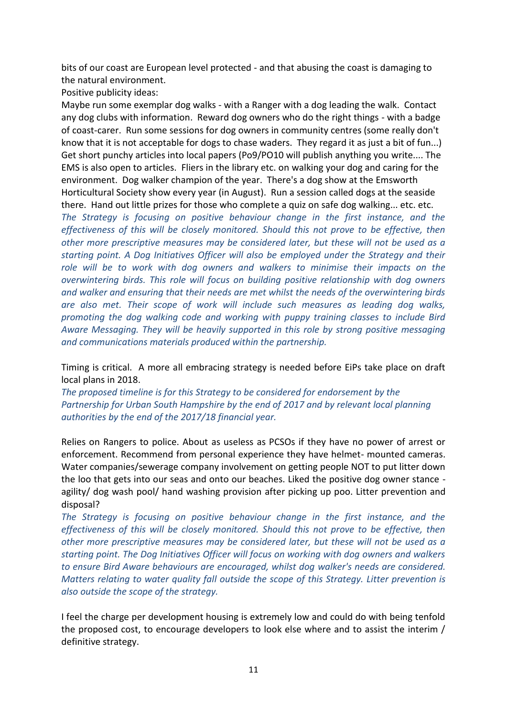bits of our coast are European level protected - and that abusing the coast is damaging to the natural environment.

Positive publicity ideas:

Maybe run some exemplar dog walks - with a Ranger with a dog leading the walk. Contact any dog clubs with information. Reward dog owners who do the right things - with a badge of coast-carer. Run some sessions for dog owners in community centres (some really don't know that it is not acceptable for dogs to chase waders. They regard it as just a bit of fun...) Get short punchy articles into local papers (Po9/PO10 will publish anything you write.... The EMS is also open to articles. Fliers in the library etc. on walking your dog and caring for the environment. Dog walker champion of the year. There's a dog show at the Emsworth Horticultural Society show every year (in August). Run a session called dogs at the seaside there. Hand out little prizes for those who complete a quiz on safe dog walking... etc. etc.

*The Strategy is focusing on positive behaviour change in the first instance, and the effectiveness of this will be closely monitored. Should this not prove to be effective, then other more prescriptive measures may be considered later, but these will not be used as a starting point. A Dog Initiatives Officer will also be employed under the Strategy and their role will be to work with dog owners and walkers to minimise their impacts on the overwintering birds. This role will focus on building positive relationship with dog owners and walker and ensuring that their needs are met whilst the needs of the overwintering birds are also met. Their scope of work will include such measures as leading dog walks, promoting the dog walking code and working with puppy training classes to include Bird Aware Messaging. They will be heavily supported in this role by strong positive messaging and communications materials produced within the partnership.*

Timing is critical. A more all embracing strategy is needed before EiPs take place on draft local plans in 2018.

*The proposed timeline is for this Strategy to be considered for endorsement by the Partnership for Urban South Hampshire by the end of 2017 and by relevant local planning authorities by the end of the 2017/18 financial year.*

Relies on Rangers to police. About as useless as PCSOs if they have no power of arrest or enforcement. Recommend from personal experience they have helmet- mounted cameras. Water companies/sewerage company involvement on getting people NOT to put litter down the loo that gets into our seas and onto our beaches. Liked the positive dog owner stance agility/ dog wash pool/ hand washing provision after picking up poo. Litter prevention and disposal?

*The Strategy is focusing on positive behaviour change in the first instance, and the effectiveness of this will be closely monitored. Should this not prove to be effective, then other more prescriptive measures may be considered later, but these will not be used as a starting point. The Dog Initiatives Officer will focus on working with dog owners and walkers to ensure Bird Aware behaviours are encouraged, whilst dog walker's needs are considered. Matters relating to water quality fall outside the scope of this Strategy. Litter prevention is also outside the scope of the strategy.*

I feel the charge per development housing is extremely low and could do with being tenfold the proposed cost, to encourage developers to look else where and to assist the interim / definitive strategy.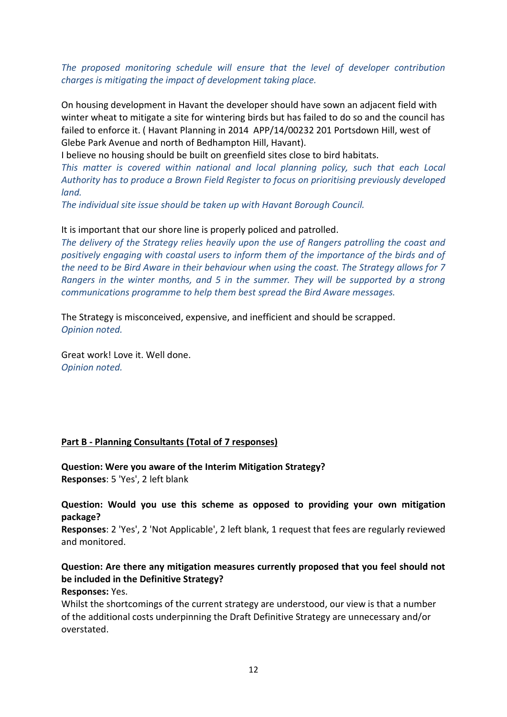### *The proposed monitoring schedule will ensure that the level of developer contribution charges is mitigating the impact of development taking place.*

On housing development in Havant the developer should have sown an adjacent field with winter wheat to mitigate a site for wintering birds but has failed to do so and the council has failed to enforce it. ( Havant Planning in 2014 APP/14/00232 201 Portsdown Hill, west of Glebe Park Avenue and north of Bedhampton Hill, Havant).

I believe no housing should be built on greenfield sites close to bird habitats.

*This matter is covered within national and local planning policy, such that each Local Authority has to produce a Brown Field Register to focus on prioritising previously developed land.*

*The individual site issue should be taken up with Havant Borough Council.*

### It is important that our shore line is properly policed and patrolled.

*The delivery of the Strategy relies heavily upon the use of Rangers patrolling the coast and positively engaging with coastal users to inform them of the importance of the birds and of the need to be Bird Aware in their behaviour when using the coast. The Strategy allows for 7 Rangers in the winter months, and 5 in the summer. They will be supported by a strong communications programme to help them best spread the Bird Aware messages.*

The Strategy is misconceived, expensive, and inefficient and should be scrapped. *Opinion noted.*

Great work! Love it. Well done. *Opinion noted.*

### **Part B - Planning Consultants (Total of 7 responses)**

**Question: Were you aware of the Interim Mitigation Strategy? Responses**: 5 'Yes', 2 left blank

**Question: Would you use this scheme as opposed to providing your own mitigation package?**

**Responses**: 2 'Yes', 2 'Not Applicable', 2 left blank, 1 request that fees are regularly reviewed and monitored.

# **Question: Are there any mitigation measures currently proposed that you feel should not be included in the Definitive Strategy?**

### **Responses:** Yes.

Whilst the shortcomings of the current strategy are understood, our view is that a number of the additional costs underpinning the Draft Definitive Strategy are unnecessary and/or overstated.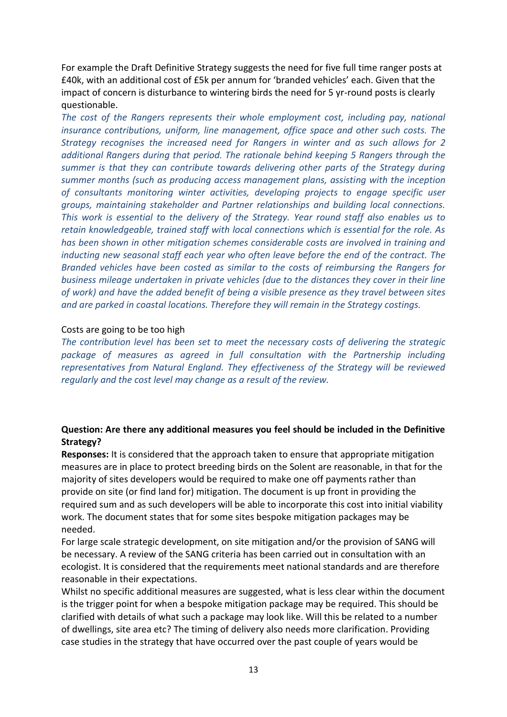For example the Draft Definitive Strategy suggests the need for five full time ranger posts at £40k, with an additional cost of £5k per annum for 'branded vehicles' each. Given that the impact of concern is disturbance to wintering birds the need for 5 yr-round posts is clearly questionable.

*The cost of the Rangers represents their whole employment cost, including pay, national insurance contributions, uniform, line management, office space and other such costs. The Strategy recognises the increased need for Rangers in winter and as such allows for 2 additional Rangers during that period. The rationale behind keeping 5 Rangers through the summer is that they can contribute towards delivering other parts of the Strategy during summer months (such as producing access management plans, assisting with the inception of consultants monitoring winter activities, developing projects to engage specific user groups, maintaining stakeholder and Partner relationships and building local connections. This work is essential to the delivery of the Strategy. Year round staff also enables us to retain knowledgeable, trained staff with local connections which is essential for the role. As has been shown in other mitigation schemes considerable costs are involved in training and inducting new seasonal staff each year who often leave before the end of the contract. The Branded vehicles have been costed as similar to the costs of reimbursing the Rangers for business mileage undertaken in private vehicles (due to the distances they cover in their line of work) and have the added benefit of being a visible presence as they travel between sites and are parked in coastal locations. Therefore they will remain in the Strategy costings.*

#### Costs are going to be too high

*The contribution level has been set to meet the necessary costs of delivering the strategic*  package of measures as agreed in full consultation with the Partnership including *representatives from Natural England. They effectiveness of the Strategy will be reviewed regularly and the cost level may change as a result of the review.*

### **Question: Are there any additional measures you feel should be included in the Definitive Strategy?**

**Responses:** It is considered that the approach taken to ensure that appropriate mitigation measures are in place to protect breeding birds on the Solent are reasonable, in that for the majority of sites developers would be required to make one off payments rather than provide on site (or find land for) mitigation. The document is up front in providing the required sum and as such developers will be able to incorporate this cost into initial viability work. The document states that for some sites bespoke mitigation packages may be needed.

For large scale strategic development, on site mitigation and/or the provision of SANG will be necessary. A review of the SANG criteria has been carried out in consultation with an ecologist. It is considered that the requirements meet national standards and are therefore reasonable in their expectations.

Whilst no specific additional measures are suggested, what is less clear within the document is the trigger point for when a bespoke mitigation package may be required. This should be clarified with details of what such a package may look like. Will this be related to a number of dwellings, site area etc? The timing of delivery also needs more clarification. Providing case studies in the strategy that have occurred over the past couple of years would be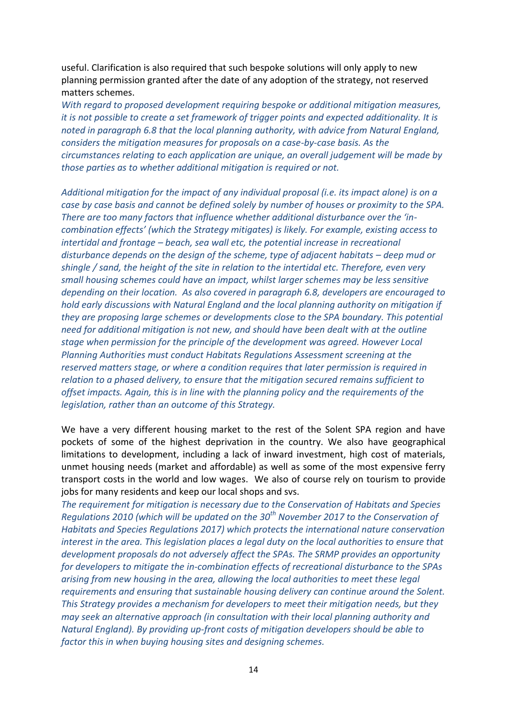useful. Clarification is also required that such bespoke solutions will only apply to new planning permission granted after the date of any adoption of the strategy, not reserved matters schemes.

*With regard to proposed development requiring bespoke or additional mitigation measures, it is not possible to create a set framework of trigger points and expected additionality. It is noted in paragraph 6.8 that the local planning authority, with advice from Natural England, considers the mitigation measures for proposals on a case-by-case basis. As the circumstances relating to each application are unique, an overall judgement will be made by those parties as to whether additional mitigation is required or not.*

*Additional mitigation for the impact of any individual proposal (i.e. its impact alone) is on a case by case basis and cannot be defined solely by number of houses or proximity to the SPA. There are too many factors that influence whether additional disturbance over the 'incombination effects' (which the Strategy mitigates) is likely. For example, existing access to intertidal and frontage – beach, sea wall etc, the potential increase in recreational disturbance depends on the design of the scheme, type of adjacent habitats – deep mud or shingle / sand, the height of the site in relation to the intertidal etc. Therefore, even very small housing schemes could have an impact, whilst larger schemes may be less sensitive depending on their location. As also covered in paragraph 6.8, developers are encouraged to hold early discussions with Natural England and the local planning authority on mitigation if they are proposing large schemes or developments close to the SPA boundary. This potential need for additional mitigation is not new, and should have been dealt with at the outline stage when permission for the principle of the development was agreed. However Local Planning Authorities must conduct Habitats Regulations Assessment screening at the reserved matters stage, or where a condition requires that later permission is required in relation to a phased delivery, to ensure that the mitigation secured remains sufficient to offset impacts. Again, this is in line with the planning policy and the requirements of the legislation, rather than an outcome of this Strategy.*

We have a very different housing market to the rest of the Solent SPA region and have pockets of some of the highest deprivation in the country. We also have geographical limitations to development, including a lack of inward investment, high cost of materials, unmet housing needs (market and affordable) as well as some of the most expensive ferry transport costs in the world and low wages. We also of course rely on tourism to provide jobs for many residents and keep our local shops and svs.

*The requirement for mitigation is necessary due to the Conservation of Habitats and Species Regulations 2010 (which will be updated on the 30th November 2017 to the Conservation of Habitats and Species Regulations 2017) which protects the international nature conservation interest in the area. This legislation places a legal duty on the local authorities to ensure that development proposals do not adversely affect the SPAs. The SRMP provides an opportunity for developers to mitigate the in-combination effects of recreational disturbance to the SPAs arising from new housing in the area, allowing the local authorities to meet these legal requirements and ensuring that sustainable housing delivery can continue around the Solent. This Strategy provides a mechanism for developers to meet their mitigation needs, but they may seek an alternative approach (in consultation with their local planning authority and Natural England). By providing up-front costs of mitigation developers should be able to factor this in when buying housing sites and designing schemes.*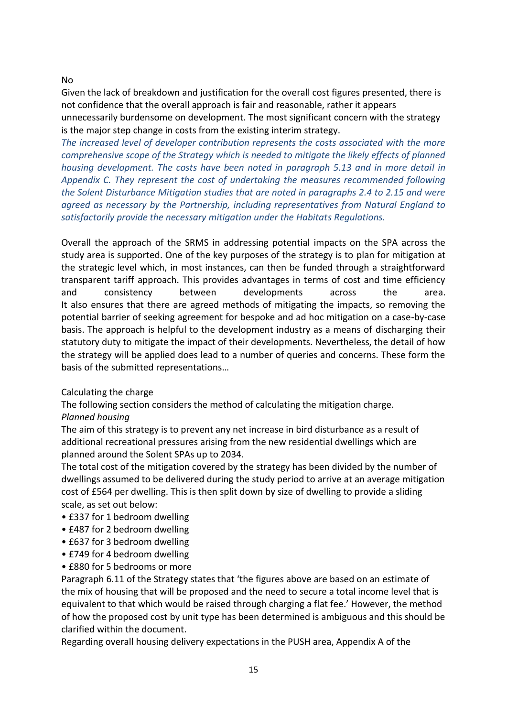### No

Given the lack of breakdown and justification for the overall cost figures presented, there is not confidence that the overall approach is fair and reasonable, rather it appears unnecessarily burdensome on development. The most significant concern with the strategy is the major step change in costs from the existing interim strategy.

*The increased level of developer contribution represents the costs associated with the more comprehensive scope of the Strategy which is needed to mitigate the likely effects of planned housing development. The costs have been noted in paragraph 5.13 and in more detail in Appendix C. They represent the cost of undertaking the measures recommended following the Solent Disturbance Mitigation studies that are noted in paragraphs 2.4 to 2.15 and were agreed as necessary by the Partnership, including representatives from Natural England to satisfactorily provide the necessary mitigation under the Habitats Regulations.*

Overall the approach of the SRMS in addressing potential impacts on the SPA across the study area is supported. One of the key purposes of the strategy is to plan for mitigation at the strategic level which, in most instances, can then be funded through a straightforward transparent tariff approach. This provides advantages in terms of cost and time efficiency and consistency between developments across the area. It also ensures that there are agreed methods of mitigating the impacts, so removing the potential barrier of seeking agreement for bespoke and ad hoc mitigation on a case-by-case basis. The approach is helpful to the development industry as a means of discharging their statutory duty to mitigate the impact of their developments. Nevertheless, the detail of how the strategy will be applied does lead to a number of queries and concerns. These form the basis of the submitted representations…

### Calculating the charge

The following section considers the method of calculating the mitigation charge.

### *Planned housing*

The aim of this strategy is to prevent any net increase in bird disturbance as a result of additional recreational pressures arising from the new residential dwellings which are planned around the Solent SPAs up to 2034.

The total cost of the mitigation covered by the strategy has been divided by the number of dwellings assumed to be delivered during the study period to arrive at an average mitigation cost of £564 per dwelling. This is then split down by size of dwelling to provide a sliding scale, as set out below:

- £337 for 1 bedroom dwelling
- £487 for 2 bedroom dwelling
- £637 for 3 bedroom dwelling
- £749 for 4 bedroom dwelling
- £880 for 5 bedrooms or more

Paragraph 6.11 of the Strategy states that 'the figures above are based on an estimate of the mix of housing that will be proposed and the need to secure a total income level that is equivalent to that which would be raised through charging a flat fee.' However, the method of how the proposed cost by unit type has been determined is ambiguous and this should be clarified within the document.

Regarding overall housing delivery expectations in the PUSH area, Appendix A of the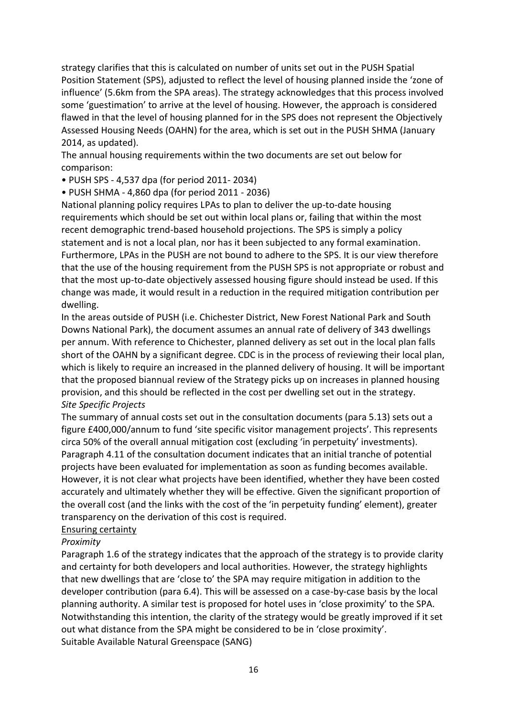strategy clarifies that this is calculated on number of units set out in the PUSH Spatial Position Statement (SPS), adjusted to reflect the level of housing planned inside the 'zone of influence' (5.6km from the SPA areas). The strategy acknowledges that this process involved some 'guestimation' to arrive at the level of housing. However, the approach is considered flawed in that the level of housing planned for in the SPS does not represent the Objectively Assessed Housing Needs (OAHN) for the area, which is set out in the PUSH SHMA (January 2014, as updated).

The annual housing requirements within the two documents are set out below for comparison:

• PUSH SPS - 4,537 dpa (for period 2011- 2034)

• PUSH SHMA - 4,860 dpa (for period 2011 - 2036)

National planning policy requires LPAs to plan to deliver the up-to-date housing requirements which should be set out within local plans or, failing that within the most recent demographic trend-based household projections. The SPS is simply a policy statement and is not a local plan, nor has it been subjected to any formal examination. Furthermore, LPAs in the PUSH are not bound to adhere to the SPS. It is our view therefore that the use of the housing requirement from the PUSH SPS is not appropriate or robust and that the most up-to-date objectively assessed housing figure should instead be used. If this change was made, it would result in a reduction in the required mitigation contribution per dwelling.

In the areas outside of PUSH (i.e. Chichester District, New Forest National Park and South Downs National Park), the document assumes an annual rate of delivery of 343 dwellings per annum. With reference to Chichester, planned delivery as set out in the local plan falls short of the OAHN by a significant degree. CDC is in the process of reviewing their local plan, which is likely to require an increased in the planned delivery of housing. It will be important that the proposed biannual review of the Strategy picks up on increases in planned housing provision, and this should be reflected in the cost per dwelling set out in the strategy. *Site Specific Projects*

The summary of annual costs set out in the consultation documents (para 5.13) sets out a figure £400,000/annum to fund 'site specific visitor management projects'. This represents circa 50% of the overall annual mitigation cost (excluding 'in perpetuity' investments). Paragraph 4.11 of the consultation document indicates that an initial tranche of potential projects have been evaluated for implementation as soon as funding becomes available. However, it is not clear what projects have been identified, whether they have been costed accurately and ultimately whether they will be effective. Given the significant proportion of the overall cost (and the links with the cost of the 'in perpetuity funding' element), greater transparency on the derivation of this cost is required.

### Ensuring certainty

### *Proximity*

Paragraph 1.6 of the strategy indicates that the approach of the strategy is to provide clarity and certainty for both developers and local authorities. However, the strategy highlights that new dwellings that are 'close to' the SPA may require mitigation in addition to the developer contribution (para 6.4). This will be assessed on a case-by-case basis by the local planning authority. A similar test is proposed for hotel uses in 'close proximity' to the SPA. Notwithstanding this intention, the clarity of the strategy would be greatly improved if it set out what distance from the SPA might be considered to be in 'close proximity'. Suitable Available Natural Greenspace (SANG)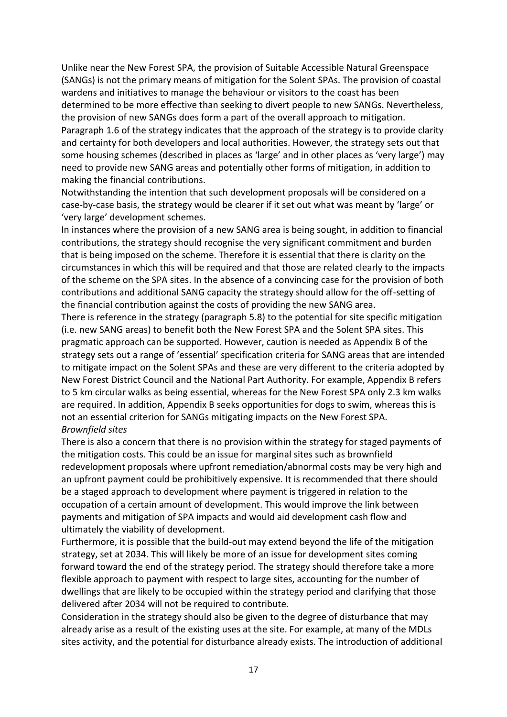Unlike near the New Forest SPA, the provision of Suitable Accessible Natural Greenspace (SANGs) is not the primary means of mitigation for the Solent SPAs. The provision of coastal wardens and initiatives to manage the behaviour or visitors to the coast has been determined to be more effective than seeking to divert people to new SANGs. Nevertheless, the provision of new SANGs does form a part of the overall approach to mitigation. Paragraph 1.6 of the strategy indicates that the approach of the strategy is to provide clarity and certainty for both developers and local authorities. However, the strategy sets out that some housing schemes (described in places as 'large' and in other places as 'very large') may need to provide new SANG areas and potentially other forms of mitigation, in addition to making the financial contributions.

Notwithstanding the intention that such development proposals will be considered on a case-by-case basis, the strategy would be clearer if it set out what was meant by 'large' or 'very large' development schemes.

In instances where the provision of a new SANG area is being sought, in addition to financial contributions, the strategy should recognise the very significant commitment and burden that is being imposed on the scheme. Therefore it is essential that there is clarity on the circumstances in which this will be required and that those are related clearly to the impacts of the scheme on the SPA sites. In the absence of a convincing case for the provision of both contributions and additional SANG capacity the strategy should allow for the off-setting of the financial contribution against the costs of providing the new SANG area.

There is reference in the strategy (paragraph 5.8) to the potential for site specific mitigation (i.e. new SANG areas) to benefit both the New Forest SPA and the Solent SPA sites. This pragmatic approach can be supported. However, caution is needed as Appendix B of the strategy sets out a range of 'essential' specification criteria for SANG areas that are intended to mitigate impact on the Solent SPAs and these are very different to the criteria adopted by New Forest District Council and the National Part Authority. For example, Appendix B refers to 5 km circular walks as being essential, whereas for the New Forest SPA only 2.3 km walks are required. In addition, Appendix B seeks opportunities for dogs to swim, whereas this is not an essential criterion for SANGs mitigating impacts on the New Forest SPA. *Brownfield sites*

There is also a concern that there is no provision within the strategy for staged payments of the mitigation costs. This could be an issue for marginal sites such as brownfield redevelopment proposals where upfront remediation/abnormal costs may be very high and an upfront payment could be prohibitively expensive. It is recommended that there should be a staged approach to development where payment is triggered in relation to the occupation of a certain amount of development. This would improve the link between payments and mitigation of SPA impacts and would aid development cash flow and ultimately the viability of development.

Furthermore, it is possible that the build-out may extend beyond the life of the mitigation strategy, set at 2034. This will likely be more of an issue for development sites coming forward toward the end of the strategy period. The strategy should therefore take a more flexible approach to payment with respect to large sites, accounting for the number of dwellings that are likely to be occupied within the strategy period and clarifying that those delivered after 2034 will not be required to contribute.

Consideration in the strategy should also be given to the degree of disturbance that may already arise as a result of the existing uses at the site. For example, at many of the MDLs sites activity, and the potential for disturbance already exists. The introduction of additional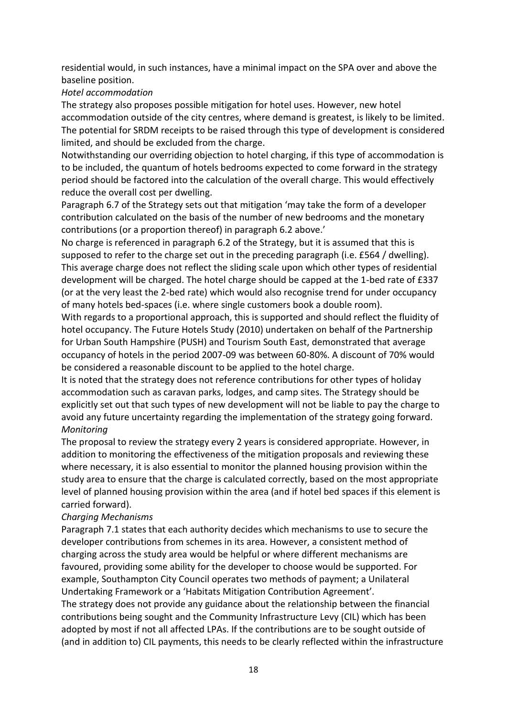residential would, in such instances, have a minimal impact on the SPA over and above the baseline position.

### *Hotel accommodation*

The strategy also proposes possible mitigation for hotel uses. However, new hotel accommodation outside of the city centres, where demand is greatest, is likely to be limited. The potential for SRDM receipts to be raised through this type of development is considered limited, and should be excluded from the charge.

Notwithstanding our overriding objection to hotel charging, if this type of accommodation is to be included, the quantum of hotels bedrooms expected to come forward in the strategy period should be factored into the calculation of the overall charge. This would effectively reduce the overall cost per dwelling.

Paragraph 6.7 of the Strategy sets out that mitigation 'may take the form of a developer contribution calculated on the basis of the number of new bedrooms and the monetary contributions (or a proportion thereof) in paragraph 6.2 above.'

No charge is referenced in paragraph 6.2 of the Strategy, but it is assumed that this is supposed to refer to the charge set out in the preceding paragraph (i.e. £564 / dwelling). This average charge does not reflect the sliding scale upon which other types of residential development will be charged. The hotel charge should be capped at the 1-bed rate of £337 (or at the very least the 2-bed rate) which would also recognise trend for under occupancy of many hotels bed-spaces (i.e. where single customers book a double room).

With regards to a proportional approach, this is supported and should reflect the fluidity of hotel occupancy. The Future Hotels Study (2010) undertaken on behalf of the Partnership for Urban South Hampshire (PUSH) and Tourism South East, demonstrated that average occupancy of hotels in the period 2007-09 was between 60-80%. A discount of 70% would be considered a reasonable discount to be applied to the hotel charge.

It is noted that the strategy does not reference contributions for other types of holiday accommodation such as caravan parks, lodges, and camp sites. The Strategy should be explicitly set out that such types of new development will not be liable to pay the charge to avoid any future uncertainty regarding the implementation of the strategy going forward. *Monitoring*

The proposal to review the strategy every 2 years is considered appropriate. However, in addition to monitoring the effectiveness of the mitigation proposals and reviewing these where necessary, it is also essential to monitor the planned housing provision within the study area to ensure that the charge is calculated correctly, based on the most appropriate level of planned housing provision within the area (and if hotel bed spaces if this element is carried forward).

### *Charging Mechanisms*

Paragraph 7.1 states that each authority decides which mechanisms to use to secure the developer contributions from schemes in its area. However, a consistent method of charging across the study area would be helpful or where different mechanisms are favoured, providing some ability for the developer to choose would be supported. For example, Southampton City Council operates two methods of payment; a Unilateral Undertaking Framework or a 'Habitats Mitigation Contribution Agreement'.

The strategy does not provide any guidance about the relationship between the financial contributions being sought and the Community Infrastructure Levy (CIL) which has been adopted by most if not all affected LPAs. If the contributions are to be sought outside of (and in addition to) CIL payments, this needs to be clearly reflected within the infrastructure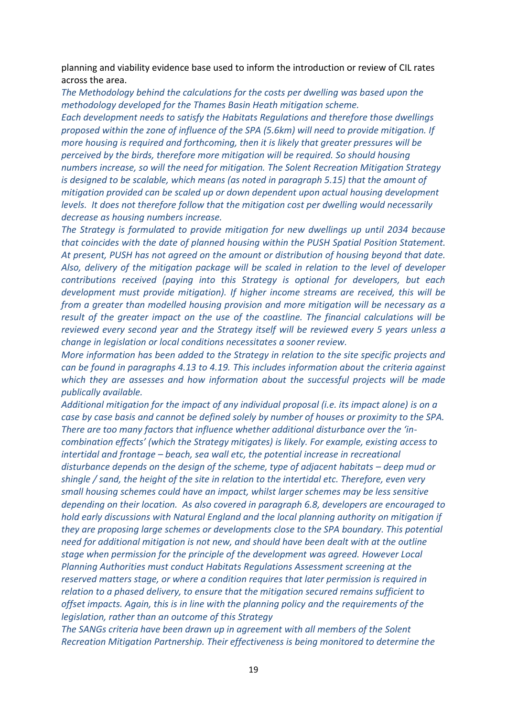planning and viability evidence base used to inform the introduction or review of CIL rates across the area.

*The Methodology behind the calculations for the costs per dwelling was based upon the methodology developed for the Thames Basin Heath mitigation scheme. Each development needs to satisfy the Habitats Regulations and therefore those dwellings* 

*proposed within the zone of influence of the SPA (5.6km) will need to provide mitigation. If more housing is required and forthcoming, then it is likely that greater pressures will be perceived by the birds, therefore more mitigation will be required. So should housing numbers increase, so will the need for mitigation. The Solent Recreation Mitigation Strategy is designed to be scalable, which means (as noted in paragraph 5.15) that the amount of mitigation provided can be scaled up or down dependent upon actual housing development levels. It does not therefore follow that the mitigation cost per dwelling would necessarily decrease as housing numbers increase.* 

*The Strategy is formulated to provide mitigation for new dwellings up until 2034 because that coincides with the date of planned housing within the PUSH Spatial Position Statement. At present, PUSH has not agreed on the amount or distribution of housing beyond that date. Also, delivery of the mitigation package will be scaled in relation to the level of developer contributions received (paying into this Strategy is optional for developers, but each development must provide mitigation). If higher income streams are received, this will be from a greater than modelled housing provision and more mitigation will be necessary as a result of the greater impact on the use of the coastline. The financial calculations will be reviewed every second year and the Strategy itself will be reviewed every 5 years unless a change in legislation or local conditions necessitates a sooner review.*

*More information has been added to the Strategy in relation to the site specific projects and can be found in paragraphs 4.13 to 4.19. This includes information about the criteria against which they are assesses and how information about the successful projects will be made publically available.*

*Additional mitigation for the impact of any individual proposal (i.e. its impact alone) is on a case by case basis and cannot be defined solely by number of houses or proximity to the SPA. There are too many factors that influence whether additional disturbance over the 'incombination effects' (which the Strategy mitigates) is likely. For example, existing access to intertidal and frontage – beach, sea wall etc, the potential increase in recreational disturbance depends on the design of the scheme, type of adjacent habitats – deep mud or shingle / sand, the height of the site in relation to the intertidal etc. Therefore, even very small housing schemes could have an impact, whilst larger schemes may be less sensitive depending on their location. As also covered in paragraph 6.8, developers are encouraged to hold early discussions with Natural England and the local planning authority on mitigation if they are proposing large schemes or developments close to the SPA boundary. This potential need for additional mitigation is not new, and should have been dealt with at the outline stage when permission for the principle of the development was agreed. However Local Planning Authorities must conduct Habitats Regulations Assessment screening at the reserved matters stage, or where a condition requires that later permission is required in relation to a phased delivery, to ensure that the mitigation secured remains sufficient to offset impacts. Again, this is in line with the planning policy and the requirements of the legislation, rather than an outcome of this Strategy*

*The SANGs criteria have been drawn up in agreement with all members of the Solent Recreation Mitigation Partnership. Their effectiveness is being monitored to determine the*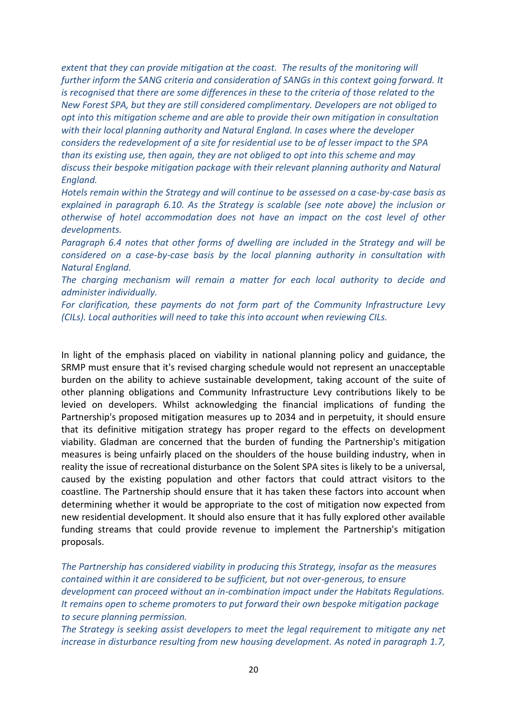*extent that they can provide mitigation at the coast. The results of the monitoring will further inform the SANG criteria and consideration of SANGs in this context going forward. It is recognised that there are some differences in these to the criteria of those related to the New Forest SPA, but they are still considered complimentary. Developers are not obliged to opt into this mitigation scheme and are able to provide their own mitigation in consultation with their local planning authority and Natural England. In cases where the developer considers the redevelopment of a site for residential use to be of lesser impact to the SPA than its existing use, then again, they are not obliged to opt into this scheme and may discuss their bespoke mitigation package with their relevant planning authority and Natural England.* 

*Hotels remain within the Strategy and will continue to be assessed on a case-by-case basis as explained in paragraph 6.10. As the Strategy is scalable (see note above) the inclusion or otherwise of hotel accommodation does not have an impact on the cost level of other developments.*

*Paragraph 6.4 notes that other forms of dwelling are included in the Strategy and will be considered on a case-by-case basis by the local planning authority in consultation with Natural England.*

*The charging mechanism will remain a matter for each local authority to decide and administer individually.*

*For clarification, these payments do not form part of the Community Infrastructure Levy (CILs). Local authorities will need to take this into account when reviewing CILs.*

In light of the emphasis placed on viability in national planning policy and guidance, the SRMP must ensure that it's revised charging schedule would not represent an unacceptable burden on the ability to achieve sustainable development, taking account of the suite of other planning obligations and Community Infrastructure Levy contributions likely to be levied on developers. Whilst acknowledging the financial implications of funding the Partnership's proposed mitigation measures up to 2034 and in perpetuity, it should ensure that its definitive mitigation strategy has proper regard to the effects on development viability. Gladman are concerned that the burden of funding the Partnership's mitigation measures is being unfairly placed on the shoulders of the house building industry, when in reality the issue of recreational disturbance on the Solent SPA sites is likely to be a universal, caused by the existing population and other factors that could attract visitors to the coastline. The Partnership should ensure that it has taken these factors into account when determining whether it would be appropriate to the cost of mitigation now expected from new residential development. It should also ensure that it has fully explored other available funding streams that could provide revenue to implement the Partnership's mitigation proposals.

*The Partnership has considered viability in producing this Strategy, insofar as the measures contained within it are considered to be sufficient, but not over-generous, to ensure development can proceed without an in-combination impact under the Habitats Regulations. It remains open to scheme promoters to put forward their own bespoke mitigation package to secure planning permission.*

*The Strategy is seeking assist developers to meet the legal requirement to mitigate any net increase in disturbance resulting from new housing development. As noted in paragraph 1.7,*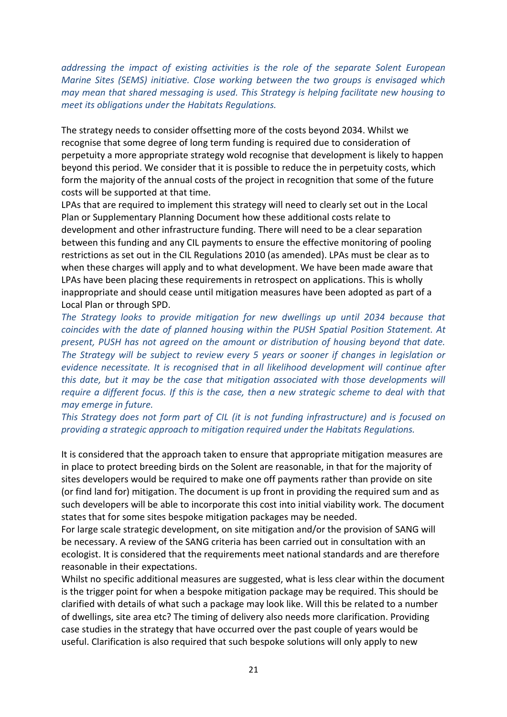*addressing the impact of existing activities is the role of the separate Solent European Marine Sites (SEMS) initiative. Close working between the two groups is envisaged which may mean that shared messaging is used. This Strategy is helping facilitate new housing to meet its obligations under the Habitats Regulations.* 

The strategy needs to consider offsetting more of the costs beyond 2034. Whilst we recognise that some degree of long term funding is required due to consideration of perpetuity a more appropriate strategy wold recognise that development is likely to happen beyond this period. We consider that it is possible to reduce the in perpetuity costs, which form the majority of the annual costs of the project in recognition that some of the future costs will be supported at that time.

LPAs that are required to implement this strategy will need to clearly set out in the Local Plan or Supplementary Planning Document how these additional costs relate to development and other infrastructure funding. There will need to be a clear separation between this funding and any CIL payments to ensure the effective monitoring of pooling restrictions as set out in the CIL Regulations 2010 (as amended). LPAs must be clear as to when these charges will apply and to what development. We have been made aware that LPAs have been placing these requirements in retrospect on applications. This is wholly inappropriate and should cease until mitigation measures have been adopted as part of a Local Plan or through SPD.

*The Strategy looks to provide mitigation for new dwellings up until 2034 because that coincides with the date of planned housing within the PUSH Spatial Position Statement. At present, PUSH has not agreed on the amount or distribution of housing beyond that date. The Strategy will be subject to review every 5 years or sooner if changes in legislation or evidence necessitate. It is recognised that in all likelihood development will continue after this date, but it may be the case that mitigation associated with those developments will require a different focus. If this is the case, then a new strategic scheme to deal with that may emerge in future.* 

*This Strategy does not form part of CIL (it is not funding infrastructure) and is focused on providing a strategic approach to mitigation required under the Habitats Regulations.*

It is considered that the approach taken to ensure that appropriate mitigation measures are in place to protect breeding birds on the Solent are reasonable, in that for the majority of sites developers would be required to make one off payments rather than provide on site (or find land for) mitigation. The document is up front in providing the required sum and as such developers will be able to incorporate this cost into initial viability work. The document states that for some sites bespoke mitigation packages may be needed.

For large scale strategic development, on site mitigation and/or the provision of SANG will be necessary. A review of the SANG criteria has been carried out in consultation with an ecologist. It is considered that the requirements meet national standards and are therefore reasonable in their expectations.

Whilst no specific additional measures are suggested, what is less clear within the document is the trigger point for when a bespoke mitigation package may be required. This should be clarified with details of what such a package may look like. Will this be related to a number of dwellings, site area etc? The timing of delivery also needs more clarification. Providing case studies in the strategy that have occurred over the past couple of years would be useful. Clarification is also required that such bespoke solutions will only apply to new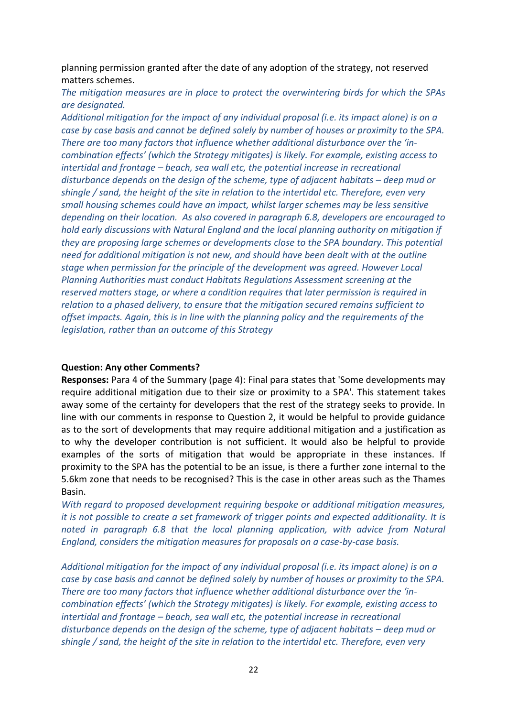planning permission granted after the date of any adoption of the strategy, not reserved matters schemes.

*The mitigation measures are in place to protect the overwintering birds for which the SPAs are designated.*

*Additional mitigation for the impact of any individual proposal (i.e. its impact alone) is on a case by case basis and cannot be defined solely by number of houses or proximity to the SPA. There are too many factors that influence whether additional disturbance over the 'incombination effects' (which the Strategy mitigates) is likely. For example, existing access to intertidal and frontage – beach, sea wall etc, the potential increase in recreational disturbance depends on the design of the scheme, type of adjacent habitats – deep mud or shingle / sand, the height of the site in relation to the intertidal etc. Therefore, even very small housing schemes could have an impact, whilst larger schemes may be less sensitive depending on their location. As also covered in paragraph 6.8, developers are encouraged to hold early discussions with Natural England and the local planning authority on mitigation if they are proposing large schemes or developments close to the SPA boundary. This potential need for additional mitigation is not new, and should have been dealt with at the outline stage when permission for the principle of the development was agreed. However Local Planning Authorities must conduct Habitats Regulations Assessment screening at the reserved matters stage, or where a condition requires that later permission is required in relation to a phased delivery, to ensure that the mitigation secured remains sufficient to offset impacts. Again, this is in line with the planning policy and the requirements of the legislation, rather than an outcome of this Strategy*

#### **Question: Any other Comments?**

**Responses:** Para 4 of the Summary (page 4): Final para states that 'Some developments may require additional mitigation due to their size or proximity to a SPA'. This statement takes away some of the certainty for developers that the rest of the strategy seeks to provide. In line with our comments in response to Question 2, it would be helpful to provide guidance as to the sort of developments that may require additional mitigation and a justification as to why the developer contribution is not sufficient. It would also be helpful to provide examples of the sorts of mitigation that would be appropriate in these instances. If proximity to the SPA has the potential to be an issue, is there a further zone internal to the 5.6km zone that needs to be recognised? This is the case in other areas such as the Thames Basin.

*With regard to proposed development requiring bespoke or additional mitigation measures, it is not possible to create a set framework of trigger points and expected additionality. It is noted in paragraph 6.8 that the local planning application, with advice from Natural England, considers the mitigation measures for proposals on a case-by-case basis.* 

*Additional mitigation for the impact of any individual proposal (i.e. its impact alone) is on a case by case basis and cannot be defined solely by number of houses or proximity to the SPA. There are too many factors that influence whether additional disturbance over the 'incombination effects' (which the Strategy mitigates) is likely. For example, existing access to intertidal and frontage – beach, sea wall etc, the potential increase in recreational disturbance depends on the design of the scheme, type of adjacent habitats – deep mud or shingle / sand, the height of the site in relation to the intertidal etc. Therefore, even very*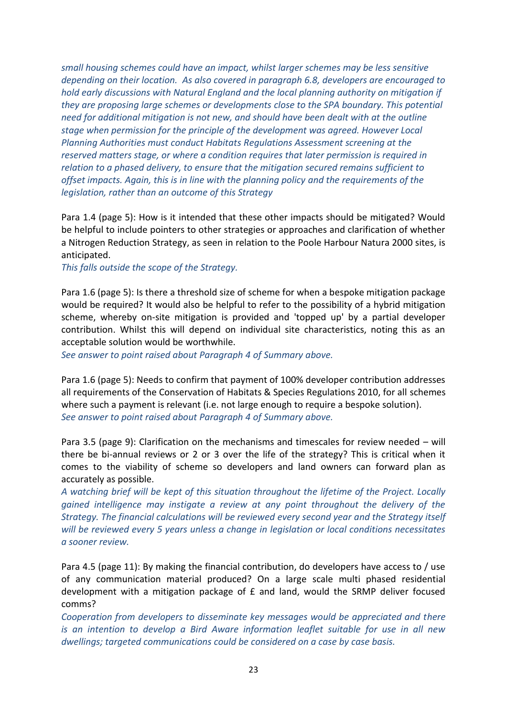*small housing schemes could have an impact, whilst larger schemes may be less sensitive depending on their location. As also covered in paragraph 6.8, developers are encouraged to hold early discussions with Natural England and the local planning authority on mitigation if they are proposing large schemes or developments close to the SPA boundary. This potential need for additional mitigation is not new, and should have been dealt with at the outline stage when permission for the principle of the development was agreed. However Local Planning Authorities must conduct Habitats Regulations Assessment screening at the reserved matters stage, or where a condition requires that later permission is required in relation to a phased delivery, to ensure that the mitigation secured remains sufficient to offset impacts. Again, this is in line with the planning policy and the requirements of the legislation, rather than an outcome of this Strategy*

Para 1.4 (page 5): How is it intended that these other impacts should be mitigated? Would be helpful to include pointers to other strategies or approaches and clarification of whether a Nitrogen Reduction Strategy, as seen in relation to the Poole Harbour Natura 2000 sites, is anticipated.

*This falls outside the scope of the Strategy.* 

Para 1.6 (page 5): Is there a threshold size of scheme for when a bespoke mitigation package would be required? It would also be helpful to refer to the possibility of a hybrid mitigation scheme, whereby on-site mitigation is provided and 'topped up' by a partial developer contribution. Whilst this will depend on individual site characteristics, noting this as an acceptable solution would be worthwhile.

*See answer to point raised about Paragraph 4 of Summary above.*

Para 1.6 (page 5): Needs to confirm that payment of 100% developer contribution addresses all requirements of the Conservation of Habitats & Species Regulations 2010, for all schemes where such a payment is relevant (i.e. not large enough to require a bespoke solution). *See answer to point raised about Paragraph 4 of Summary above.*

Para 3.5 (page 9): Clarification on the mechanisms and timescales for review needed – will there be bi-annual reviews or 2 or 3 over the life of the strategy? This is critical when it comes to the viability of scheme so developers and land owners can forward plan as accurately as possible.

*A watching brief will be kept of this situation throughout the lifetime of the Project. Locally gained intelligence may instigate a review at any point throughout the delivery of the Strategy. The financial calculations will be reviewed every second year and the Strategy itself will be reviewed every 5 years unless a change in legislation or local conditions necessitates a sooner review.*

Para 4.5 (page 11): By making the financial contribution, do developers have access to / use of any communication material produced? On a large scale multi phased residential development with a mitigation package of  $f$  and land, would the SRMP deliver focused comms?

*Cooperation from developers to disseminate key messages would be appreciated and there is an intention to develop a Bird Aware information leaflet suitable for use in all new dwellings; targeted communications could be considered on a case by case basis.*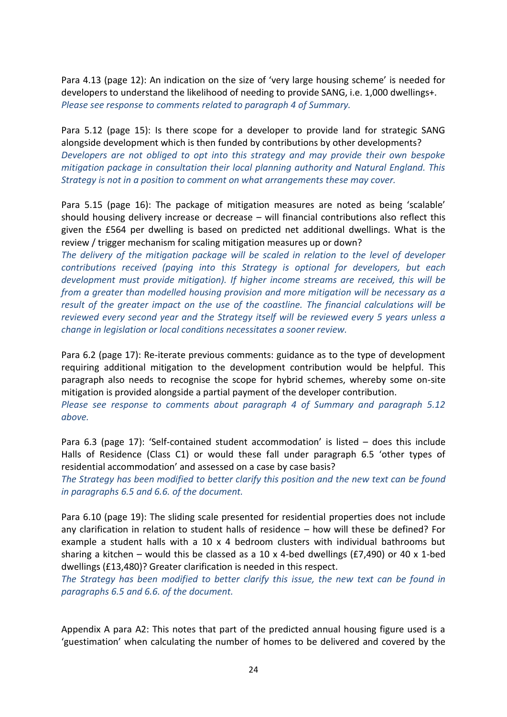Para 4.13 (page 12): An indication on the size of 'very large housing scheme' is needed for developers to understand the likelihood of needing to provide SANG, i.e. 1,000 dwellings+. *Please see response to comments related to paragraph 4 of Summary.*

Para 5.12 (page 15): Is there scope for a developer to provide land for strategic SANG alongside development which is then funded by contributions by other developments? *Developers are not obliged to opt into this strategy and may provide their own bespoke mitigation package in consultation their local planning authority and Natural England. This Strategy is not in a position to comment on what arrangements these may cover.*

Para 5.15 (page 16): The package of mitigation measures are noted as being 'scalable' should housing delivery increase or decrease – will financial contributions also reflect this given the £564 per dwelling is based on predicted net additional dwellings. What is the review / trigger mechanism for scaling mitigation measures up or down?

*The delivery of the mitigation package will be scaled in relation to the level of developer contributions received (paying into this Strategy is optional for developers, but each development must provide mitigation). If higher income streams are received, this will be from a greater than modelled housing provision and more mitigation will be necessary as a result of the greater impact on the use of the coastline. The financial calculations will be reviewed every second year and the Strategy itself will be reviewed every 5 years unless a change in legislation or local conditions necessitates a sooner review.*

Para 6.2 (page 17): Re-iterate previous comments: guidance as to the type of development requiring additional mitigation to the development contribution would be helpful. This paragraph also needs to recognise the scope for hybrid schemes, whereby some on-site mitigation is provided alongside a partial payment of the developer contribution.

*Please see response to comments about paragraph 4 of Summary and paragraph 5.12 above.*

Para 6.3 (page 17): 'Self-contained student accommodation' is listed – does this include Halls of Residence (Class C1) or would these fall under paragraph 6.5 'other types of residential accommodation' and assessed on a case by case basis?

*The Strategy has been modified to better clarify this position and the new text can be found in paragraphs 6.5 and 6.6. of the document.*

Para 6.10 (page 19): The sliding scale presented for residential properties does not include any clarification in relation to student halls of residence – how will these be defined? For example a student halls with a 10 x 4 bedroom clusters with individual bathrooms but sharing a kitchen – would this be classed as a 10 x 4-bed dwellings (£7,490) or 40 x 1-bed dwellings (£13,480)? Greater clarification is needed in this respect.

*The Strategy has been modified to better clarify this issue, the new text can be found in paragraphs 6.5 and 6.6. of the document.*

Appendix A para A2: This notes that part of the predicted annual housing figure used is a 'guestimation' when calculating the number of homes to be delivered and covered by the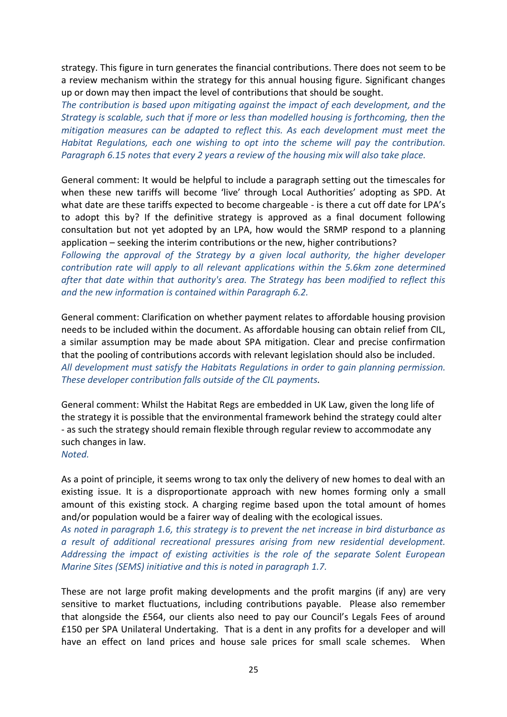strategy. This figure in turn generates the financial contributions. There does not seem to be a review mechanism within the strategy for this annual housing figure. Significant changes up or down may then impact the level of contributions that should be sought.

*The contribution is based upon mitigating against the impact of each development, and the Strategy is scalable, such that if more or less than modelled housing is forthcoming, then the mitigation measures can be adapted to reflect this. As each development must meet the Habitat Regulations, each one wishing to opt into the scheme will pay the contribution. Paragraph 6.15 notes that every 2 years a review of the housing mix will also take place.*

General comment: It would be helpful to include a paragraph setting out the timescales for when these new tariffs will become 'live' through Local Authorities' adopting as SPD. At what date are these tariffs expected to become chargeable - is there a cut off date for LPA's to adopt this by? If the definitive strategy is approved as a final document following consultation but not yet adopted by an LPA, how would the SRMP respond to a planning application – seeking the interim contributions or the new, higher contributions?

*Following the approval of the Strategy by a given local authority, the higher developer contribution rate will apply to all relevant applications within the 5.6km zone determined after that date within that authority's area. The Strategy has been modified to reflect this and the new information is contained within Paragraph 6.2.*

General comment: Clarification on whether payment relates to affordable housing provision needs to be included within the document. As affordable housing can obtain relief from CIL, a similar assumption may be made about SPA mitigation. Clear and precise confirmation that the pooling of contributions accords with relevant legislation should also be included. *All development must satisfy the Habitats Regulations in order to gain planning permission. These developer contribution falls outside of the CIL payments.*

General comment: Whilst the Habitat Regs are embedded in UK Law, given the long life of the strategy it is possible that the environmental framework behind the strategy could alter - as such the strategy should remain flexible through regular review to accommodate any such changes in law.

*Noted.*

As a point of principle, it seems wrong to tax only the delivery of new homes to deal with an existing issue. It is a disproportionate approach with new homes forming only a small amount of this existing stock. A charging regime based upon the total amount of homes and/or population would be a fairer way of dealing with the ecological issues.

*As noted in paragraph 1.6, this strategy is to prevent the net increase in bird disturbance as a result of additional recreational pressures arising from new residential development. Addressing the impact of existing activities is the role of the separate Solent European Marine Sites (SEMS) initiative and this is noted in paragraph 1.7.*

These are not large profit making developments and the profit margins (if any) are very sensitive to market fluctuations, including contributions payable. Please also remember that alongside the £564, our clients also need to pay our Council's Legals Fees of around £150 per SPA Unilateral Undertaking. That is a dent in any profits for a developer and will have an effect on land prices and house sale prices for small scale schemes. When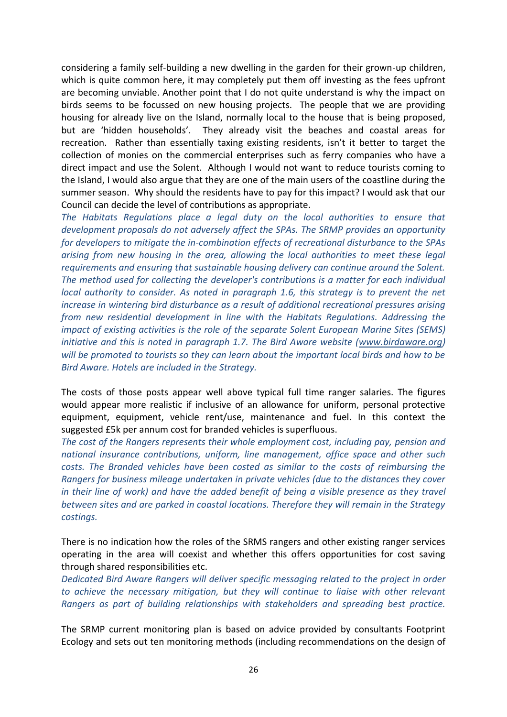considering a family self-building a new dwelling in the garden for their grown-up children, which is quite common here, it may completely put them off investing as the fees upfront are becoming unviable. Another point that I do not quite understand is why the impact on birds seems to be focussed on new housing projects. The people that we are providing housing for already live on the Island, normally local to the house that is being proposed, but are 'hidden households'. They already visit the beaches and coastal areas for recreation. Rather than essentially taxing existing residents, isn't it better to target the collection of monies on the commercial enterprises such as ferry companies who have a direct impact and use the Solent. Although I would not want to reduce tourists coming to the Island, I would also argue that they are one of the main users of the coastline during the summer season. Why should the residents have to pay for this impact? I would ask that our Council can decide the level of contributions as appropriate.

*The Habitats Regulations place a legal duty on the local authorities to ensure that development proposals do not adversely affect the SPAs. The SRMP provides an opportunity for developers to mitigate the in-combination effects of recreational disturbance to the SPAs arising from new housing in the area, allowing the local authorities to meet these legal requirements and ensuring that sustainable housing delivery can continue around the Solent. The method used for collecting the developer's contributions is a matter for each individual local authority to consider. As noted in paragraph 1.6, this strategy is to prevent the net increase in wintering bird disturbance as a result of additional recreational pressures arising from new residential development in line with the Habitats Regulations. Addressing the impact of existing activities is the role of the separate Solent European Marine Sites (SEMS) initiative and this is noted in paragraph 1.7. The Bird Aware website [\(www.birdaware.org\)](http://www.birdaware.org/) will be promoted to tourists so they can learn about the important local birds and how to be Bird Aware. Hotels are included in the Strategy.* 

The costs of those posts appear well above typical full time ranger salaries. The figures would appear more realistic if inclusive of an allowance for uniform, personal protective equipment, equipment, vehicle rent/use, maintenance and fuel. In this context the suggested £5k per annum cost for branded vehicles is superfluous.

*The cost of the Rangers represents their whole employment cost, including pay, pension and national insurance contributions, uniform, line management, office space and other such costs. The Branded vehicles have been costed as similar to the costs of reimbursing the Rangers for business mileage undertaken in private vehicles (due to the distances they cover in their line of work) and have the added benefit of being a visible presence as they travel between sites and are parked in coastal locations. Therefore they will remain in the Strategy costings.*

There is no indication how the roles of the SRMS rangers and other existing ranger services operating in the area will coexist and whether this offers opportunities for cost saving through shared responsibilities etc.

*Dedicated Bird Aware Rangers will deliver specific messaging related to the project in order to achieve the necessary mitigation, but they will continue to liaise with other relevant Rangers as part of building relationships with stakeholders and spreading best practice.* 

The SRMP current monitoring plan is based on advice provided by consultants Footprint Ecology and sets out ten monitoring methods (including recommendations on the design of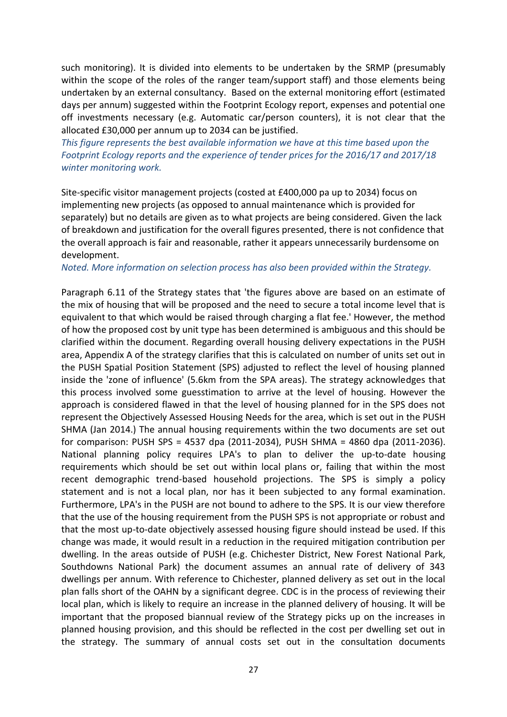such monitoring). It is divided into elements to be undertaken by the SRMP (presumably within the scope of the roles of the ranger team/support staff) and those elements being undertaken by an external consultancy. Based on the external monitoring effort (estimated days per annum) suggested within the Footprint Ecology report, expenses and potential one off investments necessary (e.g. Automatic car/person counters), it is not clear that the allocated £30,000 per annum up to 2034 can be justified.

*This figure represents the best available information we have at this time based upon the Footprint Ecology reports and the experience of tender prices for the 2016/17 and 2017/18 winter monitoring work.*

Site-specific visitor management projects (costed at £400,000 pa up to 2034) focus on implementing new projects (as opposed to annual maintenance which is provided for separately) but no details are given as to what projects are being considered. Given the lack of breakdown and justification for the overall figures presented, there is not confidence that the overall approach is fair and reasonable, rather it appears unnecessarily burdensome on development.

#### *Noted. More information on selection process has also been provided within the Strategy.*

Paragraph 6.11 of the Strategy states that 'the figures above are based on an estimate of the mix of housing that will be proposed and the need to secure a total income level that is equivalent to that which would be raised through charging a flat fee.' However, the method of how the proposed cost by unit type has been determined is ambiguous and this should be clarified within the document. Regarding overall housing delivery expectations in the PUSH area, Appendix A of the strategy clarifies that this is calculated on number of units set out in the PUSH Spatial Position Statement (SPS) adjusted to reflect the level of housing planned inside the 'zone of influence' (5.6km from the SPA areas). The strategy acknowledges that this process involved some guesstimation to arrive at the level of housing. However the approach is considered flawed in that the level of housing planned for in the SPS does not represent the Objectively Assessed Housing Needs for the area, which is set out in the PUSH SHMA (Jan 2014.) The annual housing requirements within the two documents are set out for comparison: PUSH SPS = 4537 dpa (2011-2034), PUSH SHMA = 4860 dpa (2011-2036). National planning policy requires LPA's to plan to deliver the up-to-date housing requirements which should be set out within local plans or, failing that within the most recent demographic trend-based household projections. The SPS is simply a policy statement and is not a local plan, nor has it been subjected to any formal examination. Furthermore, LPA's in the PUSH are not bound to adhere to the SPS. It is our view therefore that the use of the housing requirement from the PUSH SPS is not appropriate or robust and that the most up-to-date objectively assessed housing figure should instead be used. If this change was made, it would result in a reduction in the required mitigation contribution per dwelling. In the areas outside of PUSH (e.g. Chichester District, New Forest National Park, Southdowns National Park) the document assumes an annual rate of delivery of 343 dwellings per annum. With reference to Chichester, planned delivery as set out in the local plan falls short of the OAHN by a significant degree. CDC is in the process of reviewing their local plan, which is likely to require an increase in the planned delivery of housing. It will be important that the proposed biannual review of the Strategy picks up on the increases in planned housing provision, and this should be reflected in the cost per dwelling set out in the strategy. The summary of annual costs set out in the consultation documents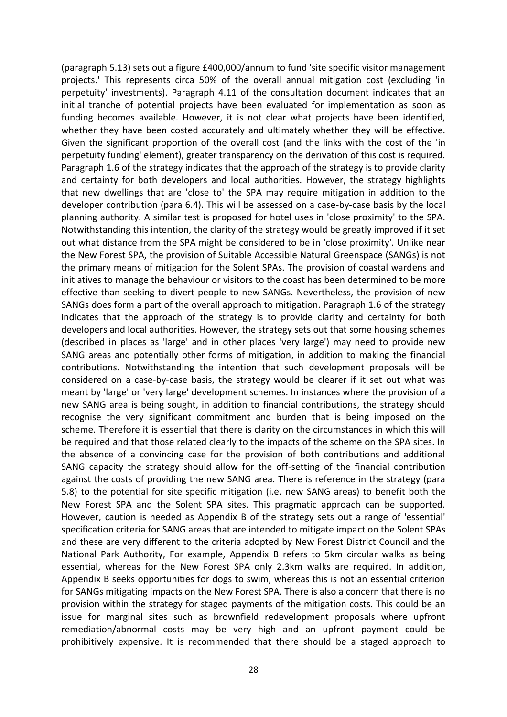(paragraph 5.13) sets out a figure £400,000/annum to fund 'site specific visitor management projects.' This represents circa 50% of the overall annual mitigation cost (excluding 'in perpetuity' investments). Paragraph 4.11 of the consultation document indicates that an initial tranche of potential projects have been evaluated for implementation as soon as funding becomes available. However, it is not clear what projects have been identified, whether they have been costed accurately and ultimately whether they will be effective. Given the significant proportion of the overall cost (and the links with the cost of the 'in perpetuity funding' element), greater transparency on the derivation of this cost is required. Paragraph 1.6 of the strategy indicates that the approach of the strategy is to provide clarity and certainty for both developers and local authorities. However, the strategy highlights that new dwellings that are 'close to' the SPA may require mitigation in addition to the developer contribution (para 6.4). This will be assessed on a case-by-case basis by the local planning authority. A similar test is proposed for hotel uses in 'close proximity' to the SPA. Notwithstanding this intention, the clarity of the strategy would be greatly improved if it set out what distance from the SPA might be considered to be in 'close proximity'. Unlike near the New Forest SPA, the provision of Suitable Accessible Natural Greenspace (SANGs) is not the primary means of mitigation for the Solent SPAs. The provision of coastal wardens and initiatives to manage the behaviour or visitors to the coast has been determined to be more effective than seeking to divert people to new SANGs. Nevertheless, the provision of new SANGs does form a part of the overall approach to mitigation. Paragraph 1.6 of the strategy indicates that the approach of the strategy is to provide clarity and certainty for both developers and local authorities. However, the strategy sets out that some housing schemes (described in places as 'large' and in other places 'very large') may need to provide new SANG areas and potentially other forms of mitigation, in addition to making the financial contributions. Notwithstanding the intention that such development proposals will be considered on a case-by-case basis, the strategy would be clearer if it set out what was meant by 'large' or 'very large' development schemes. In instances where the provision of a new SANG area is being sought, in addition to financial contributions, the strategy should recognise the very significant commitment and burden that is being imposed on the scheme. Therefore it is essential that there is clarity on the circumstances in which this will be required and that those related clearly to the impacts of the scheme on the SPA sites. In the absence of a convincing case for the provision of both contributions and additional SANG capacity the strategy should allow for the off-setting of the financial contribution against the costs of providing the new SANG area. There is reference in the strategy (para 5.8) to the potential for site specific mitigation (i.e. new SANG areas) to benefit both the New Forest SPA and the Solent SPA sites. This pragmatic approach can be supported. However, caution is needed as Appendix B of the strategy sets out a range of 'essential' specification criteria for SANG areas that are intended to mitigate impact on the Solent SPAs and these are very different to the criteria adopted by New Forest District Council and the National Park Authority, For example, Appendix B refers to 5km circular walks as being essential, whereas for the New Forest SPA only 2.3km walks are required. In addition, Appendix B seeks opportunities for dogs to swim, whereas this is not an essential criterion for SANGs mitigating impacts on the New Forest SPA. There is also a concern that there is no provision within the strategy for staged payments of the mitigation costs. This could be an issue for marginal sites such as brownfield redevelopment proposals where upfront remediation/abnormal costs may be very high and an upfront payment could be prohibitively expensive. It is recommended that there should be a staged approach to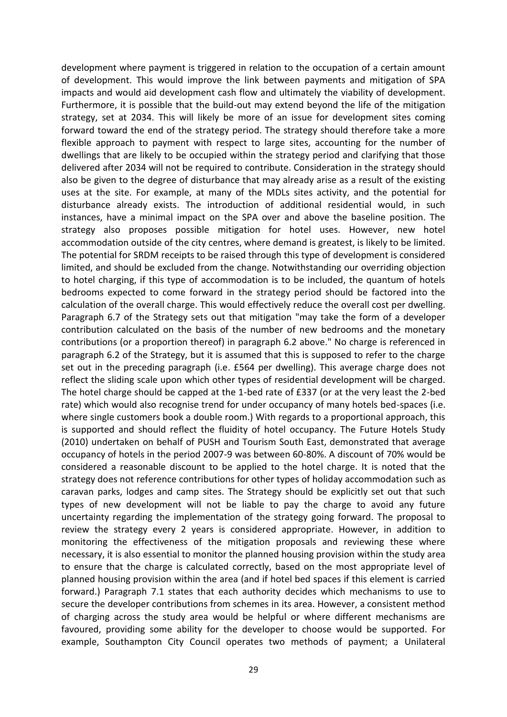development where payment is triggered in relation to the occupation of a certain amount of development. This would improve the link between payments and mitigation of SPA impacts and would aid development cash flow and ultimately the viability of development. Furthermore, it is possible that the build-out may extend beyond the life of the mitigation strategy, set at 2034. This will likely be more of an issue for development sites coming forward toward the end of the strategy period. The strategy should therefore take a more flexible approach to payment with respect to large sites, accounting for the number of dwellings that are likely to be occupied within the strategy period and clarifying that those delivered after 2034 will not be required to contribute. Consideration in the strategy should also be given to the degree of disturbance that may already arise as a result of the existing uses at the site. For example, at many of the MDLs sites activity, and the potential for disturbance already exists. The introduction of additional residential would, in such instances, have a minimal impact on the SPA over and above the baseline position. The strategy also proposes possible mitigation for hotel uses. However, new hotel accommodation outside of the city centres, where demand is greatest, is likely to be limited. The potential for SRDM receipts to be raised through this type of development is considered limited, and should be excluded from the change. Notwithstanding our overriding objection to hotel charging, if this type of accommodation is to be included, the quantum of hotels bedrooms expected to come forward in the strategy period should be factored into the calculation of the overall charge. This would effectively reduce the overall cost per dwelling. Paragraph 6.7 of the Strategy sets out that mitigation "may take the form of a developer contribution calculated on the basis of the number of new bedrooms and the monetary contributions (or a proportion thereof) in paragraph 6.2 above." No charge is referenced in paragraph 6.2 of the Strategy, but it is assumed that this is supposed to refer to the charge set out in the preceding paragraph (i.e. £564 per dwelling). This average charge does not reflect the sliding scale upon which other types of residential development will be charged. The hotel charge should be capped at the 1-bed rate of £337 (or at the very least the 2-bed rate) which would also recognise trend for under occupancy of many hotels bed-spaces (i.e. where single customers book a double room.) With regards to a proportional approach, this is supported and should reflect the fluidity of hotel occupancy. The Future Hotels Study (2010) undertaken on behalf of PUSH and Tourism South East, demonstrated that average occupancy of hotels in the period 2007-9 was between 60-80%. A discount of 70% would be considered a reasonable discount to be applied to the hotel charge. It is noted that the strategy does not reference contributions for other types of holiday accommodation such as caravan parks, lodges and camp sites. The Strategy should be explicitly set out that such types of new development will not be liable to pay the charge to avoid any future uncertainty regarding the implementation of the strategy going forward. The proposal to review the strategy every 2 years is considered appropriate. However, in addition to monitoring the effectiveness of the mitigation proposals and reviewing these where necessary, it is also essential to monitor the planned housing provision within the study area to ensure that the charge is calculated correctly, based on the most appropriate level of planned housing provision within the area (and if hotel bed spaces if this element is carried forward.) Paragraph 7.1 states that each authority decides which mechanisms to use to secure the developer contributions from schemes in its area. However, a consistent method of charging across the study area would be helpful or where different mechanisms are favoured, providing some ability for the developer to choose would be supported. For example, Southampton City Council operates two methods of payment; a Unilateral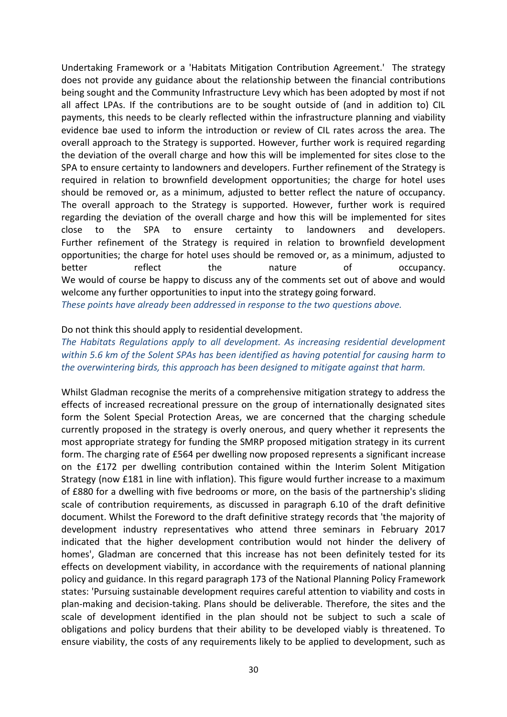Undertaking Framework or a 'Habitats Mitigation Contribution Agreement.' The strategy does not provide any guidance about the relationship between the financial contributions being sought and the Community Infrastructure Levy which has been adopted by most if not all affect LPAs. If the contributions are to be sought outside of (and in addition to) CIL payments, this needs to be clearly reflected within the infrastructure planning and viability evidence bae used to inform the introduction or review of CIL rates across the area. The overall approach to the Strategy is supported. However, further work is required regarding the deviation of the overall charge and how this will be implemented for sites close to the SPA to ensure certainty to landowners and developers. Further refinement of the Strategy is required in relation to brownfield development opportunities; the charge for hotel uses should be removed or, as a minimum, adjusted to better reflect the nature of occupancy. The overall approach to the Strategy is supported. However, further work is required regarding the deviation of the overall charge and how this will be implemented for sites close to the SPA to ensure certainty to landowners and developers. Further refinement of the Strategy is required in relation to brownfield development opportunities; the charge for hotel uses should be removed or, as a minimum, adjusted to better reflect the nature of occupancy. We would of course be happy to discuss any of the comments set out of above and would welcome any further opportunities to input into the strategy going forward. *These points have already been addressed in response to the two questions above.*

#### Do not think this should apply to residential development.

*The Habitats Regulations apply to all development. As increasing residential development within 5.6 km of the Solent SPAs has been identified as having potential for causing harm to the overwintering birds, this approach has been designed to mitigate against that harm.*

Whilst Gladman recognise the merits of a comprehensive mitigation strategy to address the effects of increased recreational pressure on the group of internationally designated sites form the Solent Special Protection Areas, we are concerned that the charging schedule currently proposed in the strategy is overly onerous, and query whether it represents the most appropriate strategy for funding the SMRP proposed mitigation strategy in its current form. The charging rate of £564 per dwelling now proposed represents a significant increase on the £172 per dwelling contribution contained within the Interim Solent Mitigation Strategy (now £181 in line with inflation). This figure would further increase to a maximum of £880 for a dwelling with five bedrooms or more, on the basis of the partnership's sliding scale of contribution requirements, as discussed in paragraph 6.10 of the draft definitive document. Whilst the Foreword to the draft definitive strategy records that 'the majority of development industry representatives who attend three seminars in February 2017 indicated that the higher development contribution would not hinder the delivery of homes', Gladman are concerned that this increase has not been definitely tested for its effects on development viability, in accordance with the requirements of national planning policy and guidance. In this regard paragraph 173 of the National Planning Policy Framework states: 'Pursuing sustainable development requires careful attention to viability and costs in plan-making and decision-taking. Plans should be deliverable. Therefore, the sites and the scale of development identified in the plan should not be subject to such a scale of obligations and policy burdens that their ability to be developed viably is threatened. To ensure viability, the costs of any requirements likely to be applied to development, such as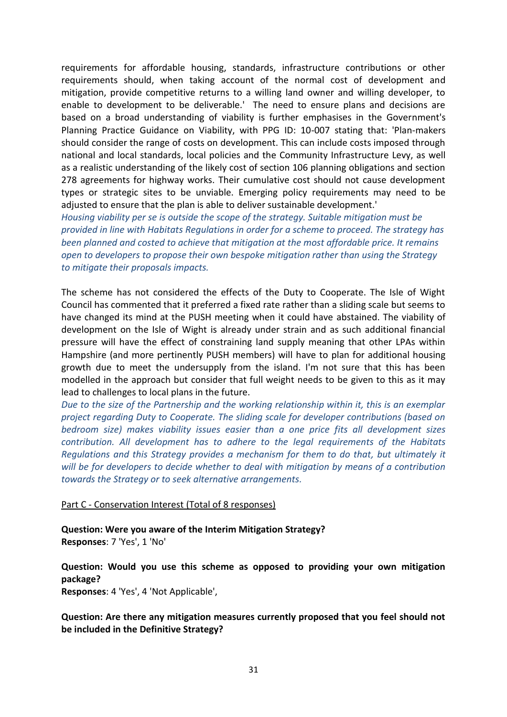requirements for affordable housing, standards, infrastructure contributions or other requirements should, when taking account of the normal cost of development and mitigation, provide competitive returns to a willing land owner and willing developer, to enable to development to be deliverable.' The need to ensure plans and decisions are based on a broad understanding of viability is further emphasises in the Government's Planning Practice Guidance on Viability, with PPG ID: 10-007 stating that: 'Plan-makers should consider the range of costs on development. This can include costs imposed through national and local standards, local policies and the Community Infrastructure Levy, as well as a realistic understanding of the likely cost of section 106 planning obligations and section 278 agreements for highway works. Their cumulative cost should not cause development types or strategic sites to be unviable. Emerging policy requirements may need to be adjusted to ensure that the plan is able to deliver sustainable development.'

*Housing viability per se is outside the scope of the strategy. Suitable mitigation must be provided in line with Habitats Regulations in order for a scheme to proceed. The strategy has been planned and costed to achieve that mitigation at the most affordable price. It remains open to developers to propose their own bespoke mitigation rather than using the Strategy to mitigate their proposals impacts.* 

The scheme has not considered the effects of the Duty to Cooperate. The Isle of Wight Council has commented that it preferred a fixed rate rather than a sliding scale but seems to have changed its mind at the PUSH meeting when it could have abstained. The viability of development on the Isle of Wight is already under strain and as such additional financial pressure will have the effect of constraining land supply meaning that other LPAs within Hampshire (and more pertinently PUSH members) will have to plan for additional housing growth due to meet the undersupply from the island. I'm not sure that this has been modelled in the approach but consider that full weight needs to be given to this as it may lead to challenges to local plans in the future.

*Due to the size of the Partnership and the working relationship within it, this is an exemplar project regarding Duty to Cooperate. The sliding scale for developer contributions (based on bedroom size) makes viability issues easier than a one price fits all development sizes contribution. All development has to adhere to the legal requirements of the Habitats Regulations and this Strategy provides a mechanism for them to do that, but ultimately it will be for developers to decide whether to deal with mitigation by means of a contribution towards the Strategy or to seek alternative arrangements.*

#### Part C - Conservation Interest (Total of 8 responses)

**Question: Were you aware of the Interim Mitigation Strategy? Responses**: 7 'Yes', 1 'No'

**Question: Would you use this scheme as opposed to providing your own mitigation package?**

**Responses**: 4 'Yes', 4 'Not Applicable',

**Question: Are there any mitigation measures currently proposed that you feel should not be included in the Definitive Strategy?**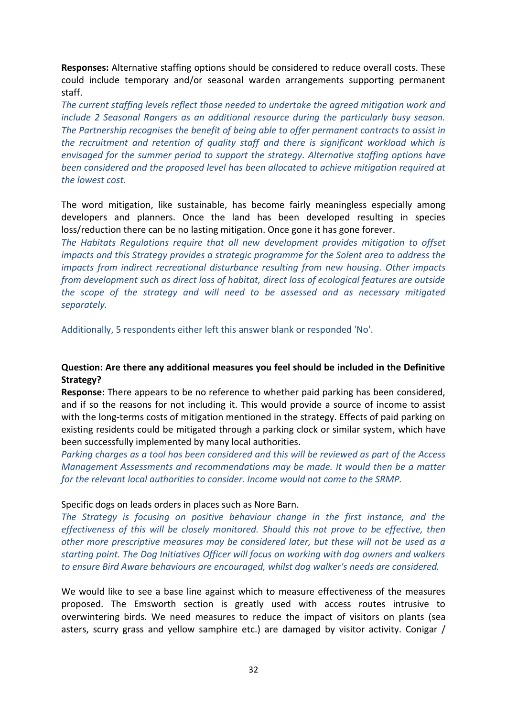**Responses:** Alternative staffing options should be considered to reduce overall costs. These could include temporary and/or seasonal warden arrangements supporting permanent staff.

*The current staffing levels reflect those needed to undertake the agreed mitigation work and include 2 Seasonal Rangers as an additional resource during the particularly busy season. The Partnership recognises the benefit of being able to offer permanent contracts to assist in the recruitment and retention of quality staff and there is significant workload which is envisaged for the summer period to support the strategy. Alternative staffing options have been considered and the proposed level has been allocated to achieve mitigation required at the lowest cost.*

The word mitigation, like sustainable, has become fairly meaningless especially among developers and planners. Once the land has been developed resulting in species loss/reduction there can be no lasting mitigation. Once gone it has gone forever.

*The Habitats Regulations require that all new development provides mitigation to offset impacts and this Strategy provides a strategic programme for the Solent area to address the impacts from indirect recreational disturbance resulting from new housing. Other impacts from development such as direct loss of habitat, direct loss of ecological features are outside the scope of the strategy and will need to be assessed and as necessary mitigated separately.*

Additionally, 5 respondents either left this answer blank or responded 'No'.

### **Question: Are there any additional measures you feel should be included in the Definitive Strategy?**

**Response:** There appears to be no reference to whether paid parking has been considered, and if so the reasons for not including it. This would provide a source of income to assist with the long-terms costs of mitigation mentioned in the strategy. Effects of paid parking on existing residents could be mitigated through a parking clock or similar system, which have been successfully implemented by many local authorities.

*Parking charges as a tool has been considered and this will be reviewed as part of the Access Management Assessments and recommendations may be made. It would then be a matter for the relevant local authorities to consider. Income would not come to the SRMP.* 

#### Specific dogs on leads orders in places such as Nore Barn.

*The Strategy is focusing on positive behaviour change in the first instance, and the effectiveness of this will be closely monitored. Should this not prove to be effective, then other more prescriptive measures may be considered later, but these will not be used as a starting point. The Dog Initiatives Officer will focus on working with dog owners and walkers to ensure Bird Aware behaviours are encouraged, whilst dog walker's needs are considered.*

We would like to see a base line against which to measure effectiveness of the measures proposed. The Emsworth section is greatly used with access routes intrusive to overwintering birds. We need measures to reduce the impact of visitors on plants (sea asters, scurry grass and yellow samphire etc.) are damaged by visitor activity. Conigar /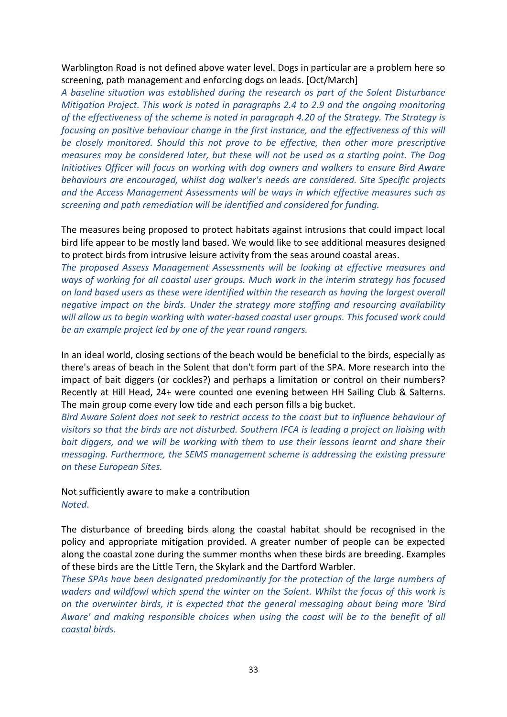Warblington Road is not defined above water level. Dogs in particular are a problem here so screening, path management and enforcing dogs on leads. [Oct/March]

*A baseline situation was established during the research as part of the Solent Disturbance Mitigation Project. This work is noted in paragraphs 2.4 to 2.9 and the ongoing monitoring of the effectiveness of the scheme is noted in paragraph 4.20 of the Strategy. The Strategy is focusing on positive behaviour change in the first instance, and the effectiveness of this will be closely monitored. Should this not prove to be effective, then other more prescriptive measures may be considered later, but these will not be used as a starting point. The Dog Initiatives Officer will focus on working with dog owners and walkers to ensure Bird Aware behaviours are encouraged, whilst dog walker's needs are considered. Site Specific projects and the Access Management Assessments will be ways in which effective measures such as screening and path remediation will be identified and considered for funding.*

The measures being proposed to protect habitats against intrusions that could impact local bird life appear to be mostly land based. We would like to see additional measures designed to protect birds from intrusive leisure activity from the seas around coastal areas.

*The proposed Assess Management Assessments will be looking at effective measures and ways of working for all coastal user groups. Much work in the interim strategy has focused on land based users as these were identified within the research as having the largest overall negative impact on the birds. Under the strategy more staffing and resourcing availability will allow us to begin working with water-based coastal user groups. This focused work could be an example project led by one of the year round rangers.* 

In an ideal world, closing sections of the beach would be beneficial to the birds, especially as there's areas of beach in the Solent that don't form part of the SPA. More research into the impact of bait diggers (or cockles?) and perhaps a limitation or control on their numbers? Recently at Hill Head, 24+ were counted one evening between HH Sailing Club & Salterns. The main group come every low tide and each person fills a big bucket.

*Bird Aware Solent does not seek to restrict access to the coast but to influence behaviour of visitors so that the birds are not disturbed. Southern IFCA is leading a project on liaising with bait diggers, and we will be working with them to use their lessons learnt and share their messaging. Furthermore, the SEMS management scheme is addressing the existing pressure on these European Sites.* 

Not sufficiently aware to make a contribution *Noted*.

The disturbance of breeding birds along the coastal habitat should be recognised in the policy and appropriate mitigation provided. A greater number of people can be expected along the coastal zone during the summer months when these birds are breeding. Examples of these birds are the Little Tern, the Skylark and the Dartford Warbler.

*These SPAs have been designated predominantly for the protection of the large numbers of waders and wildfowl which spend the winter on the Solent. Whilst the focus of this work is on the overwinter birds, it is expected that the general messaging about being more 'Bird Aware' and making responsible choices when using the coast will be to the benefit of all coastal birds.*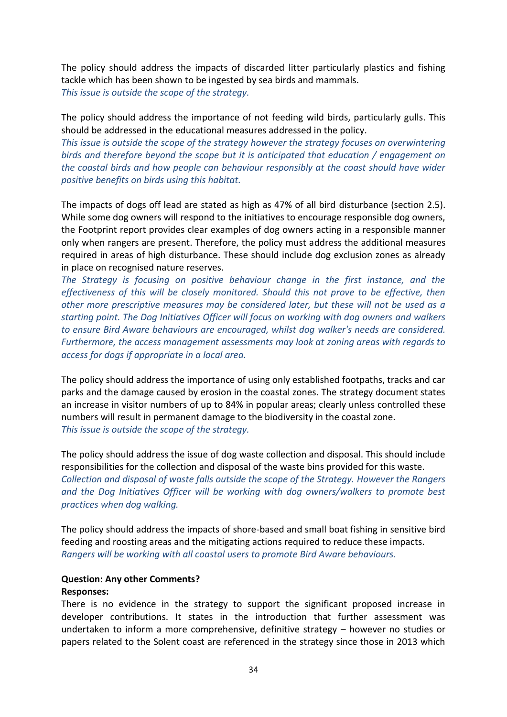The policy should address the impacts of discarded litter particularly plastics and fishing tackle which has been shown to be ingested by sea birds and mammals. *This issue is outside the scope of the strategy.* 

The policy should address the importance of not feeding wild birds, particularly gulls. This should be addressed in the educational measures addressed in the policy.

*This issue is outside the scope of the strategy however the strategy focuses on overwintering birds and therefore beyond the scope but it is anticipated that education / engagement on the coastal birds and how people can behaviour responsibly at the coast should have wider positive benefits on birds using this habitat.*

The impacts of dogs off lead are stated as high as 47% of all bird disturbance (section 2.5). While some dog owners will respond to the initiatives to encourage responsible dog owners, the Footprint report provides clear examples of dog owners acting in a responsible manner only when rangers are present. Therefore, the policy must address the additional measures required in areas of high disturbance. These should include dog exclusion zones as already in place on recognised nature reserves.

*The Strategy is focusing on positive behaviour change in the first instance, and the effectiveness of this will be closely monitored. Should this not prove to be effective, then other more prescriptive measures may be considered later, but these will not be used as a starting point. The Dog Initiatives Officer will focus on working with dog owners and walkers to ensure Bird Aware behaviours are encouraged, whilst dog walker's needs are considered. Furthermore, the access management assessments may look at zoning areas with regards to access for dogs if appropriate in a local area.* 

The policy should address the importance of using only established footpaths, tracks and car parks and the damage caused by erosion in the coastal zones. The strategy document states an increase in visitor numbers of up to 84% in popular areas; clearly unless controlled these numbers will result in permanent damage to the biodiversity in the coastal zone. *This issue is outside the scope of the strategy.*

The policy should address the issue of dog waste collection and disposal. This should include responsibilities for the collection and disposal of the waste bins provided for this waste. *Collection and disposal of waste falls outside the scope of the Strategy. However the Rangers and the Dog Initiatives Officer will be working with dog owners/walkers to promote best practices when dog walking.* 

The policy should address the impacts of shore-based and small boat fishing in sensitive bird feeding and roosting areas and the mitigating actions required to reduce these impacts. *Rangers will be working with all coastal users to promote Bird Aware behaviours.*

### **Question: Any other Comments?**

### **Responses:**

There is no evidence in the strategy to support the significant proposed increase in developer contributions. It states in the introduction that further assessment was undertaken to inform a more comprehensive, definitive strategy – however no studies or papers related to the Solent coast are referenced in the strategy since those in 2013 which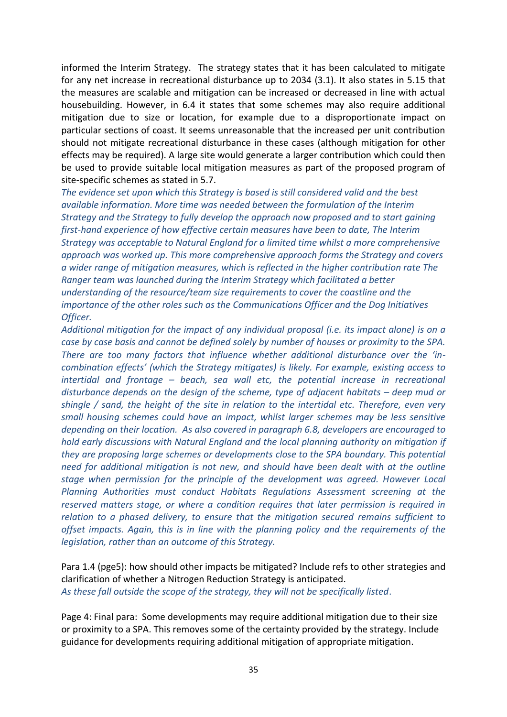informed the Interim Strategy. The strategy states that it has been calculated to mitigate for any net increase in recreational disturbance up to 2034 (3.1). It also states in 5.15 that the measures are scalable and mitigation can be increased or decreased in line with actual housebuilding. However, in 6.4 it states that some schemes may also require additional mitigation due to size or location, for example due to a disproportionate impact on particular sections of coast. It seems unreasonable that the increased per unit contribution should not mitigate recreational disturbance in these cases (although mitigation for other effects may be required). A large site would generate a larger contribution which could then be used to provide suitable local mitigation measures as part of the proposed program of site-specific schemes as stated in 5.7.

*The evidence set upon which this Strategy is based is still considered valid and the best available information. More time was needed between the formulation of the Interim Strategy and the Strategy to fully develop the approach now proposed and to start gaining first-hand experience of how effective certain measures have been to date, The Interim Strategy was acceptable to Natural England for a limited time whilst a more comprehensive approach was worked up. This more comprehensive approach forms the Strategy and covers a wider range of mitigation measures, which is reflected in the higher contribution rate The Ranger team was launched during the Interim Strategy which facilitated a better understanding of the resource/team size requirements to cover the coastline and the importance of the other roles such as the Communications Officer and the Dog Initiatives Officer.*

*Additional mitigation for the impact of any individual proposal (i.e. its impact alone) is on a case by case basis and cannot be defined solely by number of houses or proximity to the SPA. There are too many factors that influence whether additional disturbance over the 'incombination effects' (which the Strategy mitigates) is likely. For example, existing access to intertidal and frontage – beach, sea wall etc, the potential increase in recreational disturbance depends on the design of the scheme, type of adjacent habitats – deep mud or shingle / sand, the height of the site in relation to the intertidal etc. Therefore, even very small housing schemes could have an impact, whilst larger schemes may be less sensitive depending on their location. As also covered in paragraph 6.8, developers are encouraged to hold early discussions with Natural England and the local planning authority on mitigation if they are proposing large schemes or developments close to the SPA boundary. This potential need for additional mitigation is not new, and should have been dealt with at the outline stage when permission for the principle of the development was agreed. However Local Planning Authorities must conduct Habitats Regulations Assessment screening at the reserved matters stage, or where a condition requires that later permission is required in relation to a phased delivery, to ensure that the mitigation secured remains sufficient to offset impacts. Again, this is in line with the planning policy and the requirements of the legislation, rather than an outcome of this Strategy.*

Para 1.4 (pge5): how should other impacts be mitigated? Include refs to other strategies and clarification of whether a Nitrogen Reduction Strategy is anticipated. *As these fall outside the scope of the strategy, they will not be specifically listed*.

Page 4: Final para: Some developments may require additional mitigation due to their size or proximity to a SPA. This removes some of the certainty provided by the strategy. Include guidance for developments requiring additional mitigation of appropriate mitigation.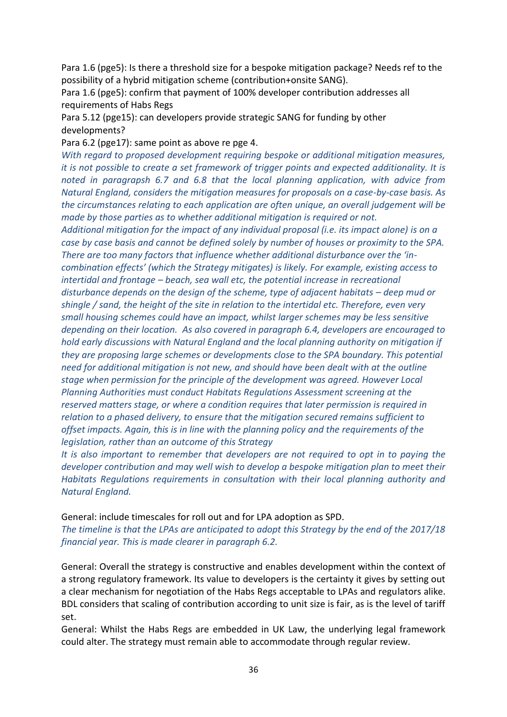Para 1.6 (pge5): Is there a threshold size for a bespoke mitigation package? Needs ref to the possibility of a hybrid mitigation scheme (contribution+onsite SANG).

Para 1.6 (pge5): confirm that payment of 100% developer contribution addresses all requirements of Habs Regs

Para 5.12 (pge15): can developers provide strategic SANG for funding by other developments?

Para 6.2 (pge17): same point as above re pge 4.

*With regard to proposed development requiring bespoke or additional mitigation measures, it is not possible to create a set framework of trigger points and expected additionality. It is noted in paragrapsh 6.7 and 6.8 that the local planning application, with advice from Natural England, considers the mitigation measures for proposals on a case-by-case basis. As the circumstances relating to each application are often unique, an overall judgement will be made by those parties as to whether additional mitigation is required or not.* 

*Additional mitigation for the impact of any individual proposal (i.e. its impact alone) is on a case by case basis and cannot be defined solely by number of houses or proximity to the SPA. There are too many factors that influence whether additional disturbance over the 'incombination effects' (which the Strategy mitigates) is likely. For example, existing access to intertidal and frontage – beach, sea wall etc, the potential increase in recreational disturbance depends on the design of the scheme, type of adjacent habitats – deep mud or shingle / sand, the height of the site in relation to the intertidal etc. Therefore, even very small housing schemes could have an impact, whilst larger schemes may be less sensitive depending on their location. As also covered in paragraph 6.4, developers are encouraged to hold early discussions with Natural England and the local planning authority on mitigation if they are proposing large schemes or developments close to the SPA boundary. This potential need for additional mitigation is not new, and should have been dealt with at the outline stage when permission for the principle of the development was agreed. However Local Planning Authorities must conduct Habitats Regulations Assessment screening at the reserved matters stage, or where a condition requires that later permission is required in relation to a phased delivery, to ensure that the mitigation secured remains sufficient to offset impacts. Again, this is in line with the planning policy and the requirements of the legislation, rather than an outcome of this Strategy*

*It is also important to remember that developers are not required to opt in to paying the developer contribution and may well wish to develop a bespoke mitigation plan to meet their Habitats Regulations requirements in consultation with their local planning authority and Natural England.*

General: include timescales for roll out and for LPA adoption as SPD.

*The timeline is that the LPAs are anticipated to adopt this Strategy by the end of the 2017/18 financial year. This is made clearer in paragraph 6.2.*

General: Overall the strategy is constructive and enables development within the context of a strong regulatory framework. Its value to developers is the certainty it gives by setting out a clear mechanism for negotiation of the Habs Regs acceptable to LPAs and regulators alike. BDL considers that scaling of contribution according to unit size is fair, as is the level of tariff set.

General: Whilst the Habs Regs are embedded in UK Law, the underlying legal framework could alter. The strategy must remain able to accommodate through regular review.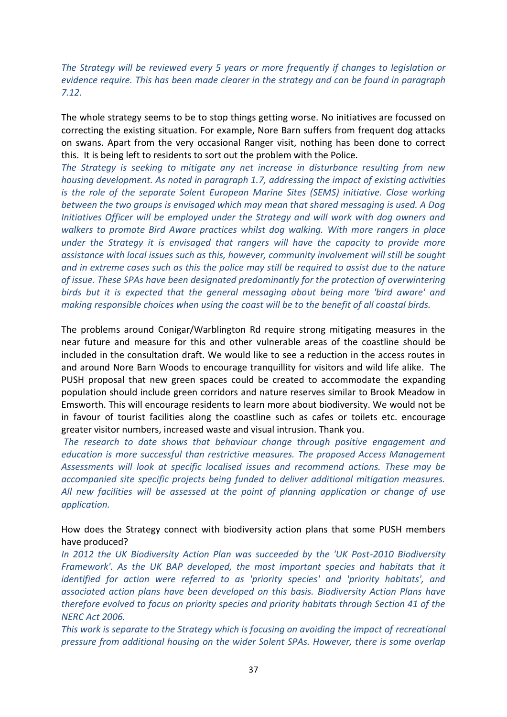*The Strategy will be reviewed every 5 years or more frequently if changes to legislation or evidence require. This has been made clearer in the strategy and can be found in paragraph 7.12.*

The whole strategy seems to be to stop things getting worse. No initiatives are focussed on correcting the existing situation. For example, Nore Barn suffers from frequent dog attacks on swans. Apart from the very occasional Ranger visit, nothing has been done to correct this. It is being left to residents to sort out the problem with the Police.

*The Strategy is seeking to mitigate any net increase in disturbance resulting from new housing development. As noted in paragraph 1.7, addressing the impact of existing activities is the role of the separate Solent European Marine Sites (SEMS) initiative. Close working between the two groups is envisaged which may mean that shared messaging is used. A Dog Initiatives Officer will be employed under the Strategy and will work with dog owners and walkers to promote Bird Aware practices whilst dog walking. With more rangers in place under the Strategy it is envisaged that rangers will have the capacity to provide more assistance with local issues such as this, however, community involvement will still be sought and in extreme cases such as this the police may still be required to assist due to the nature of issue. These SPAs have been designated predominantly for the protection of overwintering birds but it is expected that the general messaging about being more 'bird aware' and making responsible choices when using the coast will be to the benefit of all coastal birds.* 

The problems around Conigar/Warblington Rd require strong mitigating measures in the near future and measure for this and other vulnerable areas of the coastline should be included in the consultation draft. We would like to see a reduction in the access routes in and around Nore Barn Woods to encourage tranquillity for visitors and wild life alike. The PUSH proposal that new green spaces could be created to accommodate the expanding population should include green corridors and nature reserves similar to Brook Meadow in Emsworth. This will encourage residents to learn more about biodiversity. We would not be in favour of tourist facilities along the coastline such as cafes or toilets etc. encourage greater visitor numbers, increased waste and visual intrusion. Thank you.

*The research to date shows that behaviour change through positive engagement and education is more successful than restrictive measures. The proposed Access Management Assessments will look at specific localised issues and recommend actions. These may be accompanied site specific projects being funded to deliver additional mitigation measures. All new facilities will be assessed at the point of planning application or change of use application.*

How does the Strategy connect with biodiversity action plans that some PUSH members have produced?

*In 2012 the UK Biodiversity Action Plan was succeeded by the 'UK Post-2010 Biodiversity Framework'. As the UK BAP developed, the most important species and habitats that it identified for action were referred to as 'priority species' and 'priority habitats', and associated action plans have been developed on this basis. Biodiversity Action Plans have therefore evolved to focus on priority species and priority habitats through Section 41 of the NERC Act 2006.*

*This work is separate to the Strategy which is focusing on avoiding the impact of recreational pressure from additional housing on the wider Solent SPAs. However, there is some overlap*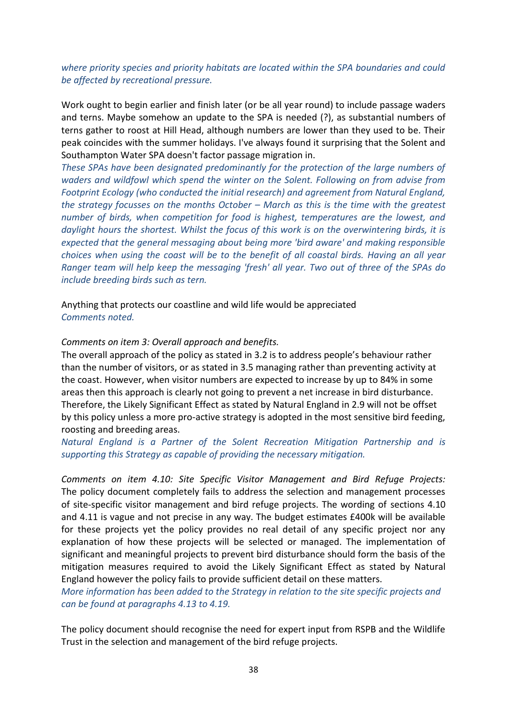### *where priority species and priority habitats are located within the SPA boundaries and could be affected by recreational pressure.*

Work ought to begin earlier and finish later (or be all year round) to include passage waders and terns. Maybe somehow an update to the SPA is needed (?), as substantial numbers of terns gather to roost at Hill Head, although numbers are lower than they used to be. Their peak coincides with the summer holidays. I've always found it surprising that the Solent and Southampton Water SPA doesn't factor passage migration in.

*These SPAs have been designated predominantly for the protection of the large numbers of waders and wildfowl which spend the winter on the Solent. Following on from advise from Footprint Ecology (who conducted the initial research) and agreement from Natural England, the strategy focusses on the months October – March as this is the time with the greatest number of birds, when competition for food is highest, temperatures are the lowest, and daylight hours the shortest. Whilst the focus of this work is on the overwintering birds, it is expected that the general messaging about being more 'bird aware' and making responsible choices when using the coast will be to the benefit of all coastal birds. Having an all year Ranger team will help keep the messaging 'fresh' all year. Two out of three of the SPAs do include breeding birds such as tern.* 

Anything that protects our coastline and wild life would be appreciated *Comments noted.*

### *Comments on item 3: Overall approach and benefits.*

The overall approach of the policy as stated in 3.2 is to address people's behaviour rather than the number of visitors, or as stated in 3.5 managing rather than preventing activity at the coast. However, when visitor numbers are expected to increase by up to 84% in some areas then this approach is clearly not going to prevent a net increase in bird disturbance. Therefore, the Likely Significant Effect as stated by Natural England in 2.9 will not be offset by this policy unless a more pro-active strategy is adopted in the most sensitive bird feeding, roosting and breeding areas.

*Natural England is a Partner of the Solent Recreation Mitigation Partnership and is supporting this Strategy as capable of providing the necessary mitigation.*

*Comments on item 4.10: Site Specific Visitor Management and Bird Refuge Projects:* The policy document completely fails to address the selection and management processes of site-specific visitor management and bird refuge projects. The wording of sections 4.10 and 4.11 is vague and not precise in any way. The budget estimates £400k will be available for these projects yet the policy provides no real detail of any specific project nor any explanation of how these projects will be selected or managed. The implementation of significant and meaningful projects to prevent bird disturbance should form the basis of the mitigation measures required to avoid the Likely Significant Effect as stated by Natural England however the policy fails to provide sufficient detail on these matters.

*More information has been added to the Strategy in relation to the site specific projects and can be found at paragraphs 4.13 to 4.19.*

The policy document should recognise the need for expert input from RSPB and the Wildlife Trust in the selection and management of the bird refuge projects.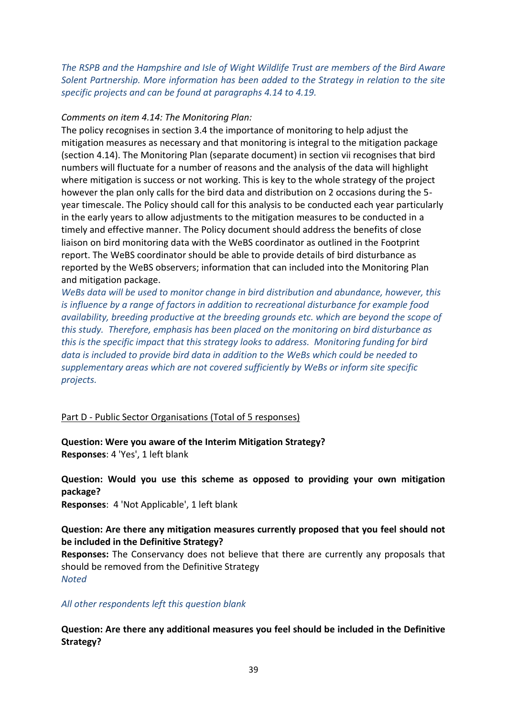*The RSPB and the Hampshire and Isle of Wight Wildlife Trust are members of the Bird Aware Solent Partnership. More information has been added to the Strategy in relation to the site specific projects and can be found at paragraphs 4.14 to 4.19.*

#### *Comments on item 4.14: The Monitoring Plan:*

The policy recognises in section 3.4 the importance of monitoring to help adjust the mitigation measures as necessary and that monitoring is integral to the mitigation package (section 4.14). The Monitoring Plan (separate document) in section vii recognises that bird numbers will fluctuate for a number of reasons and the analysis of the data will highlight where mitigation is success or not working. This is key to the whole strategy of the project however the plan only calls for the bird data and distribution on 2 occasions during the 5 year timescale. The Policy should call for this analysis to be conducted each year particularly in the early years to allow adjustments to the mitigation measures to be conducted in a timely and effective manner. The Policy document should address the benefits of close liaison on bird monitoring data with the WeBS coordinator as outlined in the Footprint report. The WeBS coordinator should be able to provide details of bird disturbance as reported by the WeBS observers; information that can included into the Monitoring Plan and mitigation package.

*WeBs data will be used to monitor change in bird distribution and abundance, however, this is influence by a range of factors in addition to recreational disturbance for example food availability, breeding productive at the breeding grounds etc. which are beyond the scope of this study. Therefore, emphasis has been placed on the monitoring on bird disturbance as this is the specific impact that this strategy looks to address. Monitoring funding for bird data is included to provide bird data in addition to the WeBs which could be needed to supplementary areas which are not covered sufficiently by WeBs or inform site specific projects.*

### Part D - Public Sector Organisations (Total of 5 responses)

**Question: Were you aware of the Interim Mitigation Strategy? Responses**: 4 'Yes', 1 left blank

**Question: Would you use this scheme as opposed to providing your own mitigation package? Responses**: 4 'Not Applicable', 1 left blank

**Question: Are there any mitigation measures currently proposed that you feel should not be included in the Definitive Strategy?**

**Responses:** The Conservancy does not believe that there are currently any proposals that should be removed from the Definitive Strategy *Noted*

#### *All other respondents left this question blank*

**Question: Are there any additional measures you feel should be included in the Definitive Strategy?**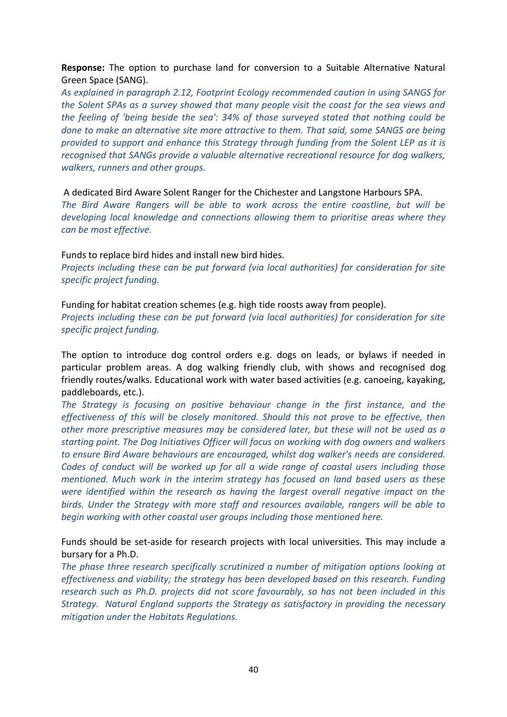**Response:** The option to purchase land for conversion to a Suitable Alternative Natural Green Space (SANG).

*As explained in paragraph 2.12, Footprint Ecology recommended caution in using SANGS for the Solent SPAs as a survey showed that many people visit the coast for the sea views and the feeling of 'being beside the sea': 34% of those surveyed stated that nothing could be done to make an alternative site more attractive to them. That said, some SANGS are being provided to support and enhance this Strategy through funding from the Solent LEP as it is recognised that SANGs provide a valuable alternative recreational resource for dog walkers, walkers, runners and other groups.*

A dedicated Bird Aware Solent Ranger for the Chichester and Langstone Harbours SPA. *The Bird Aware Rangers will be able to work across the entire coastline, but will be developing local knowledge and connections allowing them to prioritise areas where they can be most effective.*

Funds to replace bird hides and install new bird hides. *Projects including these can be put forward (via local authorities) for consideration for site specific project funding.* 

Funding for habitat creation schemes (e.g. high tide roosts away from people). *Projects including these can be put forward (via local authorities) for consideration for site specific project funding.* 

The option to introduce dog control orders e.g. dogs on leads, or bylaws if needed in particular problem areas. A dog walking friendly club, with shows and recognised dog friendly routes/walks. Educational work with water based activities (e.g. canoeing, kayaking, paddleboards, etc.).

*The Strategy is focusing on positive behaviour change in the first instance, and the effectiveness of this will be closely monitored. Should this not prove to be effective, then other more prescriptive measures may be considered later, but these will not be used as a starting point. The Dog Initiatives Officer will focus on working with dog owners and walkers to ensure Bird Aware behaviours are encouraged, whilst dog walker's needs are considered. Codes of conduct will be worked up for all a wide range of coastal users including those mentioned. Much work in the interim strategy has focused on land based users as these were identified within the research as having the largest overall negative impact on the birds. Under the Strategy with more staff and resources available, rangers will be able to begin working with other coastal user groups including those mentioned here.*

Funds should be set-aside for research projects with local universities. This may include a bursary for a Ph.D.

*The phase three research specifically scrutinized a number of mitigation options looking at effectiveness and viability; the strategy has been developed based on this research. Funding research such as Ph.D. projects did not score favourably, so has not been included in this Strategy. Natural England supports the Strategy as satisfactory in providing the necessary mitigation under the Habitats Regulations.*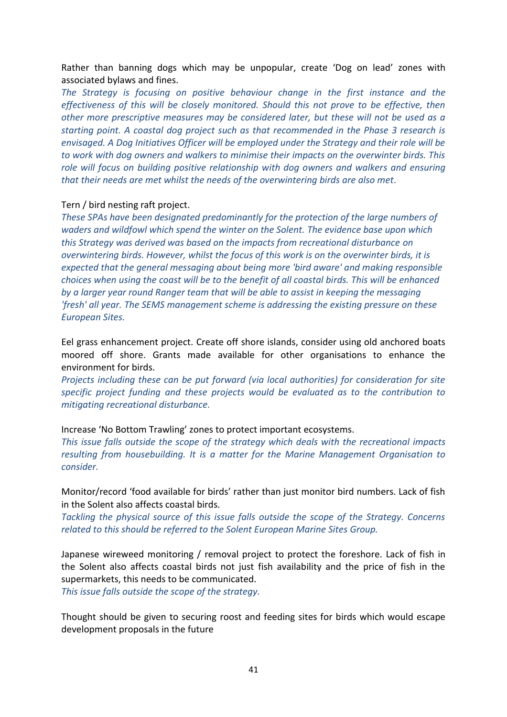Rather than banning dogs which may be unpopular, create 'Dog on lead' zones with associated bylaws and fines.

*The Strategy is focusing on positive behaviour change in the first instance and the effectiveness of this will be closely monitored. Should this not prove to be effective, then other more prescriptive measures may be considered later, but these will not be used as a starting point. A coastal dog project such as that recommended in the Phase 3 research is envisaged. A Dog Initiatives Officer will be employed under the Strategy and their role will be to work with dog owners and walkers to minimise their impacts on the overwinter birds. This role will focus on building positive relationship with dog owners and walkers and ensuring that their needs are met whilst the needs of the overwintering birds are also met.* 

### Tern / bird nesting raft project.

*These SPAs have been designated predominantly for the protection of the large numbers of waders and wildfowl which spend the winter on the Solent. The evidence base upon which this Strategy was derived was based on the impacts from recreational disturbance on overwintering birds. However, whilst the focus of this work is on the overwinter birds, it is expected that the general messaging about being more 'bird aware' and making responsible choices when using the coast will be to the benefit of all coastal birds. This will be enhanced by a larger year round Ranger team that will be able to assist in keeping the messaging 'fresh' all year. The SEMS management scheme is addressing the existing pressure on these European Sites.* 

Eel grass enhancement project. Create off shore islands, consider using old anchored boats moored off shore. Grants made available for other organisations to enhance the environment for birds.

*Projects including these can be put forward (via local authorities) for consideration for site specific project funding and these projects would be evaluated as to the contribution to mitigating recreational disturbance.*

Increase 'No Bottom Trawling' zones to protect important ecosystems.

*This issue falls outside the scope of the strategy which deals with the recreational impacts resulting from housebuilding. It is a matter for the Marine Management Organisation to consider.*

Monitor/record 'food available for birds' rather than just monitor bird numbers. Lack of fish in the Solent also affects coastal birds.

*Tackling the physical source of this issue falls outside the scope of the Strategy. Concerns related to this should be referred to the Solent European Marine Sites Group.*

Japanese wireweed monitoring / removal project to protect the foreshore. Lack of fish in the Solent also affects coastal birds not just fish availability and the price of fish in the supermarkets, this needs to be communicated.

*This issue falls outside the scope of the strategy.*

Thought should be given to securing roost and feeding sites for birds which would escape development proposals in the future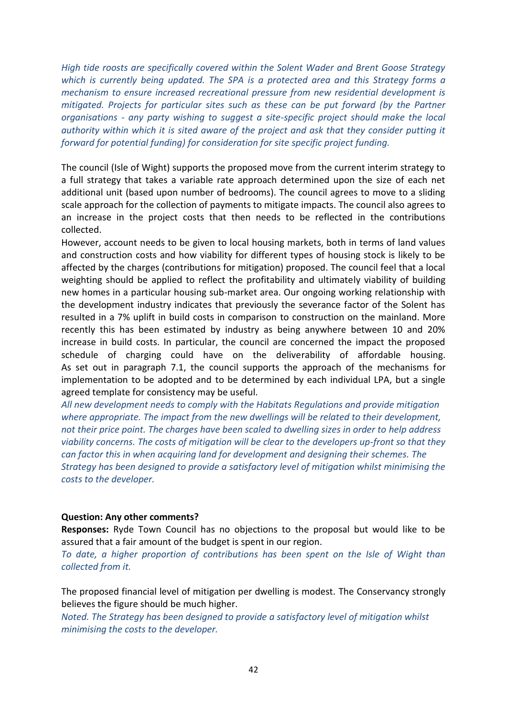*High tide roosts are specifically covered within the Solent Wader and Brent Goose Strategy which is currently being updated. The SPA is a protected area and this Strategy forms a mechanism to ensure increased recreational pressure from new residential development is mitigated. Projects for particular sites such as these can be put forward (by the Partner organisations - any party wishing to suggest a site-specific project should make the local authority within which it is sited aware of the project and ask that they consider putting it forward for potential funding) for consideration for site specific project funding.*

The council (Isle of Wight) supports the proposed move from the current interim strategy to a full strategy that takes a variable rate approach determined upon the size of each net additional unit (based upon number of bedrooms). The council agrees to move to a sliding scale approach for the collection of payments to mitigate impacts. The council also agrees to an increase in the project costs that then needs to be reflected in the contributions collected.

However, account needs to be given to local housing markets, both in terms of land values and construction costs and how viability for different types of housing stock is likely to be affected by the charges (contributions for mitigation) proposed. The council feel that a local weighting should be applied to reflect the profitability and ultimately viability of building new homes in a particular housing sub-market area. Our ongoing working relationship with the development industry indicates that previously the severance factor of the Solent has resulted in a 7% uplift in build costs in comparison to construction on the mainland. More recently this has been estimated by industry as being anywhere between 10 and 20% increase in build costs. In particular, the council are concerned the impact the proposed schedule of charging could have on the deliverability of affordable housing. As set out in paragraph 7.1, the council supports the approach of the mechanisms for implementation to be adopted and to be determined by each individual LPA, but a single agreed template for consistency may be useful.

*All new development needs to comply with the Habitats Regulations and provide mitigation where appropriate. The impact from the new dwellings will be related to their development, not their price point. The charges have been scaled to dwelling sizes in order to help address viability concerns. The costs of mitigation will be clear to the developers up-front so that they can factor this in when acquiring land for development and designing their schemes. The Strategy has been designed to provide a satisfactory level of mitigation whilst minimising the costs to the developer.* 

### **Question: Any other comments?**

**Responses:** Ryde Town Council has no objections to the proposal but would like to be assured that a fair amount of the budget is spent in our region.

*To date, a higher proportion of contributions has been spent on the Isle of Wight than collected from it.*

The proposed financial level of mitigation per dwelling is modest. The Conservancy strongly believes the figure should be much higher.

*Noted. The Strategy has been designed to provide a satisfactory level of mitigation whilst minimising the costs to the developer.*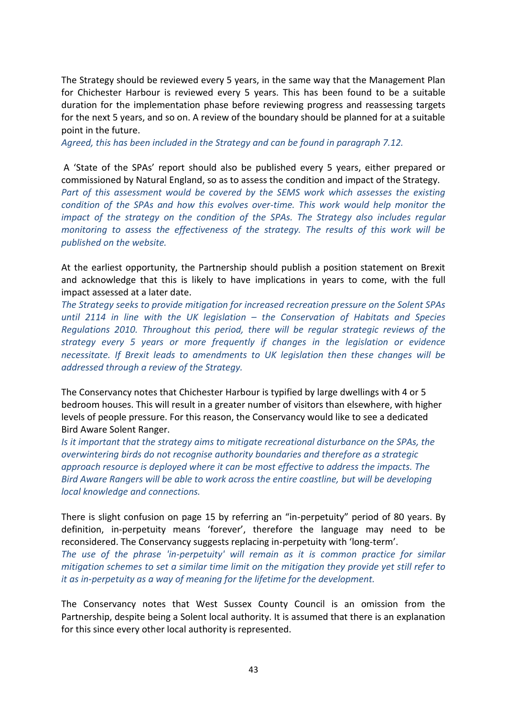The Strategy should be reviewed every 5 years, in the same way that the Management Plan for Chichester Harbour is reviewed every 5 years. This has been found to be a suitable duration for the implementation phase before reviewing progress and reassessing targets for the next 5 years, and so on. A review of the boundary should be planned for at a suitable point in the future.

*Agreed, this has been included in the Strategy and can be found in paragraph 7.12.*

A 'State of the SPAs' report should also be published every 5 years, either prepared or commissioned by Natural England, so as to assess the condition and impact of the Strategy. *Part of this assessment would be covered by the SEMS work which assesses the existing condition of the SPAs and how this evolves over-time. This work would help monitor the impact of the strategy on the condition of the SPAs. The Strategy also includes regular monitoring to assess the effectiveness of the strategy. The results of this work will be published on the website.*

At the earliest opportunity, the Partnership should publish a position statement on Brexit and acknowledge that this is likely to have implications in years to come, with the full impact assessed at a later date.

*The Strategy seeks to provide mitigation for increased recreation pressure on the Solent SPAs until 2114 in line with the UK legislation – the Conservation of Habitats and Species Regulations 2010. Throughout this period, there will be regular strategic reviews of the strategy every 5 years or more frequently if changes in the legislation or evidence necessitate. If Brexit leads to amendments to UK legislation then these changes will be addressed through a review of the Strategy.* 

The Conservancy notes that Chichester Harbour is typified by large dwellings with 4 or 5 bedroom houses. This will result in a greater number of visitors than elsewhere, with higher levels of people pressure. For this reason, the Conservancy would like to see a dedicated Bird Aware Solent Ranger.

*Is it important that the strategy aims to mitigate recreational disturbance on the SPAs, the overwintering birds do not recognise authority boundaries and therefore as a strategic approach resource is deployed where it can be most effective to address the impacts. The Bird Aware Rangers will be able to work across the entire coastline, but will be developing local knowledge and connections.*

There is slight confusion on page 15 by referring an "in-perpetuity" period of 80 years. By definition, in-perpetuity means 'forever', therefore the language may need to be reconsidered. The Conservancy suggests replacing in-perpetuity with 'long-term'.

*The use of the phrase 'in-perpetuity' will remain as it is common practice for similar mitigation schemes to set a similar time limit on the mitigation they provide yet still refer to it as in-perpetuity as a way of meaning for the lifetime for the development.* 

The Conservancy notes that West Sussex County Council is an omission from the Partnership, despite being a Solent local authority. It is assumed that there is an explanation for this since every other local authority is represented.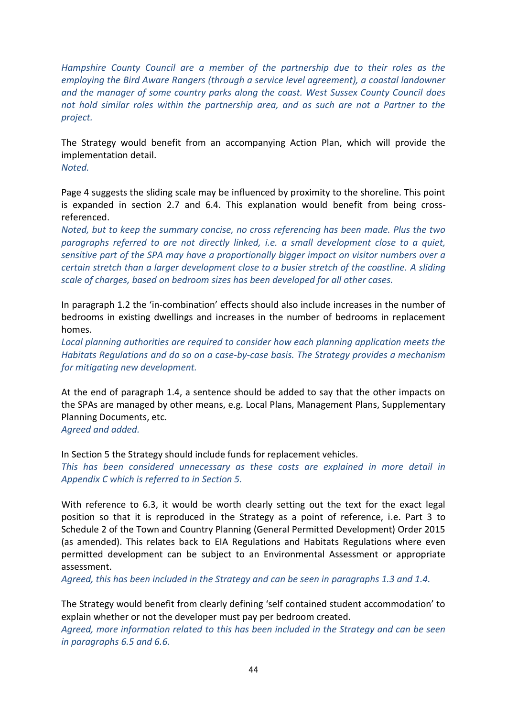*Hampshire County Council are a member of the partnership due to their roles as the employing the Bird Aware Rangers (through a service level agreement), a coastal landowner and the manager of some country parks along the coast. West Sussex County Council does not hold similar roles within the partnership area, and as such are not a Partner to the project.*

The Strategy would benefit from an accompanying Action Plan, which will provide the implementation detail.

*Noted.*

Page 4 suggests the sliding scale may be influenced by proximity to the shoreline. This point is expanded in section 2.7 and 6.4. This explanation would benefit from being crossreferenced.

*Noted, but to keep the summary concise, no cross referencing has been made. Plus the two paragraphs referred to are not directly linked, i.e. a small development close to a quiet, sensitive part of the SPA may have a proportionally bigger impact on visitor numbers over a certain stretch than a larger development close to a busier stretch of the coastline. A sliding scale of charges, based on bedroom sizes has been developed for all other cases.*

In paragraph 1.2 the 'in-combination' effects should also include increases in the number of bedrooms in existing dwellings and increases in the number of bedrooms in replacement homes.

*Local planning authorities are required to consider how each planning application meets the Habitats Regulations and do so on a case-by-case basis. The Strategy provides a mechanism for mitigating new development.*

At the end of paragraph 1.4, a sentence should be added to say that the other impacts on the SPAs are managed by other means, e.g. Local Plans, Management Plans, Supplementary Planning Documents, etc.

*Agreed and added.*

In Section 5 the Strategy should include funds for replacement vehicles.

*This has been considered unnecessary as these costs are explained in more detail in Appendix C which is referred to in Section 5.*

With reference to 6.3, it would be worth clearly setting out the text for the exact legal position so that it is reproduced in the Strategy as a point of reference, i.e. Part 3 to Schedule 2 of the Town and Country Planning (General Permitted Development) Order 2015 (as amended). This relates back to EIA Regulations and Habitats Regulations where even permitted development can be subject to an Environmental Assessment or appropriate assessment.

*Agreed, this has been included in the Strategy and can be seen in paragraphs 1.3 and 1.4.*

The Strategy would benefit from clearly defining 'self contained student accommodation' to explain whether or not the developer must pay per bedroom created.

*Agreed, more information related to this has been included in the Strategy and can be seen in paragraphs 6.5 and 6.6.*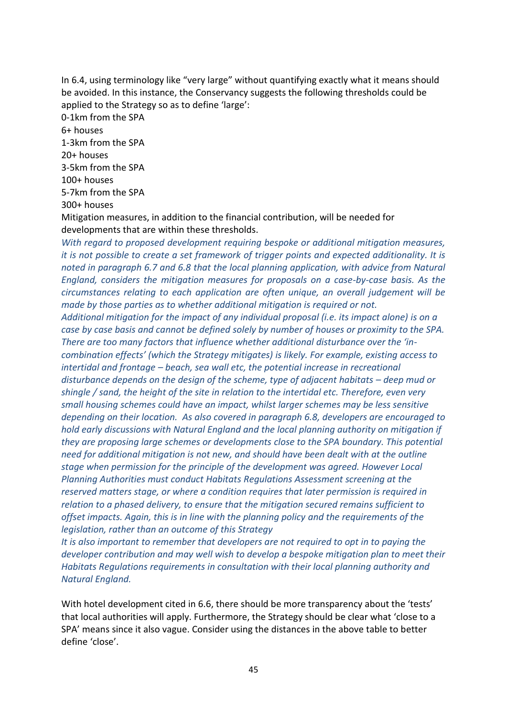In 6.4, using terminology like "very large" without quantifying exactly what it means should be avoided. In this instance, the Conservancy suggests the following thresholds could be applied to the Strategy so as to define 'large':

0-1km from the SPA

6+ houses 1-3km from the SPA 20+ houses 3-5km from the SPA 100+ houses 5-7km from the SPA

300+ houses

Mitigation measures, in addition to the financial contribution, will be needed for developments that are within these thresholds.

*With regard to proposed development requiring bespoke or additional mitigation measures, it is not possible to create a set framework of trigger points and expected additionality. It is noted in paragraph 6.7 and 6.8 that the local planning application, with advice from Natural England, considers the mitigation measures for proposals on a case-by-case basis. As the circumstances relating to each application are often unique, an overall judgement will be made by those parties as to whether additional mitigation is required or not.* 

*Additional mitigation for the impact of any individual proposal (i.e. its impact alone) is on a case by case basis and cannot be defined solely by number of houses or proximity to the SPA. There are too many factors that influence whether additional disturbance over the 'incombination effects' (which the Strategy mitigates) is likely. For example, existing access to intertidal and frontage – beach, sea wall etc, the potential increase in recreational disturbance depends on the design of the scheme, type of adjacent habitats – deep mud or shingle / sand, the height of the site in relation to the intertidal etc. Therefore, even very small housing schemes could have an impact, whilst larger schemes may be less sensitive depending on their location. As also covered in paragraph 6.8, developers are encouraged to hold early discussions with Natural England and the local planning authority on mitigation if they are proposing large schemes or developments close to the SPA boundary. This potential need for additional mitigation is not new, and should have been dealt with at the outline stage when permission for the principle of the development was agreed. However Local Planning Authorities must conduct Habitats Regulations Assessment screening at the reserved matters stage, or where a condition requires that later permission is required in relation to a phased delivery, to ensure that the mitigation secured remains sufficient to offset impacts. Again, this is in line with the planning policy and the requirements of the legislation, rather than an outcome of this Strategy*

*It is also important to remember that developers are not required to opt in to paying the developer contribution and may well wish to develop a bespoke mitigation plan to meet their Habitats Regulations requirements in consultation with their local planning authority and Natural England.*

With hotel development cited in 6.6, there should be more transparency about the 'tests' that local authorities will apply. Furthermore, the Strategy should be clear what 'close to a SPA' means since it also vague. Consider using the distances in the above table to better define 'close'.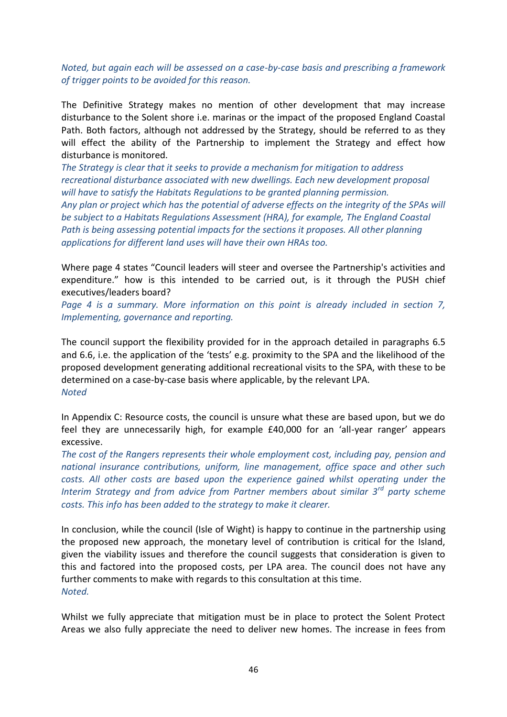*Noted, but again each will be assessed on a case-by-case basis and prescribing a framework of trigger points to be avoided for this reason.*

The Definitive Strategy makes no mention of other development that may increase disturbance to the Solent shore i.e. marinas or the impact of the proposed England Coastal Path. Both factors, although not addressed by the Strategy, should be referred to as they will effect the ability of the Partnership to implement the Strategy and effect how disturbance is monitored.

*The Strategy is clear that it seeks to provide a mechanism for mitigation to address recreational disturbance associated with new dwellings. Each new development proposal will have to satisfy the Habitats Regulations to be granted planning permission. Any plan or project which has the potential of adverse effects on the integrity of the SPAs will be subject to a Habitats Regulations Assessment (HRA), for example, The England Coastal Path is being assessing potential impacts for the sections it proposes. All other planning applications for different land uses will have their own HRAs too.*

Where page 4 states "Council leaders will steer and oversee the Partnership's activities and expenditure." how is this intended to be carried out, is it through the PUSH chief executives/leaders board?

*Page 4 is a summary. More information on this point is already included in section 7, Implementing, governance and reporting.*

The council support the flexibility provided for in the approach detailed in paragraphs 6.5 and 6.6, i.e. the application of the 'tests' e.g. proximity to the SPA and the likelihood of the proposed development generating additional recreational visits to the SPA, with these to be determined on a case-by-case basis where applicable, by the relevant LPA. *Noted*

In Appendix C: Resource costs, the council is unsure what these are based upon, but we do feel they are unnecessarily high, for example £40,000 for an 'all-year ranger' appears excessive.

*The cost of the Rangers represents their whole employment cost, including pay, pension and national insurance contributions, uniform, line management, office space and other such costs. All other costs are based upon the experience gained whilst operating under the Interim Strategy and from advice from Partner members about similar 3rd party scheme costs. This info has been added to the strategy to make it clearer.* 

In conclusion, while the council (Isle of Wight) is happy to continue in the partnership using the proposed new approach, the monetary level of contribution is critical for the Island, given the viability issues and therefore the council suggests that consideration is given to this and factored into the proposed costs, per LPA area. The council does not have any further comments to make with regards to this consultation at this time. *Noted.*

Whilst we fully appreciate that mitigation must be in place to protect the Solent Protect Areas we also fully appreciate the need to deliver new homes. The increase in fees from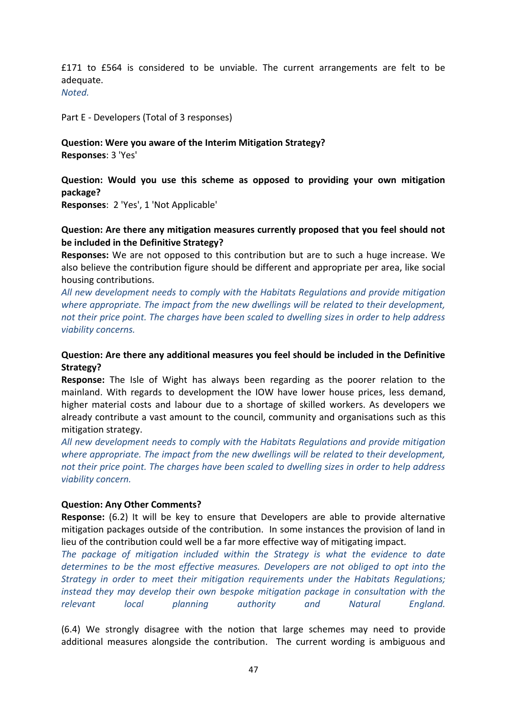£171 to £564 is considered to be unviable. The current arrangements are felt to be adequate.

*Noted.*

Part E - Developers (Total of 3 responses)

## **Question: Were you aware of the Interim Mitigation Strategy?**

**Responses**: 3 'Yes'

**Question: Would you use this scheme as opposed to providing your own mitigation package?**

**Responses**: 2 'Yes', 1 'Not Applicable'

### **Question: Are there any mitigation measures currently proposed that you feel should not be included in the Definitive Strategy?**

**Responses:** We are not opposed to this contribution but are to such a huge increase. We also believe the contribution figure should be different and appropriate per area, like social housing contributions.

*All new development needs to comply with the Habitats Regulations and provide mitigation where appropriate. The impact from the new dwellings will be related to their development, not their price point. The charges have been scaled to dwelling sizes in order to help address viability concerns.*

### **Question: Are there any additional measures you feel should be included in the Definitive Strategy?**

**Response:** The Isle of Wight has always been regarding as the poorer relation to the mainland. With regards to development the IOW have lower house prices, less demand, higher material costs and labour due to a shortage of skilled workers. As developers we already contribute a vast amount to the council, community and organisations such as this mitigation strategy.

*All new development needs to comply with the Habitats Regulations and provide mitigation where appropriate. The impact from the new dwellings will be related to their development, not their price point. The charges have been scaled to dwelling sizes in order to help address viability concern.*

### **Question: Any Other Comments?**

**Response:** (6.2) It will be key to ensure that Developers are able to provide alternative mitigation packages outside of the contribution. In some instances the provision of land in lieu of the contribution could well be a far more effective way of mitigating impact.

*The package of mitigation included within the Strategy is what the evidence to date determines to be the most effective measures. Developers are not obliged to opt into the Strategy in order to meet their mitigation requirements under the Habitats Regulations; instead they may develop their own bespoke mitigation package in consultation with the relevant local planning authority and Natural England.*

(6.4) We strongly disagree with the notion that large schemes may need to provide additional measures alongside the contribution. The current wording is ambiguous and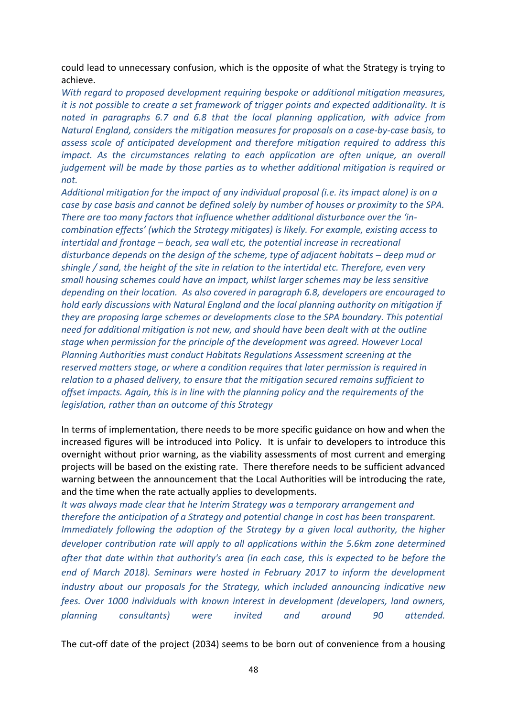could lead to unnecessary confusion, which is the opposite of what the Strategy is trying to achieve.

*With regard to proposed development requiring bespoke or additional mitigation measures, it is not possible to create a set framework of trigger points and expected additionality. It is noted in paragraphs 6.7 and 6.8 that the local planning application, with advice from Natural England, considers the mitigation measures for proposals on a case-by-case basis, to assess scale of anticipated development and therefore mitigation required to address this impact. As the circumstances relating to each application are often unique, an overall judgement will be made by those parties as to whether additional mitigation is required or not.* 

*Additional mitigation for the impact of any individual proposal (i.e. its impact alone) is on a case by case basis and cannot be defined solely by number of houses or proximity to the SPA. There are too many factors that influence whether additional disturbance over the 'incombination effects' (which the Strategy mitigates) is likely. For example, existing access to intertidal and frontage – beach, sea wall etc, the potential increase in recreational disturbance depends on the design of the scheme, type of adjacent habitats – deep mud or shingle / sand, the height of the site in relation to the intertidal etc. Therefore, even very small housing schemes could have an impact, whilst larger schemes may be less sensitive depending on their location. As also covered in paragraph 6.8, developers are encouraged to hold early discussions with Natural England and the local planning authority on mitigation if they are proposing large schemes or developments close to the SPA boundary. This potential need for additional mitigation is not new, and should have been dealt with at the outline stage when permission for the principle of the development was agreed. However Local Planning Authorities must conduct Habitats Regulations Assessment screening at the reserved matters stage, or where a condition requires that later permission is required in relation to a phased delivery, to ensure that the mitigation secured remains sufficient to offset impacts. Again, this is in line with the planning policy and the requirements of the legislation, rather than an outcome of this Strategy*

In terms of implementation, there needs to be more specific guidance on how and when the increased figures will be introduced into Policy. It is unfair to developers to introduce this overnight without prior warning, as the viability assessments of most current and emerging projects will be based on the existing rate. There therefore needs to be sufficient advanced warning between the announcement that the Local Authorities will be introducing the rate, and the time when the rate actually applies to developments.

*It was always made clear that he Interim Strategy was a temporary arrangement and therefore the anticipation of a Strategy and potential change in cost has been transparent. Immediately following the adoption of the Strategy by a given local authority, the higher developer contribution rate will apply to all applications within the 5.6km zone determined after that date within that authority's area (in each case, this is expected to be before the end of March 2018). Seminars were hosted in February 2017 to inform the development industry about our proposals for the Strategy, which included announcing indicative new fees. Over 1000 individuals with known interest in development (developers, land owners, planning consultants) were invited and around 90 attended.*

The cut-off date of the project (2034) seems to be born out of convenience from a housing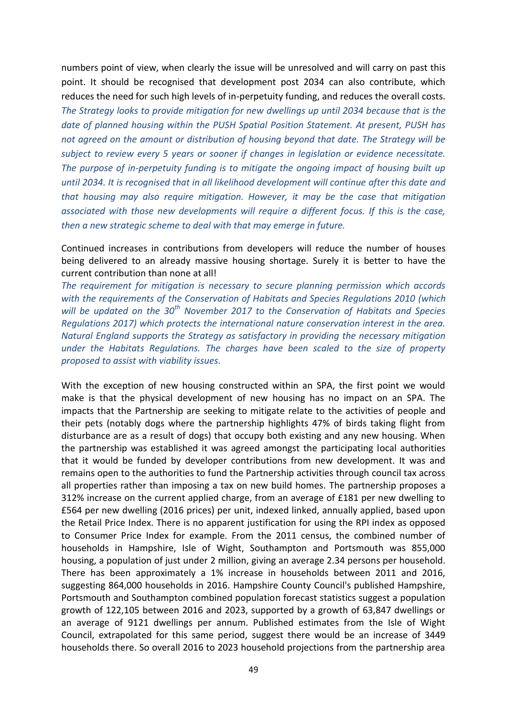numbers point of view, when clearly the issue will be unresolved and will carry on past this point. It should be recognised that development post 2034 can also contribute, which reduces the need for such high levels of in-perpetuity funding, and reduces the overall costs. *The Strategy looks to provide mitigation for new dwellings up until 2034 because that is the date of planned housing within the PUSH Spatial Position Statement. At present, PUSH has not agreed on the amount or distribution of housing beyond that date. The Strategy will be subject to review every 5 years or sooner if changes in legislation or evidence necessitate. The purpose of in-perpetuity funding is to mitigate the ongoing impact of housing built up until 2034. It is recognised that in all likelihood development will continue after this date and that housing may also require mitigation. However, it may be the case that mitigation associated with those new developments will require a different focus. If this is the case, then a new strategic scheme to deal with that may emerge in future.* 

Continued increases in contributions from developers will reduce the number of houses being delivered to an already massive housing shortage. Surely it is better to have the current contribution than none at all!

*The requirement for mitigation is necessary to secure planning permission which accords with the requirements of the Conservation of Habitats and Species Regulations 2010 (which will be updated on the 30th November 2017 to the Conservation of Habitats and Species Regulations 2017) which protects the international nature conservation interest in the area. Natural England supports the Strategy as satisfactory in providing the necessary mitigation under the Habitats Regulations. The charges have been scaled to the size of property proposed to assist with viability issues.*

With the exception of new housing constructed within an SPA, the first point we would make is that the physical development of new housing has no impact on an SPA. The impacts that the Partnership are seeking to mitigate relate to the activities of people and their pets (notably dogs where the partnership highlights 47% of birds taking flight from disturbance are as a result of dogs) that occupy both existing and any new housing. When the partnership was established it was agreed amongst the participating local authorities that it would be funded by developer contributions from new development. It was and remains open to the authorities to fund the Partnership activities through council tax across all properties rather than imposing a tax on new build homes. The partnership proposes a 312% increase on the current applied charge, from an average of £181 per new dwelling to £564 per new dwelling (2016 prices) per unit, indexed linked, annually applied, based upon the Retail Price Index. There is no apparent justification for using the RPI index as opposed to Consumer Price Index for example. From the 2011 census, the combined number of households in Hampshire, Isle of Wight, Southampton and Portsmouth was 855,000 housing, a population of just under 2 million, giving an average 2.34 persons per household. There has been approximately a 1% increase in households between 2011 and 2016, suggesting 864,000 households in 2016. Hampshire County Council's published Hampshire, Portsmouth and Southampton combined population forecast statistics suggest a population growth of 122,105 between 2016 and 2023, supported by a growth of 63,847 dwellings or an average of 9121 dwellings per annum. Published estimates from the Isle of Wight Council, extrapolated for this same period, suggest there would be an increase of 3449 households there. So overall 2016 to 2023 household projections from the partnership area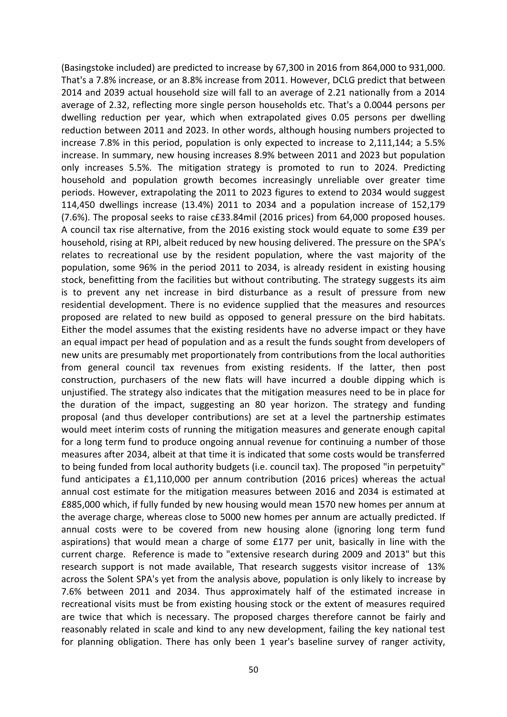(Basingstoke included) are predicted to increase by 67,300 in 2016 from 864,000 to 931,000. That's a 7.8% increase, or an 8.8% increase from 2011. However, DCLG predict that between 2014 and 2039 actual household size will fall to an average of 2.21 nationally from a 2014 average of 2.32, reflecting more single person households etc. That's a 0.0044 persons per dwelling reduction per year, which when extrapolated gives 0.05 persons per dwelling reduction between 2011 and 2023. In other words, although housing numbers projected to increase 7.8% in this period, population is only expected to increase to 2,111,144; a 5.5% increase. In summary, new housing increases 8.9% between 2011 and 2023 but population only increases 5.5%. The mitigation strategy is promoted to run to 2024. Predicting household and population growth becomes increasingly unreliable over greater time periods. However, extrapolating the 2011 to 2023 figures to extend to 2034 would suggest 114,450 dwellings increase (13.4%) 2011 to 2034 and a population increase of 152,179 (7.6%). The proposal seeks to raise c£33.84mil (2016 prices) from 64,000 proposed houses. A council tax rise alternative, from the 2016 existing stock would equate to some £39 per household, rising at RPI, albeit reduced by new housing delivered. The pressure on the SPA's relates to recreational use by the resident population, where the vast majority of the population, some 96% in the period 2011 to 2034, is already resident in existing housing stock, benefitting from the facilities but without contributing. The strategy suggests its aim is to prevent any net increase in bird disturbance as a result of pressure from new residential development. There is no evidence supplied that the measures and resources proposed are related to new build as opposed to general pressure on the bird habitats. Either the model assumes that the existing residents have no adverse impact or they have an equal impact per head of population and as a result the funds sought from developers of new units are presumably met proportionately from contributions from the local authorities from general council tax revenues from existing residents. If the latter, then post construction, purchasers of the new flats will have incurred a double dipping which is unjustified. The strategy also indicates that the mitigation measures need to be in place for the duration of the impact, suggesting an 80 year horizon. The strategy and funding proposal (and thus developer contributions) are set at a level the partnership estimates would meet interim costs of running the mitigation measures and generate enough capital for a long term fund to produce ongoing annual revenue for continuing a number of those measures after 2034, albeit at that time it is indicated that some costs would be transferred to being funded from local authority budgets (i.e. council tax). The proposed "in perpetuity" fund anticipates a £1,110,000 per annum contribution (2016 prices) whereas the actual annual cost estimate for the mitigation measures between 2016 and 2034 is estimated at £885,000 which, if fully funded by new housing would mean 1570 new homes per annum at the average charge, whereas close to 5000 new homes per annum are actually predicted. If annual costs were to be covered from new housing alone (ignoring long term fund aspirations) that would mean a charge of some £177 per unit, basically in line with the current charge. Reference is made to "extensive research during 2009 and 2013" but this research support is not made available, That research suggests visitor increase of 13% across the Solent SPA's yet from the analysis above, population is only likely to increase by 7.6% between 2011 and 2034. Thus approximately half of the estimated increase in recreational visits must be from existing housing stock or the extent of measures required are twice that which is necessary. The proposed charges therefore cannot be fairly and reasonably related in scale and kind to any new development, failing the key national test for planning obligation. There has only been 1 year's baseline survey of ranger activity,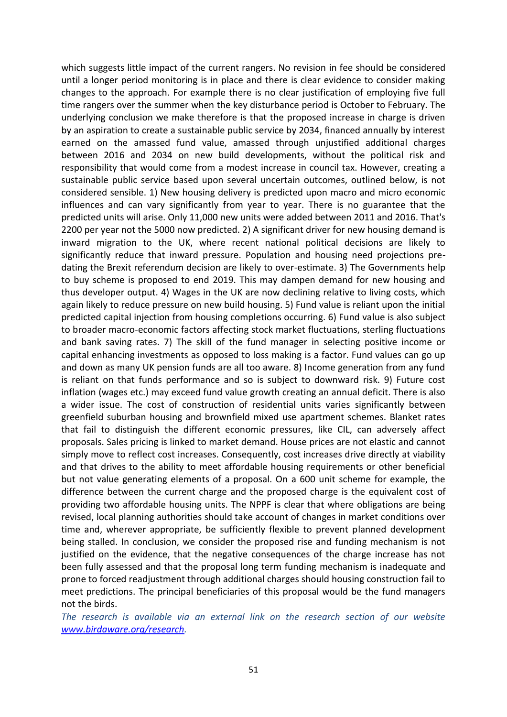which suggests little impact of the current rangers. No revision in fee should be considered until a longer period monitoring is in place and there is clear evidence to consider making changes to the approach. For example there is no clear justification of employing five full time rangers over the summer when the key disturbance period is October to February. The underlying conclusion we make therefore is that the proposed increase in charge is driven by an aspiration to create a sustainable public service by 2034, financed annually by interest earned on the amassed fund value, amassed through unjustified additional charges between 2016 and 2034 on new build developments, without the political risk and responsibility that would come from a modest increase in council tax. However, creating a sustainable public service based upon several uncertain outcomes, outlined below, is not considered sensible. 1) New housing delivery is predicted upon macro and micro economic influences and can vary significantly from year to year. There is no guarantee that the predicted units will arise. Only 11,000 new units were added between 2011 and 2016. That's 2200 per year not the 5000 now predicted. 2) A significant driver for new housing demand is inward migration to the UK, where recent national political decisions are likely to significantly reduce that inward pressure. Population and housing need projections predating the Brexit referendum decision are likely to over-estimate. 3) The Governments help to buy scheme is proposed to end 2019. This may dampen demand for new housing and thus developer output. 4) Wages in the UK are now declining relative to living costs, which again likely to reduce pressure on new build housing. 5) Fund value is reliant upon the initial predicted capital injection from housing completions occurring. 6) Fund value is also subject to broader macro-economic factors affecting stock market fluctuations, sterling fluctuations and bank saving rates. 7) The skill of the fund manager in selecting positive income or capital enhancing investments as opposed to loss making is a factor. Fund values can go up and down as many UK pension funds are all too aware. 8) Income generation from any fund is reliant on that funds performance and so is subject to downward risk. 9) Future cost inflation (wages etc.) may exceed fund value growth creating an annual deficit. There is also a wider issue. The cost of construction of residential units varies significantly between greenfield suburban housing and brownfield mixed use apartment schemes. Blanket rates that fail to distinguish the different economic pressures, like CIL, can adversely affect proposals. Sales pricing is linked to market demand. House prices are not elastic and cannot simply move to reflect cost increases. Consequently, cost increases drive directly at viability and that drives to the ability to meet affordable housing requirements or other beneficial but not value generating elements of a proposal. On a 600 unit scheme for example, the difference between the current charge and the proposed charge is the equivalent cost of providing two affordable housing units. The NPPF is clear that where obligations are being revised, local planning authorities should take account of changes in market conditions over time and, wherever appropriate, be sufficiently flexible to prevent planned development being stalled. In conclusion, we consider the proposed rise and funding mechanism is not justified on the evidence, that the negative consequences of the charge increase has not been fully assessed and that the proposal long term funding mechanism is inadequate and prone to forced readjustment through additional charges should housing construction fail to meet predictions. The principal beneficiaries of this proposal would be the fund managers not the birds.

*The research is available via an external link on the research section of our website [www.birdaware.org/research.](http://www.birdaware.org/research)*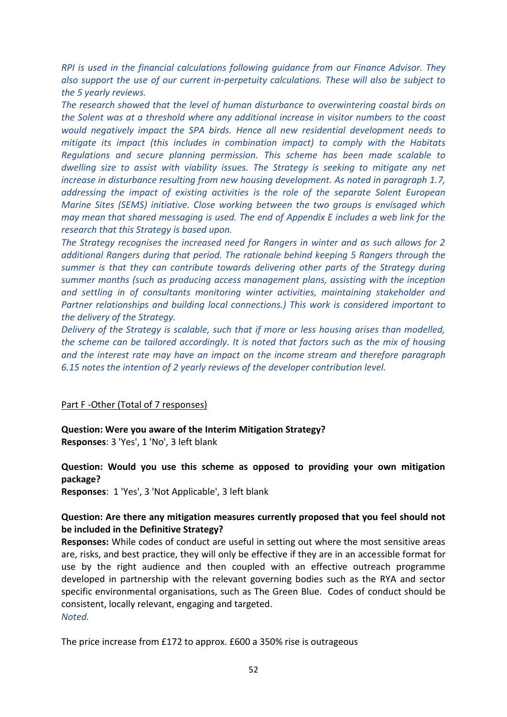*RPI is used in the financial calculations following guidance from our Finance Advisor. They also support the use of our current in-perpetuity calculations. These will also be subject to the 5 yearly reviews.*

*The research showed that the level of human disturbance to overwintering coastal birds on the Solent was at a threshold where any additional increase in visitor numbers to the coast would negatively impact the SPA birds. Hence all new residential development needs to mitigate its impact (this includes in combination impact) to comply with the Habitats Regulations and secure planning permission. This scheme has been made scalable to dwelling size to assist with viability issues. The Strategy is seeking to mitigate any net increase in disturbance resulting from new housing development. As noted in paragraph 1.7, addressing the impact of existing activities is the role of the separate Solent European Marine Sites (SEMS) initiative. Close working between the two groups is envisaged which may mean that shared messaging is used. The end of Appendix E includes a web link for the research that this Strategy is based upon.*

*The Strategy recognises the increased need for Rangers in winter and as such allows for 2 additional Rangers during that period. The rationale behind keeping 5 Rangers through the summer is that they can contribute towards delivering other parts of the Strategy during summer months (such as producing access management plans, assisting with the inception and settling in of consultants monitoring winter activities, maintaining stakeholder and Partner relationships and building local connections.) This work is considered important to the delivery of the Strategy.*

*Delivery of the Strategy is scalable, such that if more or less housing arises than modelled, the scheme can be tailored accordingly. It is noted that factors such as the mix of housing and the interest rate may have an impact on the income stream and therefore paragraph 6.15 notes the intention of 2 yearly reviews of the developer contribution level.*

### Part F -Other (Total of 7 responses)

**Question: Were you aware of the Interim Mitigation Strategy? Responses**: 3 'Yes', 1 'No', 3 left blank

### **Question: Would you use this scheme as opposed to providing your own mitigation package?**

**Responses**: 1 'Yes', 3 'Not Applicable', 3 left blank

### **Question: Are there any mitigation measures currently proposed that you feel should not be included in the Definitive Strategy?**

**Responses:** While codes of conduct are useful in setting out where the most sensitive areas are, risks, and best practice, they will only be effective if they are in an accessible format for use by the right audience and then coupled with an effective outreach programme developed in partnership with the relevant governing bodies such as the RYA and sector specific environmental organisations, such as The Green Blue. Codes of conduct should be consistent, locally relevant, engaging and targeted. *Noted.*

The price increase from £172 to approx. £600 a 350% rise is outrageous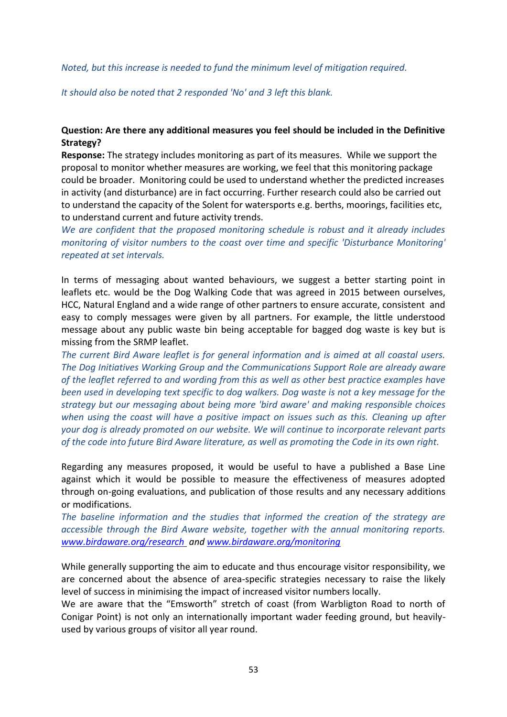### *Noted, but this increase is needed to fund the minimum level of mitigation required.*

*It should also be noted that 2 responded 'No' and 3 left this blank.*

### **Question: Are there any additional measures you feel should be included in the Definitive Strategy?**

**Response:** The strategy includes monitoring as part of its measures. While we support the proposal to monitor whether measures are working, we feel that this monitoring package could be broader. Monitoring could be used to understand whether the predicted increases in activity (and disturbance) are in fact occurring. Further research could also be carried out to understand the capacity of the Solent for watersports e.g. berths, moorings, facilities etc, to understand current and future activity trends.

*We are confident that the proposed monitoring schedule is robust and it already includes monitoring of visitor numbers to the coast over time and specific 'Disturbance Monitoring' repeated at set intervals.*

In terms of messaging about wanted behaviours, we suggest a better starting point in leaflets etc. would be the Dog Walking Code that was agreed in 2015 between ourselves, HCC, Natural England and a wide range of other partners to ensure accurate, consistent and easy to comply messages were given by all partners. For example, the little understood message about any public waste bin being acceptable for bagged dog waste is key but is missing from the SRMP leaflet.

*The current Bird Aware leaflet is for general information and is aimed at all coastal users. The Dog Initiatives Working Group and the Communications Support Role are already aware of the leaflet referred to and wording from this as well as other best practice examples have been used in developing text specific to dog walkers. Dog waste is not a key message for the strategy but our messaging about being more 'bird aware' and making responsible choices when using the coast will have a positive impact on issues such as this. Cleaning up after your dog is already promoted on our website. We will continue to incorporate relevant parts of the code into future Bird Aware literature, as well as promoting the Code in its own right.*

Regarding any measures proposed, it would be useful to have a published a Base Line against which it would be possible to measure the effectiveness of measures adopted through on-going evaluations, and publication of those results and any necessary additions or modifications.

*The baseline information and the studies that informed the creation of the strategy are accessible through the Bird Aware website, together with the annual monitoring reports. [www.birdaware.org/research](http://www.birdaware.org/research) and [www.birdaware.org/monitoring](http://www.birdaware.org/monitoring)*

While generally supporting the aim to educate and thus encourage visitor responsibility, we are concerned about the absence of area-specific strategies necessary to raise the likely level of success in minimising the impact of increased visitor numbers locally.

We are aware that the "Emsworth" stretch of coast (from Warbligton Road to north of Conigar Point) is not only an internationally important wader feeding ground, but heavilyused by various groups of visitor all year round.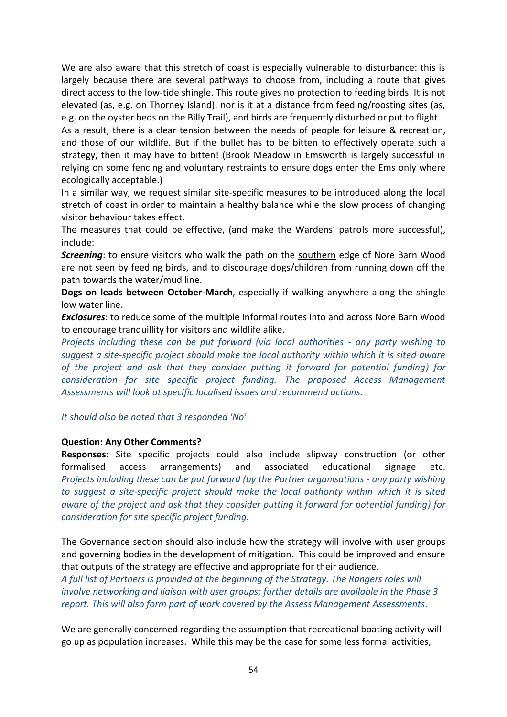We are also aware that this stretch of coast is especially vulnerable to disturbance: this is largely because there are several pathways to choose from, including a route that gives direct access to the low-tide shingle. This route gives no protection to feeding birds. It is not elevated (as, e.g. on Thorney Island), nor is it at a distance from feeding/roosting sites (as, e.g. on the oyster beds on the Billy Trail), and birds are frequently disturbed or put to flight.

As a result, there is a clear tension between the needs of people for leisure & recreation, and those of our wildlife. But if the bullet has to be bitten to effectively operate such a strategy, then it may have to bitten! (Brook Meadow in Emsworth is largely successful in relying on some fencing and voluntary restraints to ensure dogs enter the Ems only where ecologically acceptable.)

In a similar way, we request similar site-specific measures to be introduced along the local stretch of coast in order to maintain a healthy balance while the slow process of changing visitor behaviour takes effect.

The measures that could be effective, (and make the Wardens' patrols more successful), include:

*Screening*: to ensure visitors who walk the path on the southern edge of Nore Barn Wood are not seen by feeding birds, and to discourage dogs/children from running down off the path towards the water/mud line.

**Dogs on leads between October-March**, especially if walking anywhere along the shingle low water line.

*Exclosures*: to reduce some of the multiple informal routes into and across Nore Barn Wood to encourage tranquillity for visitors and wildlife alike.

*Projects including these can be put forward (via local authorities - any party wishing to suggest a site-specific project should make the local authority within which it is sited aware of the project and ask that they consider putting it forward for potential funding) for consideration for site specific project funding. The proposed Access Management Assessments will look at specific localised issues and recommend actions.* 

*It should also be noted that 3 responded 'No'*

### **Question: Any Other Comments?**

**Responses:** Site specific projects could also include slipway construction (or other formalised access arrangements) and associated educational signage etc. *Projects including these can be put forward (by the Partner organisations - any party wishing to suggest a site-specific project should make the local authority within which it is sited aware of the project and ask that they consider putting it forward for potential funding) for consideration for site specific project funding.*

The Governance section should also include how the strategy will involve with user groups and governing bodies in the development of mitigation. This could be improved and ensure that outputs of the strategy are effective and appropriate for their audience.

*A full list of Partners is provided at the beginning of the Strategy. The Rangers roles will involve networking and liaison with user groups; further details are available in the Phase 3 report. This will also form part of work covered by the Assess Management Assessments.*

We are generally concerned regarding the assumption that recreational boating activity will go up as population increases. While this may be the case for some less formal activities,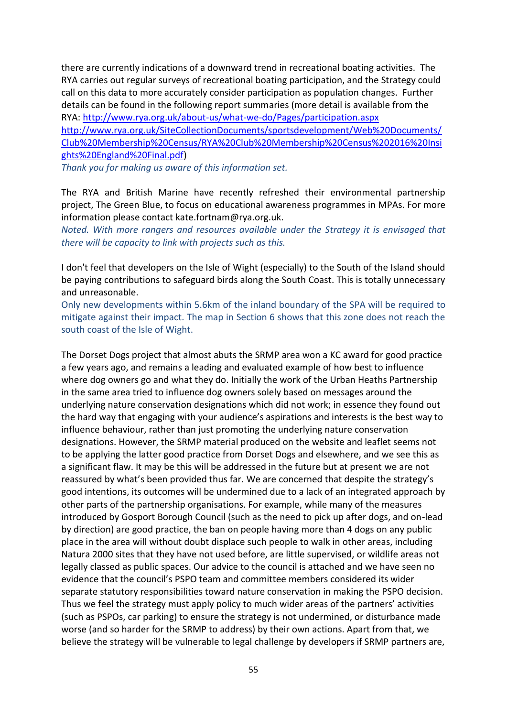there are currently indications of a downward trend in recreational boating activities. The RYA carries out regular surveys of recreational boating participation, and the Strategy could call on this data to more accurately consider participation as population changes. Further details can be found in the following report summaries (more detail is available from the RYA:<http://www.rya.org.uk/about-us/what-we-do/Pages/participation.aspx>

[http://www.rya.org.uk/SiteCollectionDocuments/sportsdevelopment/Web%20Documents/](http://www.rya.org.uk/SiteCollectionDocuments/sportsdevelopment/Web%20Documents/Club%20Membership%20Census/RYA%20Club%20Membership%20Census%202016%20Insights%20England%20Final.pdf) [Club%20Membership%20Census/RYA%20Club%20Membership%20Census%202016%20Insi](http://www.rya.org.uk/SiteCollectionDocuments/sportsdevelopment/Web%20Documents/Club%20Membership%20Census/RYA%20Club%20Membership%20Census%202016%20Insights%20England%20Final.pdf) [ghts%20England%20Final.pdf\)](http://www.rya.org.uk/SiteCollectionDocuments/sportsdevelopment/Web%20Documents/Club%20Membership%20Census/RYA%20Club%20Membership%20Census%202016%20Insights%20England%20Final.pdf)

*Thank you for making us aware of this information set.*

The RYA and British Marine have recently refreshed their environmental partnership project, The Green Blue, to focus on educational awareness programmes in MPAs. For more information please contact kate.fortnam@rya.org.uk.

*Noted. With more rangers and resources available under the Strategy it is envisaged that there will be capacity to link with projects such as this.* 

I don't feel that developers on the Isle of Wight (especially) to the South of the Island should be paying contributions to safeguard birds along the South Coast. This is totally unnecessary and unreasonable.

Only new developments within 5.6km of the inland boundary of the SPA will be required to mitigate against their impact. The map in Section 6 shows that this zone does not reach the south coast of the Isle of Wight.

The Dorset Dogs project that almost abuts the SRMP area won a KC award for good practice a few years ago, and remains a leading and evaluated example of how best to influence where dog owners go and what they do. Initially the work of the Urban Heaths Partnership in the same area tried to influence dog owners solely based on messages around the underlying nature conservation designations which did not work; in essence they found out the hard way that engaging with your audience's aspirations and interests is the best way to influence behaviour, rather than just promoting the underlying nature conservation designations. However, the SRMP material produced on the website and leaflet seems not to be applying the latter good practice from Dorset Dogs and elsewhere, and we see this as a significant flaw. It may be this will be addressed in the future but at present we are not reassured by what's been provided thus far. We are concerned that despite the strategy's good intentions, its outcomes will be undermined due to a lack of an integrated approach by other parts of the partnership organisations. For example, while many of the measures introduced by Gosport Borough Council (such as the need to pick up after dogs, and on-lead by direction) are good practice, the ban on people having more than 4 dogs on any public place in the area will without doubt displace such people to walk in other areas, including Natura 2000 sites that they have not used before, are little supervised, or wildlife areas not legally classed as public spaces. Our advice to the council is attached and we have seen no evidence that the council's PSPO team and committee members considered its wider separate statutory responsibilities toward nature conservation in making the PSPO decision. Thus we feel the strategy must apply policy to much wider areas of the partners' activities (such as PSPOs, car parking) to ensure the strategy is not undermined, or disturbance made worse (and so harder for the SRMP to address) by their own actions. Apart from that, we believe the strategy will be vulnerable to legal challenge by developers if SRMP partners are,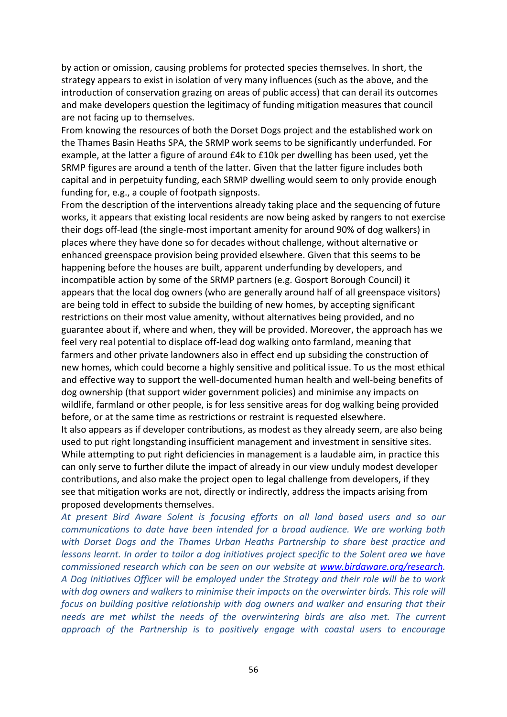by action or omission, causing problems for protected species themselves. In short, the strategy appears to exist in isolation of very many influences (such as the above, and the introduction of conservation grazing on areas of public access) that can derail its outcomes and make developers question the legitimacy of funding mitigation measures that council are not facing up to themselves.

From knowing the resources of both the Dorset Dogs project and the established work on the Thames Basin Heaths SPA, the SRMP work seems to be significantly underfunded. For example, at the latter a figure of around £4k to £10k per dwelling has been used, yet the SRMP figures are around a tenth of the latter. Given that the latter figure includes both capital and in perpetuity funding, each SRMP dwelling would seem to only provide enough funding for, e.g., a couple of footpath signposts.

From the description of the interventions already taking place and the sequencing of future works, it appears that existing local residents are now being asked by rangers to not exercise their dogs off-lead (the single-most important amenity for around 90% of dog walkers) in places where they have done so for decades without challenge, without alternative or enhanced greenspace provision being provided elsewhere. Given that this seems to be happening before the houses are built, apparent underfunding by developers, and incompatible action by some of the SRMP partners (e.g. Gosport Borough Council) it appears that the local dog owners (who are generally around half of all greenspace visitors) are being told in effect to subside the building of new homes, by accepting significant restrictions on their most value amenity, without alternatives being provided, and no guarantee about if, where and when, they will be provided. Moreover, the approach has we feel very real potential to displace off-lead dog walking onto farmland, meaning that farmers and other private landowners also in effect end up subsiding the construction of new homes, which could become a highly sensitive and political issue. To us the most ethical and effective way to support the well-documented human health and well-being benefits of dog ownership (that support wider government policies) and minimise any impacts on wildlife, farmland or other people, is for less sensitive areas for dog walking being provided before, or at the same time as restrictions or restraint is requested elsewhere. It also appears as if developer contributions, as modest as they already seem, are also being

used to put right longstanding insufficient management and investment in sensitive sites. While attempting to put right deficiencies in management is a laudable aim, in practice this can only serve to further dilute the impact of already in our view unduly modest developer contributions, and also make the project open to legal challenge from developers, if they see that mitigation works are not, directly or indirectly, address the impacts arising from proposed developments themselves.

*At present Bird Aware Solent is focusing efforts on all land based users and so our communications to date have been intended for a broad audience. We are working both with Dorset Dogs and the Thames Urban Heaths Partnership to share best practice and lessons learnt. In order to tailor a dog initiatives project specific to the Solent area we have commissioned research which can be seen on our website at [www.birdaware.org/research.](http://www.birdaware.org/research) A Dog Initiatives Officer will be employed under the Strategy and their role will be to work with dog owners and walkers to minimise their impacts on the overwinter birds. This role will focus on building positive relationship with dog owners and walker and ensuring that their needs are met whilst the needs of the overwintering birds are also met. The current approach of the Partnership is to positively engage with coastal users to encourage*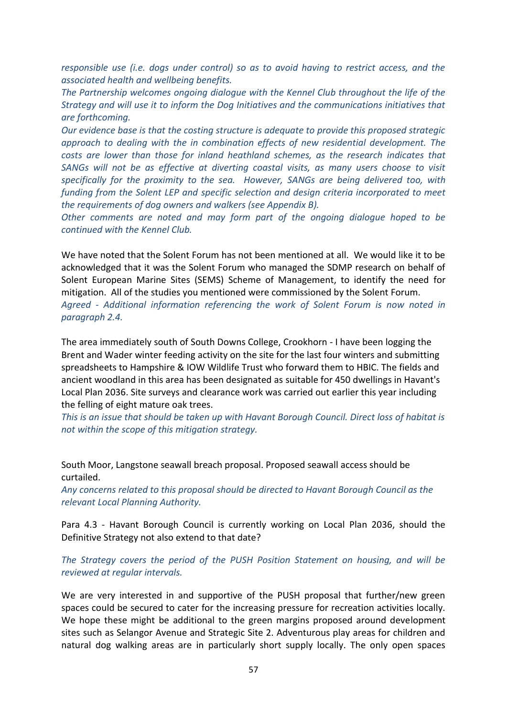*responsible use (i.e. dogs under control) so as to avoid having to restrict access, and the associated health and wellbeing benefits.*

*The Partnership welcomes ongoing dialogue with the Kennel Club throughout the life of the Strategy and will use it to inform the Dog Initiatives and the communications initiatives that are forthcoming.* 

*Our evidence base is that the costing structure is adequate to provide this proposed strategic approach to dealing with the in combination effects of new residential development. The costs are lower than those for inland heathland schemes, as the research indicates that SANGs will not be as effective at diverting coastal visits, as many users choose to visit specifically for the proximity to the sea. However, SANGs are being delivered too, with funding from the Solent LEP and specific selection and design criteria incorporated to meet the requirements of dog owners and walkers (see Appendix B).*

*Other comments are noted and may form part of the ongoing dialogue hoped to be continued with the Kennel Club.*

We have noted that the Solent Forum has not been mentioned at all. We would like it to be acknowledged that it was the Solent Forum who managed the SDMP research on behalf of Solent European Marine Sites (SEMS) Scheme of Management, to identify the need for mitigation. All of the studies you mentioned were commissioned by the Solent Forum.

*Agreed - Additional information referencing the work of Solent Forum is now noted in paragraph 2.4.*

The area immediately south of South Downs College, Crookhorn - I have been logging the Brent and Wader winter feeding activity on the site for the last four winters and submitting spreadsheets to Hampshire & IOW Wildlife Trust who forward them to HBIC. The fields and ancient woodland in this area has been designated as suitable for 450 dwellings in Havant's Local Plan 2036. Site surveys and clearance work was carried out earlier this year including the felling of eight mature oak trees.

*This is an issue that should be taken up with Havant Borough Council. Direct loss of habitat is not within the scope of this mitigation strategy.*

South Moor, Langstone seawall breach proposal. Proposed seawall access should be curtailed.

*Any concerns related to this proposal should be directed to Havant Borough Council as the relevant Local Planning Authority.*

Para 4.3 - Havant Borough Council is currently working on Local Plan 2036, should the Definitive Strategy not also extend to that date?

*The Strategy covers the period of the PUSH Position Statement on housing, and will be reviewed at regular intervals.*

We are very interested in and supportive of the PUSH proposal that further/new green spaces could be secured to cater for the increasing pressure for recreation activities locally. We hope these might be additional to the green margins proposed around development sites such as Selangor Avenue and Strategic Site 2. Adventurous play areas for children and natural dog walking areas are in particularly short supply locally. The only open spaces